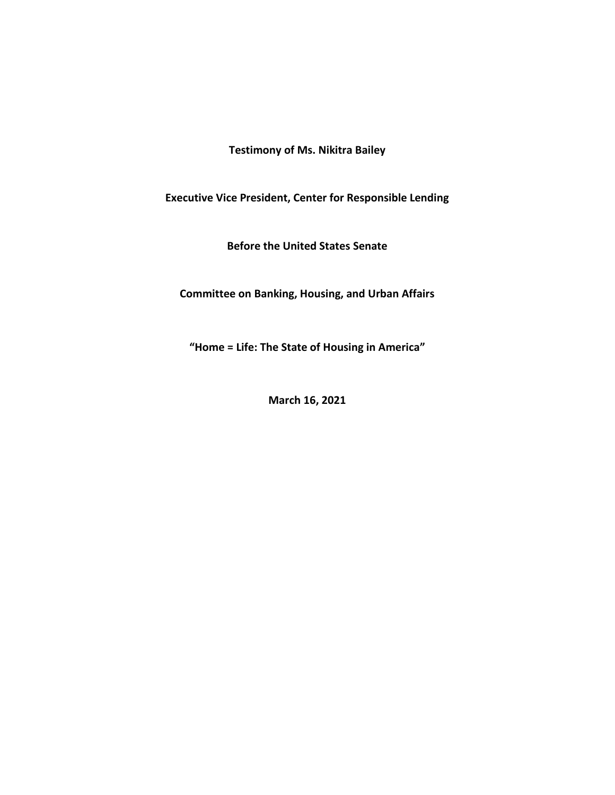**Testimony of Ms. Nikitra Bailey**

**Executive Vice President, Center for Responsible Lending**

**Before the United States Senate**

**Committee on Banking, Housing, and Urban Affairs**

**"Home = Life: The State of Housing in America"**

**March 16, 2021**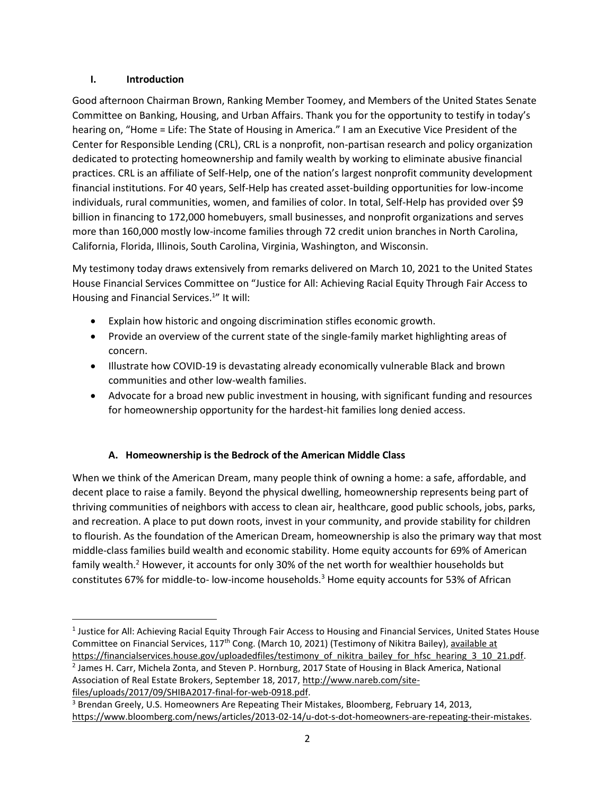### **I. Introduction**

Good afternoon Chairman Brown, Ranking Member Toomey, and Members of the United States Senate Committee on Banking, Housing, and Urban Affairs. Thank you for the opportunity to testify in today's hearing on, "Home = Life: The State of Housing in America." I am an Executive Vice President of the Center for Responsible Lending (CRL), CRL is a nonprofit, non-partisan research and policy organization dedicated to protecting homeownership and family wealth by working to eliminate abusive financial practices. CRL is an affiliate of Self-Help, one of the nation's largest nonprofit community development financial institutions. For 40 years, Self-Help has created asset-building opportunities for low-income individuals, rural communities, women, and families of color. In total, Self-Help has provided over \$9 billion in financing to 172,000 homebuyers, small businesses, and nonprofit organizations and serves more than 160,000 mostly low-income families through 72 credit union branches in North Carolina, California, Florida, Illinois, South Carolina, Virginia, Washington, and Wisconsin.

My testimony today draws extensively from remarks delivered on March 10, 2021 to the United States House Financial Services Committee on "Justice for All: Achieving Racial Equity Through Fair Access to Housing and Financial Services.<sup>1</sup>" It will:

- Explain how historic and ongoing discrimination stifles economic growth.
- Provide an overview of the current state of the single-family market highlighting areas of concern.
- Illustrate how COVID-19 is devastating already economically vulnerable Black and brown communities and other low-wealth families.
- Advocate for a broad new public investment in housing, with significant funding and resources for homeownership opportunity for the hardest-hit families long denied access.

### **A. Homeownership is the Bedrock of the American Middle Class**

When we think of the American Dream, many people think of owning a home: a safe, affordable, and decent place to raise a family. Beyond the physical dwelling, homeownership represents being part of thriving communities of neighbors with access to clean air, healthcare, good public schools, jobs, parks, and recreation. A place to put down roots, invest in your community, and provide stability for children to flourish. As the foundation of the American Dream, homeownership is also the primary way that most middle-class families build wealth and economic stability. Home equity accounts for 69% of American family wealth.<sup>2</sup> However, it accounts for only 30% of the net worth for wealthier households but constitutes 67% for middle-to- low-income households.<sup>3</sup> Home equity accounts for 53% of African

[files/uploads/2017/09/SHIBA2017-final-for-web-0918.pdf.](http://www.nareb.com/site-files/uploads/2017/09/SHIBA2017-final-for-web-0918.pdf)

<sup>&</sup>lt;sup>1</sup> Justice for All: Achieving Racial Equity Through Fair Access to Housing and Financial Services, United States House Committee on Financial Services, 117th Cong. (March 10, 2021) (Testimony of Nikitra Bailey), available at https://financialservices.house.gov/uploadedfiles/testimony\_of\_nikitra\_bailey\_for\_hfsc\_hearing\_3\_10\_21.pdf.

<sup>2</sup> James H. Carr, Michela Zonta, and Steven P. Hornburg, 2017 State of Housing in Black America, National Association of Real Estate Brokers, September 18, 2017, [http://www.nareb.com/site-](http://www.nareb.com/site-files/uploads/2017/09/SHIBA2017-final-for-web-0918.pdf)

<sup>&</sup>lt;sup>3</sup> Brendan Greely, U.S. Homeowners Are Repeating Their Mistakes, Bloomberg, February 14, 2013, [https://www.bloomberg.com/news/articles/2013-02-14/u-dot-s-dot-homeowners-are-repeating-their-mistakes.](https://www.bloomberg.com/news/articles/2013-02-14/u-dot-s-dot-homeowners-are-repeating-their-mistakes)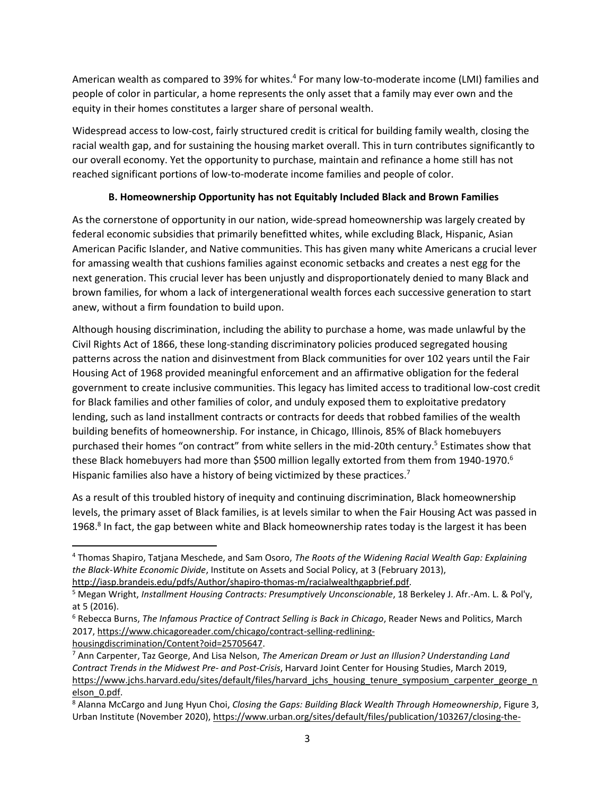American wealth as compared to 39% for whites.<sup>4</sup> For many low-to-moderate income (LMI) families and people of color in particular, a home represents the only asset that a family may ever own and the equity in their homes constitutes a larger share of personal wealth.

Widespread access to low-cost, fairly structured credit is critical for building family wealth, closing the racial wealth gap, and for sustaining the housing market overall. This in turn contributes significantly to our overall economy. Yet the opportunity to purchase, maintain and refinance a home still has not reached significant portions of low-to-moderate income families and people of color.

### **B. Homeownership Opportunity has not Equitably Included Black and Brown Families**

As the cornerstone of opportunity in our nation, wide-spread homeownership was largely created by federal economic subsidies that primarily benefitted whites, while excluding Black, Hispanic, Asian American Pacific Islander, and Native communities. This has given many white Americans a crucial lever for amassing wealth that cushions families against economic setbacks and creates a nest egg for the next generation. This crucial lever has been unjustly and disproportionately denied to many Black and brown families, for whom a lack of intergenerational wealth forces each successive generation to start anew, without a firm foundation to build upon.

Although housing discrimination, including the ability to purchase a home, was made unlawful by the Civil Rights Act of 1866, these long-standing discriminatory policies produced segregated housing patterns across the nation and disinvestment from Black communities for over 102 years until the Fair Housing Act of 1968 provided meaningful enforcement and an affirmative obligation for the federal government to create inclusive communities. This legacy has limited access to traditional low-cost credit for Black families and other families of color, and unduly exposed them to exploitative predatory lending, such as land installment contracts or contracts for deeds that robbed families of the wealth building benefits of homeownership. For instance, in Chicago, Illinois, 85% of Black homebuyers purchased their homes "on contract" from white sellers in the mid-20th century.<sup>5</sup> Estimates show that these Black homebuyers had more than \$500 million legally extorted from them from 1940-1970.<sup>6</sup> Hispanic families also have a history of being victimized by these practices.<sup>7</sup>

As a result of this troubled history of inequity and continuing discrimination, Black homeownership levels, the primary asset of Black families, is at levels similar to when the Fair Housing Act was passed in 1968.<sup>8</sup> In fact, the gap between white and Black homeownership rates today is the largest it has been

[housingdiscrimination/Content?oid=25705647.](https://www.chicagoreader.com/chicago/contract-selling-redlining-housingdiscrimination/Content?oid=25705647)

<sup>4</sup> Thomas Shapiro, Tatjana Meschede, and Sam Osoro, *The Roots of the Widening Racial Wealth Gap: Explaining the Black-White Economic Divide*, Institute on Assets and Social Policy, at 3 (February 2013),

[http://iasp.brandeis.edu/pdfs/Author/shapiro-thomas-m/racialwealthgapbrief.pdf.](http://iasp.brandeis.edu/pdfs/Author/shapiro-thomas-m/racialwealthgapbrief.pdf)

<sup>5</sup> Megan Wright, *Installment Housing Contracts: Presumptively Unconscionable*, 18 Berkeley J. Afr.-Am. L. & Pol'y, at 5 (2016).

<sup>6</sup> Rebecca Burns, *The Infamous Practice of Contract Selling is Back in Chicago*, Reader News and Politics, March 2017, [https://www.chicagoreader.com/chicago/contract-selling-redlining-](https://www.chicagoreader.com/chicago/contract-selling-redlining-housingdiscrimination/Content?oid=25705647)

<sup>7</sup> Ann Carpenter, Taz George, And Lisa Nelson, *The American Dream or Just an Illusion? Understanding Land Contract Trends in the Midwest Pre- and Post-Crisis*, Harvard Joint Center for Housing Studies, March 2019, [https://www.jchs.harvard.edu/sites/default/files/harvard\\_jchs\\_housing\\_tenure\\_symposium\\_carpenter\\_george\\_n](https://www.jchs.harvard.edu/sites/default/files/harvard_jchs_housing_tenure_symposium_carpenter_george_nelson_0.pdf) [elson\\_0.pdf.](https://www.jchs.harvard.edu/sites/default/files/harvard_jchs_housing_tenure_symposium_carpenter_george_nelson_0.pdf)

<sup>8</sup> Alanna McCargo and Jung Hyun Choi, *Closing the Gaps: Building Black Wealth Through Homeownership*, Figure 3, Urban Institute (November 2020), [https://www.urban.org/sites/default/files/publication/103267/closing-the-](https://www.urban.org/sites/default/files/publication/103267/closing-the-gaps-building-black-wealth-through-homeownership_0.pdf)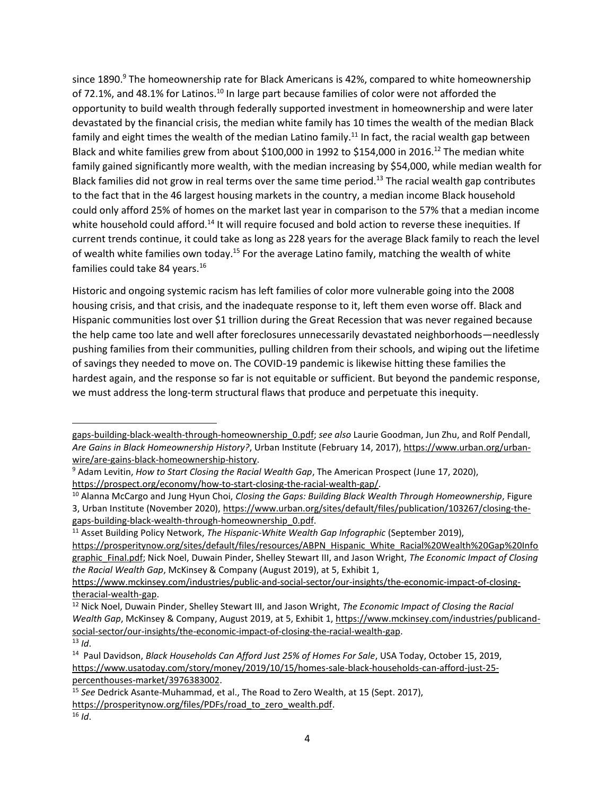since 1890. $9$  The homeownership rate for Black Americans is 42%, compared to white homeownership of 72.1%, and 48.1% for Latinos.<sup>10</sup> In large part because families of color were not afforded the opportunity to build wealth through federally supported investment in homeownership and were later devastated by the financial crisis, the median white family has 10 times the wealth of the median Black family and eight times the wealth of the median Latino family.<sup>11</sup> In fact, the racial wealth gap between Black and white families grew from about \$100,000 in 1992 to \$154,000 in 2016.<sup>12</sup> The median white family gained significantly more wealth, with the median increasing by \$54,000, while median wealth for Black families did not grow in real terms over the same time period.<sup>13</sup> The racial wealth gap contributes to the fact that in the 46 largest housing markets in the country, a median income Black household could only afford 25% of homes on the market last year in comparison to the 57% that a median income white household could afford.<sup>14</sup> It will require focused and bold action to reverse these inequities. If current trends continue, it could take as long as 228 years for the average Black family to reach the level of wealth white families own today.<sup>15</sup> For the average Latino family, matching the wealth of white families could take 84 years.<sup>16</sup>

Historic and ongoing systemic racism has left families of color more vulnerable going into the 2008 housing crisis, and that crisis, and the inadequate response to it, left them even worse off. Black and Hispanic communities lost over \$1 trillion during the Great Recession that was never regained because the help came too late and well after foreclosures unnecessarily devastated neighborhoods—needlessly pushing families from their communities, pulling children from their schools, and wiping out the lifetime of savings they needed to move on. The COVID-19 pandemic is likewise hitting these families the hardest again, and the response so far is not equitable or sufficient. But beyond the pandemic response, we must address the long-term structural flaws that produce and perpetuate this inequity.

<sup>11</sup> Asset Building Policy Network, *The Hispanic-White Wealth Gap Infographic* (September 2019),

[gaps-building-black-wealth-through-homeownership\\_0.pdf;](https://www.urban.org/sites/default/files/publication/103267/closing-the-gaps-building-black-wealth-through-homeownership_0.pdf) *see also* Laurie Goodman, Jun Zhu, and Rolf Pendall, *Are Gains in Black Homeownership History?*, Urban Institute (February 14, 2017), [https://www.urban.org/urban](https://www.urban.org/urban-wire/are-gains-black-homeownership-history)[wire/are-gains-black-homeownership-history.](https://www.urban.org/urban-wire/are-gains-black-homeownership-history)

<sup>9</sup> Adam Levitin, *How to Start Closing the Racial Wealth Gap*, The American Prospect (June 17, 2020), [https://prospect.org/economy/how-to-start-closing-the-racial-wealth-gap/.](https://prospect.org/economy/how-to-start-closing-the-racial-wealth-gap/)

<sup>10</sup> Alanna McCargo and Jung Hyun Choi, *Closing the Gaps: Building Black Wealth Through Homeownership*, Figure 3, Urban Institute (November 2020), [https://www.urban.org/sites/default/files/publication/103267/closing-the](https://www.urban.org/sites/default/files/publication/103267/closing-the-gaps-building-black-wealth-through-homeownership_0.pdf)[gaps-building-black-wealth-through-homeownership\\_0.pdf.](https://www.urban.org/sites/default/files/publication/103267/closing-the-gaps-building-black-wealth-through-homeownership_0.pdf)

[https://prosperitynow.org/sites/default/files/resources/ABPN\\_Hispanic\\_White\\_Racial%20Wealth%20Gap%20Info](https://prosperitynow.org/sites/default/files/resources/ABPN_Hispanic_White_Racial%20Wealth%20Gap%20Infographic_Final.pdf) [graphic\\_Final.pdf;](https://prosperitynow.org/sites/default/files/resources/ABPN_Hispanic_White_Racial%20Wealth%20Gap%20Infographic_Final.pdf) Nick Noel, Duwain Pinder, Shelley Stewart III, and Jason Wright, *The Economic Impact of Closing the Racial Wealth Gap*, McKinsey & Company (August 2019), at 5, Exhibit 1,

[https://www.mckinsey.com/industries/public-and-social-sector/our-insights/the-economic-impact-of-closing](https://www.mckinsey.com/industries/public-and-social-sector/our-insights/the-economic-impact-of-closing-theracial-wealth-gap)[theracial-wealth-gap.](https://www.mckinsey.com/industries/public-and-social-sector/our-insights/the-economic-impact-of-closing-theracial-wealth-gap)

<sup>12</sup> Nick Noel, Duwain Pinder, Shelley Stewart III, and Jason Wright, *The Economic Impact of Closing the Racial Wealth Gap*, McKinsey & Company, August 2019, at 5, Exhibit 1, [https://www.mckinsey.com/industries/publicand](https://www.mckinsey.com/industries/publicand-social-sector/our-insights/the-economic-impact-of-closing-the-racial-wealth-gap)[social-sector/our-insights/the-economic-impact-of-closing-the-racial-wealth-gap.](https://www.mckinsey.com/industries/publicand-social-sector/our-insights/the-economic-impact-of-closing-the-racial-wealth-gap)

 $\frac{13}{13}$  *Id*.

<sup>14</sup> Paul Davidson, *Black Households Can Afford Just 25% of Homes For Sale*, USA Today, October 15, 2019, [https://www.usatoday.com/story/money/2019/10/15/homes-sale-black-households-can-afford-just-25](https://www.usatoday.com/story/money/2019/10/15/homes-sale-black-households-can-afford-just-25-%20percenthouses-market/3976383002) [percenthouses-market/3976383002.](https://www.usatoday.com/story/money/2019/10/15/homes-sale-black-households-can-afford-just-25-%20percenthouses-market/3976383002)

<sup>15</sup> *See* Dedrick Asante-Muhammad, et al., The Road to Zero Wealth, at 15 (Sept. 2017), [https://prosperitynow.org/files/PDFs/road\\_to\\_zero\\_wealth.pdf.](https://prosperitynow.org/files/PDFs/road_to_zero_wealth.pdf)

<sup>16</sup> *Id*.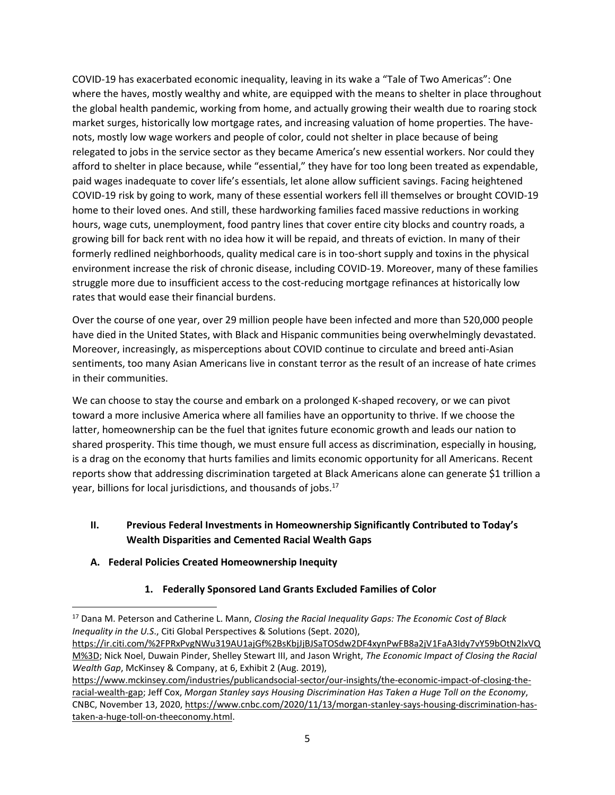COVID-19 has exacerbated economic inequality, leaving in its wake a "Tale of Two Americas": One where the haves, mostly wealthy and white, are equipped with the means to shelter in place throughout the global health pandemic, working from home, and actually growing their wealth due to roaring stock market surges, historically low mortgage rates, and increasing valuation of home properties. The havenots, mostly low wage workers and people of color, could not shelter in place because of being relegated to jobs in the service sector as they became America's new essential workers. Nor could they afford to shelter in place because, while "essential," they have for too long been treated as expendable, paid wages inadequate to cover life's essentials, let alone allow sufficient savings. Facing heightened COVID-19 risk by going to work, many of these essential workers fell ill themselves or brought COVID-19 home to their loved ones. And still, these hardworking families faced massive reductions in working hours, wage cuts, unemployment, food pantry lines that cover entire city blocks and country roads, a growing bill for back rent with no idea how it will be repaid, and threats of eviction. In many of their formerly redlined neighborhoods, quality medical care is in too-short supply and toxins in the physical environment increase the risk of chronic disease, including COVID-19. Moreover, many of these families struggle more due to insufficient access to the cost-reducing mortgage refinances at historically low rates that would ease their financial burdens.

Over the course of one year, over 29 million people have been infected and more than 520,000 people have died in the United States, with Black and Hispanic communities being overwhelmingly devastated. Moreover, increasingly, as misperceptions about COVID continue to circulate and breed anti-Asian sentiments, too many Asian Americans live in constant terror as the result of an increase of hate crimes in their communities.

We can choose to stay the course and embark on a prolonged K-shaped recovery, or we can pivot toward a more inclusive America where all families have an opportunity to thrive. If we choose the latter, homeownership can be the fuel that ignites future economic growth and leads our nation to shared prosperity. This time though, we must ensure full access as discrimination, especially in housing, is a drag on the economy that hurts families and limits economic opportunity for all Americans. Recent reports show that addressing discrimination targeted at Black Americans alone can generate \$1 trillion a year, billions for local jurisdictions, and thousands of jobs.<sup>17</sup>

# **II. Previous Federal Investments in Homeownership Significantly Contributed to Today's Wealth Disparities and Cemented Racial Wealth Gaps**

# **A. Federal Policies Created Homeownership Inequity**

### **1. Federally Sponsored Land Grants Excluded Families of Color**

<sup>17</sup> Dana M. Peterson and Catherine L. Mann, *Closing the Racial Inequality Gaps: The Economic Cost of Black Inequality in the U.S*., Citi Global Perspectives & Solutions (Sept. 2020),

[https://ir.citi.com/%2FPRxPvgNWu319AU1ajGf%2BsKbjJjBJSaTOSdw2DF4xynPwFB8a2jV1FaA3Idy7vY59bOtN2lxVQ](https://ir.citi.com/%2FPRxPvgNWu319AU1ajGf%2BsKbjJjBJSaTOSdw2DF4xynPwFB8a2jV1FaA3Idy7vY59bOtN2lxVQM%3D) [M%3D;](https://ir.citi.com/%2FPRxPvgNWu319AU1ajGf%2BsKbjJjBJSaTOSdw2DF4xynPwFB8a2jV1FaA3Idy7vY59bOtN2lxVQM%3D) Nick Noel, Duwain Pinder, Shelley Stewart III, and Jason Wright, *The Economic Impact of Closing the Racial Wealth Gap*, McKinsey & Company, at 6, Exhibit 2 (Aug. 2019),

[https://www.mckinsey.com/industries/publicandsocial-sector/our-insights/the-economic-impact-of-closing-the](https://www.mckinsey.com/industries/publicandsocial-sector/our-insights/the-economic-impact-of-closing-the-racial-wealth-gap)[racial-wealth-gap;](https://www.mckinsey.com/industries/publicandsocial-sector/our-insights/the-economic-impact-of-closing-the-racial-wealth-gap) Jeff Cox, *Morgan Stanley says Housing Discrimination Has Taken a Huge Toll on the Economy*, CNBC, November 13, 2020, [https://www.cnbc.com/2020/11/13/morgan-stanley-says-housing-discrimination-has](https://www.cnbc.com/2020/11/13/morgan-stanley-says-housing-discrimination-has-taken-a-huge-toll-on-theeconomy.html)[taken-a-huge-toll-on-theeconomy.html.](https://www.cnbc.com/2020/11/13/morgan-stanley-says-housing-discrimination-has-taken-a-huge-toll-on-theeconomy.html)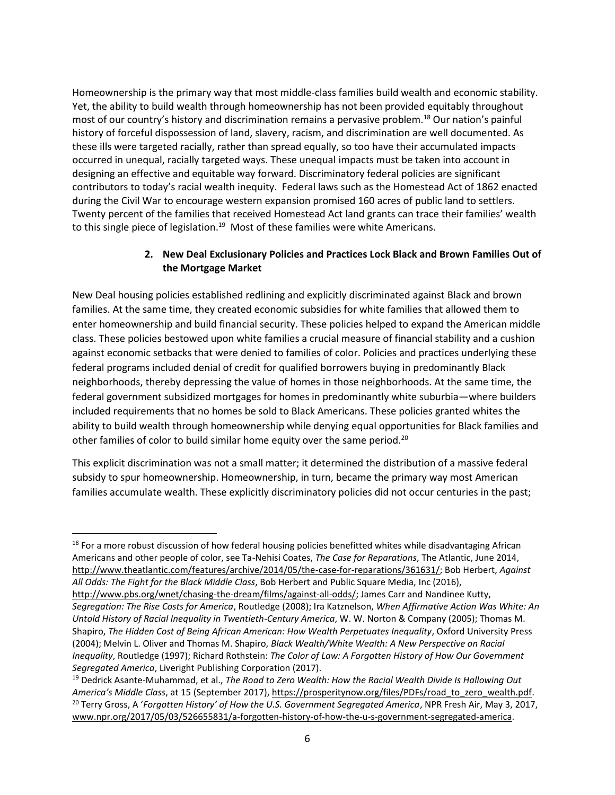Homeownership is the primary way that most middle-class families build wealth and economic stability. Yet, the ability to build wealth through homeownership has not been provided equitably throughout most of our country's history and discrimination remains a pervasive problem.<sup>18</sup> Our nation's painful history of forceful dispossession of land, slavery, racism, and discrimination are well documented. As these ills were targeted racially, rather than spread equally, so too have their accumulated impacts occurred in unequal, racially targeted ways. These unequal impacts must be taken into account in designing an effective and equitable way forward. Discriminatory federal policies are significant contributors to today's racial wealth inequity. Federal laws such as the Homestead Act of 1862 enacted during the Civil War to encourage western expansion promised 160 acres of public land to settlers. Twenty percent of the families that received Homestead Act land grants can trace their families' wealth to this single piece of legislation.<sup>19</sup> Most of these families were white Americans.

### **2. New Deal Exclusionary Policies and Practices Lock Black and Brown Families Out of the Mortgage Market**

New Deal housing policies established redlining and explicitly discriminated against Black and brown families. At the same time, they created economic subsidies for white families that allowed them to enter homeownership and build financial security. These policies helped to expand the American middle class. These policies bestowed upon white families a crucial measure of financial stability and a cushion against economic setbacks that were denied to families of color. Policies and practices underlying these federal programs included denial of credit for qualified borrowers buying in predominantly Black neighborhoods, thereby depressing the value of homes in those neighborhoods. At the same time, the federal government subsidized mortgages for homes in predominantly white suburbia—where builders included requirements that no homes be sold to Black Americans. These policies granted whites the ability to build wealth through homeownership while denying equal opportunities for Black families and other families of color to build similar home equity over the same period.<sup>20</sup>

This explicit discrimination was not a small matter; it determined the distribution of a massive federal subsidy to spur homeownership. Homeownership, in turn, became the primary way most American families accumulate wealth. These explicitly discriminatory policies did not occur centuries in the past;

<sup>&</sup>lt;sup>18</sup> For a more robust discussion of how federal housing policies benefitted whites while disadvantaging African Americans and other people of color, see Ta-Nehisi Coates, *The Case for Reparations*, The Atlantic, June 2014, [http://www.theatlantic.com/features/archive/2014/05/the-case-for-reparations/361631/;](http://www.theatlantic.com/features/archive/2014/05/the-case-for-reparations/361631/) Bob Herbert, *Against All Odds: The Fight for the Black Middle Class*, Bob Herbert and Public Square Media, Inc (2016),

[http://www.pbs.org/wnet/chasing-the-dream/films/against-all-odds/;](http://www.pbs.org/wnet/chasing-the-dream/films/against-all-odds/) James Carr and Nandinee Kutty, *Segregation: The Rise Costs for America*, Routledge (2008); Ira Katznelson, *When Affirmative Action Was White: An Untold History of Racial Inequality in Twentieth-Century America*, W. W. Norton & Company (2005); Thomas M. Shapiro, *The Hidden Cost of Being African American: How Wealth Perpetuates Inequality*, Oxford University Press (2004); Melvin L. Oliver and Thomas M. Shapiro, *Black Wealth/White Wealth: A New Perspective on Racial Inequality*, Routledge (1997); Richard Rothstein: *The Color of Law: A Forgotten History of How Our Government Segregated America*, Liveright Publishing Corporation (2017).

<sup>19</sup> Dedrick Asante-Muhammad, et al., *The Road to Zero Wealth: How the Racial Wealth Divide Is Hallowing Out America's Middle Class*, at 15 (September 2017), [https://prosperitynow.org/files/PDFs/road\\_to\\_zero\\_wealth.pdf.](https://prosperitynow.org/files/PDFs/road_to_zero_wealth.pdf) <sup>20</sup> Terry Gross, A '*Forgotten History' of How the U.S. Government Segregated America*, NPR Fresh Air, May 3, 2017, [www.npr.org/2017/05/03/526655831/a-forgotten-history-of-how-the-u-s-government-segregated-america.](http://www.npr.org/2017/05/03/526655831/a-forgotten-history-of-how-the-u-s-government-segregated-america)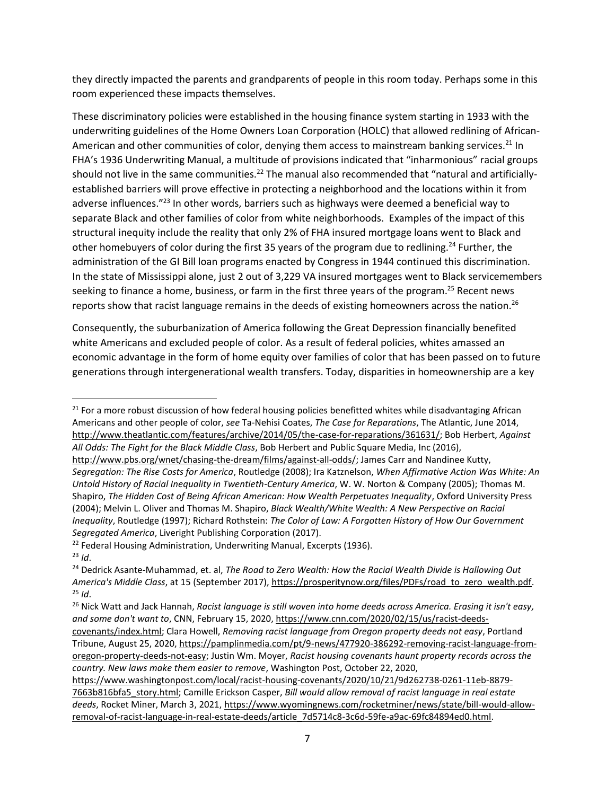they directly impacted the parents and grandparents of people in this room today. Perhaps some in this room experienced these impacts themselves.

These discriminatory policies were established in the housing finance system starting in 1933 with the underwriting guidelines of the Home Owners Loan Corporation (HOLC) that allowed redlining of African-American and other communities of color, denying them access to mainstream banking services.<sup>21</sup> In FHA's 1936 Underwriting Manual, a multitude of provisions indicated that "inharmonious" racial groups should not live in the same communities.<sup>22</sup> The manual also recommended that "natural and artificiallyestablished barriers will prove effective in protecting a neighborhood and the locations within it from adverse influences."<sup>23</sup> In other words, barriers such as highways were deemed a beneficial way to separate Black and other families of color from white neighborhoods. Examples of the impact of this structural inequity include the reality that only 2% of FHA insured mortgage loans went to Black and other homebuyers of color during the first 35 years of the program due to redlining.<sup>24</sup> Further, the administration of the GI Bill loan programs enacted by Congress in 1944 continued this discrimination. In the state of Mississippi alone, just 2 out of 3,229 VA insured mortgages went to Black servicemembers seeking to finance a home, business, or farm in the first three years of the program.<sup>25</sup> Recent news reports show that racist language remains in the deeds of existing homeowners across the nation.<sup>26</sup>

Consequently, the suburbanization of America following the Great Depression financially benefited white Americans and excluded people of color. As a result of federal policies, whites amassed an economic advantage in the form of home equity over families of color that has been passed on to future generations through intergenerational wealth transfers. Today, disparities in homeownership are a key

<sup>21</sup> For a more robust discussion of how federal housing policies benefitted whites while disadvantaging African Americans and other people of color, *see* Ta-Nehisi Coates, *The Case for Reparations*, The Atlantic, June 2014, [http://www.theatlantic.com/features/archive/2014/05/the-case-for-reparations/361631/;](http://www.theatlantic.com/features/archive/2014/05/the-case-for-reparations/361631/) Bob Herbert, *Against All Odds: The Fight for the Black Middle Class*, Bob Herbert and Public Square Media, Inc (2016),

[http://www.pbs.org/wnet/chasing-the-dream/films/against-all-odds/;](http://www.pbs.org/wnet/chasing-the-dream/films/against-all-odds/) James Carr and Nandinee Kutty, *Segregation: The Rise Costs for America*, Routledge (2008); Ira Katznelson, *When Affirmative Action Was White: An Untold History of Racial Inequality in Twentieth-Century America*, W. W. Norton & Company (2005); Thomas M. Shapiro, *The Hidden Cost of Being African American: How Wealth Perpetuates Inequality*, Oxford University Press (2004); Melvin L. Oliver and Thomas M. Shapiro, *Black Wealth/White Wealth: A New Perspective on Racial Inequality*, Routledge (1997); Richard Rothstein: *The Color of Law: A Forgotten History of How Our Government Segregated America*, Liveright Publishing Corporation (2017).

<sup>&</sup>lt;sup>22</sup> Federal Housing Administration, Underwriting Manual, Excerpts (1936). <sup>23</sup> *Id*.

<sup>24</sup> Dedrick Asante-Muhammad, et. al, *The Road to Zero Wealth: How the Racial Wealth Divide is Hallowing Out America's Middle Class*, at 15 (September 2017)[, https://prosperitynow.org/files/PDFs/road\\_to\\_zero\\_wealth.pdf.](https://prosperitynow.org/files/PDFs/road_to_zero_wealth.pdf)  $^{25}$  *Id.* 

<sup>26</sup> Nick Watt and Jack Hannah, *Racist language is still woven into home deeds across America. Erasing it isn't easy, and some don't want to*, CNN, February 15, 2020[, https://www.cnn.com/2020/02/15/us/racist-deeds-](https://www.cnn.com/2020/02/15/us/racist-deeds-covenants/index.html)

[covenants/index.html;](https://www.cnn.com/2020/02/15/us/racist-deeds-covenants/index.html) Clara Howell, *Removing racist language from Oregon property deeds not easy*, Portland Tribune, August 25, 2020[, https://pamplinmedia.com/pt/9-news/477920-386292-removing-racist-language-from](https://pamplinmedia.com/pt/9-news/477920-386292-removing-racist-language-from-oregon-property-deeds-not-easy)[oregon-property-deeds-not-easy;](https://pamplinmedia.com/pt/9-news/477920-386292-removing-racist-language-from-oregon-property-deeds-not-easy) Justin Wm. Moyer, *Racist housing covenants haunt property records across the country. New laws make them easier to remove*, Washington Post, October 22, 2020,

[https://www.washingtonpost.com/local/racist-housing-covenants/2020/10/21/9d262738-0261-11eb-8879-](https://www.washingtonpost.com/local/racist-housing-covenants/2020/10/21/9d262738-0261-11eb-8879-7663b816bfa5_story.html) [7663b816bfa5\\_story.html;](https://www.washingtonpost.com/local/racist-housing-covenants/2020/10/21/9d262738-0261-11eb-8879-7663b816bfa5_story.html) Camille Erickson Casper, *Bill would allow removal of racist language in real estate deeds*, Rocket Miner, March 3, 2021, [https://www.wyomingnews.com/rocketminer/news/state/bill-would-allow](https://www.wyomingnews.com/rocketminer/news/state/bill-would-allow-removal-of-racist-language-in-real-estate-deeds/article_7d5714c8-3c6d-59fe-a9ac-69fc84894ed0.html)[removal-of-racist-language-in-real-estate-deeds/article\\_7d5714c8-3c6d-59fe-a9ac-69fc84894ed0.html.](https://www.wyomingnews.com/rocketminer/news/state/bill-would-allow-removal-of-racist-language-in-real-estate-deeds/article_7d5714c8-3c6d-59fe-a9ac-69fc84894ed0.html)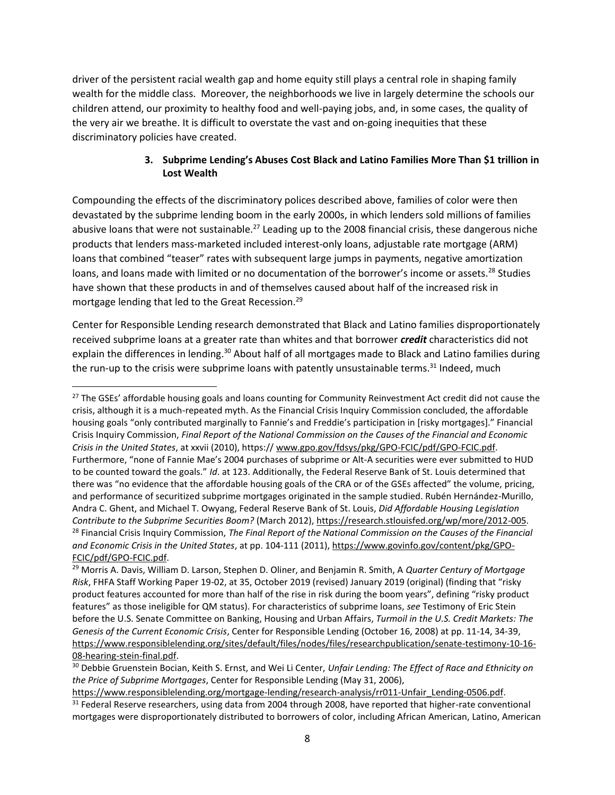driver of the persistent racial wealth gap and home equity still plays a central role in shaping family wealth for the middle class. Moreover, the neighborhoods we live in largely determine the schools our children attend, our proximity to healthy food and well-paying jobs, and, in some cases, the quality of the very air we breathe. It is difficult to overstate the vast and on-going inequities that these discriminatory policies have created.

## **3. Subprime Lending's Abuses Cost Black and Latino Families More Than \$1 trillion in Lost Wealth**

Compounding the effects of the discriminatory polices described above, families of color were then devastated by the subprime lending boom in the early 2000s, in which lenders sold millions of families abusive loans that were not sustainable.<sup>27</sup> Leading up to the 2008 financial crisis, these dangerous niche products that lenders mass-marketed included interest-only loans, adjustable rate mortgage (ARM) loans that combined "teaser" rates with subsequent large jumps in payments, negative amortization loans, and loans made with limited or no documentation of the borrower's income or assets.<sup>28</sup> Studies have shown that these products in and of themselves caused about half of the increased risk in mortgage lending that led to the Great Recession.<sup>29</sup>

Center for Responsible Lending research demonstrated that Black and Latino families disproportionately received subprime loans at a greater rate than whites and that borrower *credit* characteristics did not explain the differences in lending.<sup>30</sup> About half of all mortgages made to Black and Latino families during the run-up to the crisis were subprime loans with patently unsustainable terms.<sup>31</sup> Indeed, much

<sup>&</sup>lt;sup>27</sup> The GSEs' affordable housing goals and loans counting for Community Reinvestment Act credit did not cause the crisis, although it is a much-repeated myth. As the Financial Crisis Inquiry Commission concluded, the affordable housing goals "only contributed marginally to Fannie's and Freddie's participation in [risky mortgages]." Financial Crisis Inquiry Commission, *Final Report of the National Commission on the Causes of the Financial and Economic Crisis in the United States*, at xxvii (2010), https:// [www.gpo.gov/fdsys/pkg/GPO-FCIC/pdf/GPO-FCIC.pdf.](http://www.gpo.gov/fdsys/pkg/GPO-FCIC/pdf/GPO-FCIC.pdf) Furthermore, "none of Fannie Mae's 2004 purchases of subprime or Alt-A securities were ever submitted to HUD to be counted toward the goals." *Id*. at 123. Additionally, the Federal Reserve Bank of St. Louis determined that there was "no evidence that the affordable housing goals of the CRA or of the GSEs affected" the volume, pricing, and performance of securitized subprime mortgages originated in the sample studied. Rubén Hernández-Murillo, Andra C. Ghent, and Michael T. Owyang, Federal Reserve Bank of St. Louis, *Did Affordable Housing Legislation Contribute to the Subprime Securities Boom?* (March 2012), [https://research.stlouisfed.org/wp/more/2012-005.](https://research.stlouisfed.org/wp/more/2012-005) <sup>28</sup> Financial Crisis Inquiry Commission, *The Final Report of the National Commission on the Causes of the Financial and Economic Crisis in the United States*, at pp. 104-111 (2011), [https://www.govinfo.gov/content/pkg/GPO-](https://www.govinfo.gov/content/pkg/GPO-FCIC/pdf/GPO-FCIC.pdf)[FCIC/pdf/GPO-FCIC.pdf.](https://www.govinfo.gov/content/pkg/GPO-FCIC/pdf/GPO-FCIC.pdf)

<sup>29</sup> Morris A. Davis, William D. Larson, Stephen D. Oliner, and Benjamin R. Smith, A *Quarter Century of Mortgage Risk*, FHFA Staff Working Paper 19-02, at 35, October 2019 (revised) January 2019 (original) (finding that "risky product features accounted for more than half of the rise in risk during the boom years", defining "risky product features" as those ineligible for QM status). For characteristics of subprime loans, *see* Testimony of Eric Stein before the U.S. Senate Committee on Banking, Housing and Urban Affairs, *Turmoil in the U.S. Credit Markets: The Genesis of the Current Economic Crisis*, Center for Responsible Lending (October 16, 2008) at pp. 11-14, 34-39, [https://www.responsiblelending.org/sites/default/files/nodes/files/researchpublication/senate-testimony-10-16-](https://www.responsiblelending.org/sites/default/files/nodes/files/researchpublication/senate-testimony-10-16-08-hearing-stein-final.pdf) [08-hearing-stein-final.pdf.](https://www.responsiblelending.org/sites/default/files/nodes/files/researchpublication/senate-testimony-10-16-08-hearing-stein-final.pdf)

<sup>30</sup> Debbie Gruenstein Bocian, Keith S. Ernst, and Wei Li Center, *Unfair Lending: The Effect of Race and Ethnicity on the Price of Subprime Mortgages*, Center for Responsible Lending (May 31, 2006),

[https://www.responsiblelending.org/mortgage-lending/research-analysis/rr011-Unfair\\_Lending-0506.pdf.](https://www.responsiblelending.org/mortgage-lending/research-analysis/rr011-Unfair_Lending-0506.pdf) <sup>31</sup> Federal Reserve researchers, using data from 2004 through 2008, have reported that higher-rate conventional mortgages were disproportionately distributed to borrowers of color, including African American, Latino, American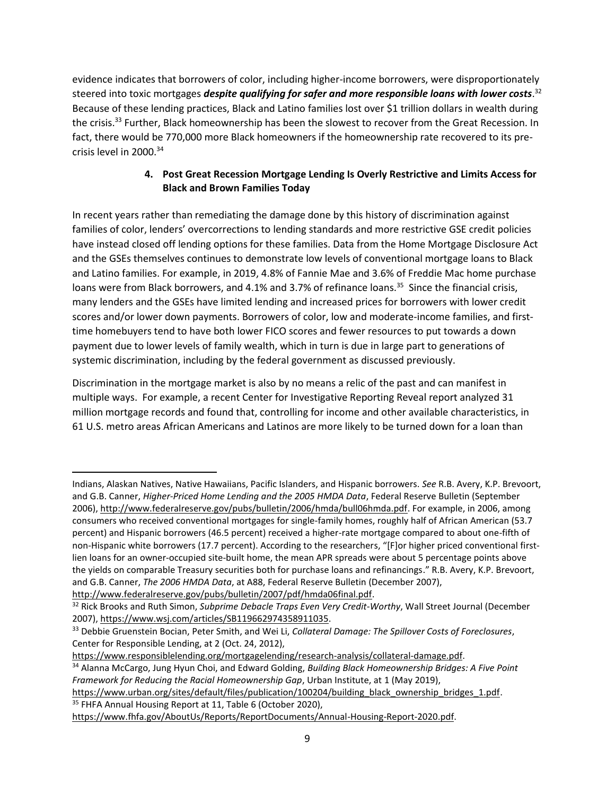evidence indicates that borrowers of color, including higher-income borrowers, were disproportionately steered into toxic mortgages *despite qualifying for safer and more responsible loans with lower costs*. 32 Because of these lending practices, Black and Latino families lost over \$1 trillion dollars in wealth during the crisis.<sup>33</sup> Further, Black homeownership has been the slowest to recover from the Great Recession. In fact, there would be 770,000 more Black homeowners if the homeownership rate recovered to its precrisis level in 2000.<sup>34</sup>

## **4. Post Great Recession Mortgage Lending Is Overly Restrictive and Limits Access for Black and Brown Families Today**

In recent years rather than remediating the damage done by this history of discrimination against families of color, lenders' overcorrections to lending standards and more restrictive GSE credit policies have instead closed off lending options for these families. Data from the Home Mortgage Disclosure Act and the GSEs themselves continues to demonstrate low levels of conventional mortgage loans to Black and Latino families. For example, in 2019, 4.8% of Fannie Mae and 3.6% of Freddie Mac home purchase loans were from Black borrowers, and 4.1% and 3.7% of refinance loans.<sup>35</sup> Since the financial crisis, many lenders and the GSEs have limited lending and increased prices for borrowers with lower credit scores and/or lower down payments. Borrowers of color, low and moderate-income families, and firsttime homebuyers tend to have both lower FICO scores and fewer resources to put towards a down payment due to lower levels of family wealth, which in turn is due in large part to generations of systemic discrimination, including by the federal government as discussed previously.

Discrimination in the mortgage market is also by no means a relic of the past and can manifest in multiple ways. For example, a recent Center for Investigative Reporting Reveal report analyzed 31 million mortgage records and found that, controlling for income and other available characteristics, in 61 U.S. metro areas African Americans and Latinos are more likely to be turned down for a loan than

[https://www.urban.org/sites/default/files/publication/100204/building\\_black\\_ownership\\_bridges\\_1.pdf.](https://www.urban.org/sites/default/files/publication/100204/building_black_ownership_bridges_1.pdf) <sup>35</sup> FHFA Annual Housing Report at 11, Table 6 (October 2020),

Indians, Alaskan Natives, Native Hawaiians, Pacific Islanders, and Hispanic borrowers. *See* R.B. Avery, K.P. Brevoort, and G.B. Canner, *Higher-Priced Home Lending and the 2005 HMDA Data*, Federal Reserve Bulletin (September 2006), [http://www.federalreserve.gov/pubs/bulletin/2006/hmda/bull06hmda.pdf.](http://www.federalreserve.gov/pubs/bulletin/2006/hmda/bull06hmda.pdf) For example, in 2006, among consumers who received conventional mortgages for single-family homes, roughly half of African American (53.7 percent) and Hispanic borrowers (46.5 percent) received a higher-rate mortgage compared to about one-fifth of non-Hispanic white borrowers (17.7 percent). According to the researchers, "[F]or higher priced conventional firstlien loans for an owner-occupied site-built home, the mean APR spreads were about 5 percentage points above the yields on comparable Treasury securities both for purchase loans and refinancings." R.B. Avery, K.P. Brevoort, and G.B. Canner, *The 2006 HMDA Data*, at A88, Federal Reserve Bulletin (December 2007),

[http://www.federalreserve.gov/pubs/bulletin/2007/pdf/hmda06final.pdf.](http://www.federalreserve.gov/pubs/bulletin/2007/pdf/hmda06final.pdf)

<sup>32</sup> Rick Brooks and Ruth Simon, *Subprime Debacle Traps Even Very Credit-Worthy*, Wall Street Journal (December 2007), [https://www.wsj.com/articles/SB119662974358911035.](https://www.wsj.com/articles/SB119662974358911035)

<sup>33</sup> Debbie Gruenstein Bocian, Peter Smith, and Wei Li, *Collateral Damage: The Spillover Costs of Foreclosures*, Center for Responsible Lending, at 2 (Oct. 24, 2012),

[https://www.responsiblelending.org/mortgagelending/research-analysis/collateral-damage.pdf.](https://www.responsiblelending.org/mortgagelending/research-analysis/collateral-damage.pdf)

<sup>34</sup> Alanna McCargo, Jung Hyun Choi, and Edward Golding, *Building Black Homeownership Bridges: A Five Point Framework for Reducing the Racial Homeownership Gap*, Urban Institute, at 1 (May 2019),

[https://www.fhfa.gov/AboutUs/Reports/ReportDocuments/Annual-Housing-Report-2020.pdf.](https://www.fhfa.gov/AboutUs/Reports/ReportDocuments/Annual-Housing-Report-2020.pdf)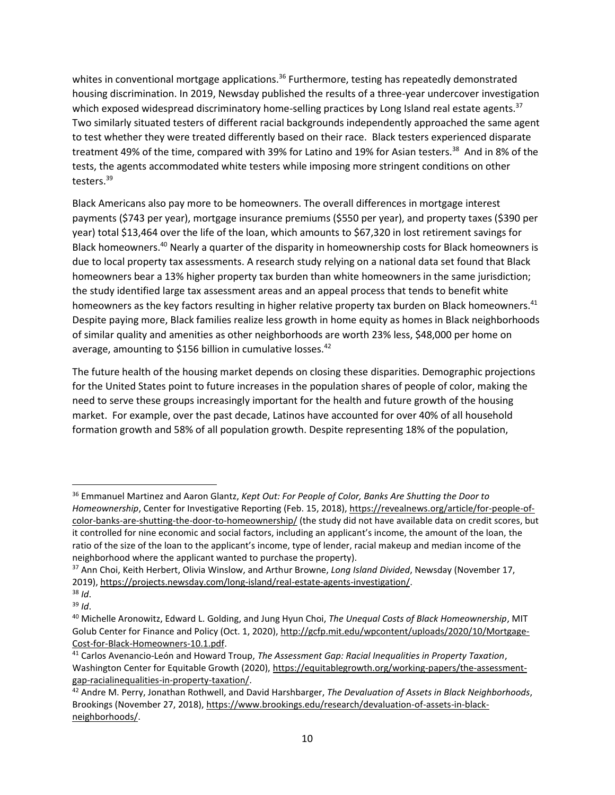whites in conventional mortgage applications.<sup>36</sup> Furthermore, testing has repeatedly demonstrated housing discrimination. In 2019, Newsday published the results of a three-year undercover investigation which exposed widespread discriminatory home-selling practices by Long Island real estate agents.<sup>37</sup> Two similarly situated testers of different racial backgrounds independently approached the same agent to test whether they were treated differently based on their race. Black testers experienced disparate treatment 49% of the time, compared with 39% for Latino and 19% for Asian testers.<sup>38</sup> And in 8% of the tests, the agents accommodated white testers while imposing more stringent conditions on other testers.<sup>39</sup>

Black Americans also pay more to be homeowners. The overall differences in mortgage interest payments (\$743 per year), mortgage insurance premiums (\$550 per year), and property taxes (\$390 per year) total \$13,464 over the life of the loan, which amounts to \$67,320 in lost retirement savings for Black homeowners.<sup>40</sup> Nearly a quarter of the disparity in homeownership costs for Black homeowners is due to local property tax assessments. A research study relying on a national data set found that Black homeowners bear a 13% higher property tax burden than white homeowners in the same jurisdiction; the study identified large tax assessment areas and an appeal process that tends to benefit white homeowners as the key factors resulting in higher relative property tax burden on Black homeowners.<sup>41</sup> Despite paying more, Black families realize less growth in home equity as homes in Black neighborhoods of similar quality and amenities as other neighborhoods are worth 23% less, \$48,000 per home on average, amounting to \$156 billion in cumulative losses.<sup>42</sup>

The future health of the housing market depends on closing these disparities. Demographic projections for the United States point to future increases in the population shares of people of color, making the need to serve these groups increasingly important for the health and future growth of the housing market. For example, over the past decade, Latinos have accounted for over 40% of all household formation growth and 58% of all population growth. Despite representing 18% of the population,

<sup>36</sup> Emmanuel Martinez and Aaron Glantz, *Kept Out: For People of Color, Banks Are Shutting the Door to Homeownership*, Center for Investigative Reporting (Feb. 15, 2018), [https://revealnews.org/article/for-people-of](https://revealnews.org/article/for-people-of-color-banks-are-shutting-the-door-to-homeownership/)[color-banks-are-shutting-the-door-to-homeownership/](https://revealnews.org/article/for-people-of-color-banks-are-shutting-the-door-to-homeownership/) (the study did not have available data on credit scores, but it controlled for nine economic and social factors, including an applicant's income, the amount of the loan, the ratio of the size of the loan to the applicant's income, type of lender, racial makeup and median income of the neighborhood where the applicant wanted to purchase the property).

<sup>37</sup> Ann Choi, Keith Herbert, Olivia Winslow, and Arthur Browne, *Long Island Divided*, Newsday (November 17, 2019), [https://projects.newsday.com/long-island/real-estate-agents-investigation/.](https://projects.newsday.com/long-island/real-estate-agents-investigation/)

<sup>38</sup> *Id*.

<sup>39</sup> *Id*.

<sup>40</sup> Michelle Aronowitz, Edward L. Golding, and Jung Hyun Choi, *The Unequal Costs of Black Homeownership*, MIT Golub Center for Finance and Policy (Oct. 1, 2020)[, http://gcfp.mit.edu/wpcontent/uploads/2020/10/Mortgage-](http://gcfp.mit.edu/wpcontent/uploads/2020/10/Mortgage-Cost-for-Black-Homeowners-10.1.pdf)[Cost-for-Black-Homeowners-10.1.pdf.](http://gcfp.mit.edu/wpcontent/uploads/2020/10/Mortgage-Cost-for-Black-Homeowners-10.1.pdf)

<sup>41</sup> Carlos Avenancio-León and Howard Troup, *The Assessment Gap: Racial Inequalities in Property Taxation*, Washington Center for Equitable Growth (2020)[, https://equitablegrowth.org/working-papers/the-assessment](https://equitablegrowth.org/working-papers/the-assessment-gap-racialinequalities-in-property-taxation/)[gap-racialinequalities-in-property-taxation/.](https://equitablegrowth.org/working-papers/the-assessment-gap-racialinequalities-in-property-taxation/) 

<sup>42</sup> Andre M. Perry, Jonathan Rothwell, and David Harshbarger, *The Devaluation of Assets in Black Neighborhoods*, Brookings (November 27, 2018)[, https://www.brookings.edu/research/devaluation-of-assets-in-black](https://www.brookings.edu/research/devaluation-of-assets-in-black-neighborhoods/)[neighborhoods/.](https://www.brookings.edu/research/devaluation-of-assets-in-black-neighborhoods/)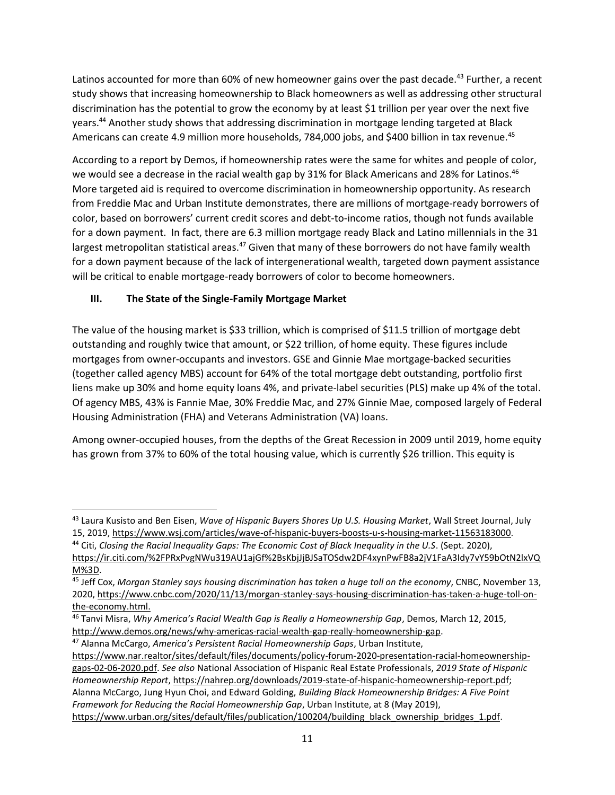Latinos accounted for more than 60% of new homeowner gains over the past decade.<sup>43</sup> Further, a recent study shows that increasing homeownership to Black homeowners as well as addressing other structural discrimination has the potential to grow the economy by at least \$1 trillion per year over the next five years.<sup>44</sup> Another study shows that addressing discrimination in mortgage lending targeted at Black Americans can create 4.9 million more households, 784,000 jobs, and \$400 billion in tax revenue.<sup>45</sup>

According to a report by Demos, if homeownership rates were the same for whites and people of color, we would see a decrease in the racial wealth gap by 31% for Black Americans and 28% for Latinos.<sup>46</sup> More targeted aid is required to overcome discrimination in homeownership opportunity. As research from Freddie Mac and Urban Institute demonstrates, there are millions of mortgage-ready borrowers of color, based on borrowers' current credit scores and debt-to-income ratios, though not funds available for a down payment. In fact, there are 6.3 million mortgage ready Black and Latino millennials in the 31 largest metropolitan statistical areas.<sup>47</sup> Given that many of these borrowers do not have family wealth for a down payment because of the lack of intergenerational wealth, targeted down payment assistance will be critical to enable mortgage-ready borrowers of color to become homeowners.

# **III. The State of the Single-Family Mortgage Market**

The value of the housing market is \$33 trillion, which is comprised of \$11.5 trillion of mortgage debt outstanding and roughly twice that amount, or \$22 trillion, of home equity. These figures include mortgages from owner-occupants and investors. GSE and Ginnie Mae mortgage-backed securities (together called agency MBS) account for 64% of the total mortgage debt outstanding, portfolio first liens make up 30% and home equity loans 4%, and private-label securities (PLS) make up 4% of the total. Of agency MBS, 43% is Fannie Mae, 30% Freddie Mac, and 27% Ginnie Mae, composed largely of Federal Housing Administration (FHA) and Veterans Administration (VA) loans.

Among owner-occupied houses, from the depths of the Great Recession in 2009 until 2019, home equity has grown from 37% to 60% of the total housing value, which is currently \$26 trillion. This equity is

<sup>43</sup> Laura Kusisto and Ben Eisen, *Wave of Hispanic Buyers Shores Up U.S. Housing Market*, Wall Street Journal, July 15, 2019, [https://www.wsj.com/articles/wave-of-hispanic-buyers-boosts-u-s-housing-market-11563183000.](https://www.wsj.com/articles/wave-of-hispanic-buyers-boosts-u-s-housing-market-11563183000)

<sup>44</sup> Citi, *Closing the Racial Inequality Gaps: The Economic Cost of Black Inequality in the U.S*. (Sept. 2020), [https://ir.citi.com/%2FPRxPvgNWu319AU1ajGf%2BsKbjJjBJSaTOSdw2DF4xynPwFB8a2jV1FaA3Idy7vY59bOtN2lxVQ](https://ir.citi.com/%2FPRxPvgNWu319AU1ajGf%2BsKbjJjBJSaTOSdw2DF4xynPwFB8a2jV1FaA3Idy7vY59bOtN2lxVQM%3D) [M%3D.](https://ir.citi.com/%2FPRxPvgNWu319AU1ajGf%2BsKbjJjBJSaTOSdw2DF4xynPwFB8a2jV1FaA3Idy7vY59bOtN2lxVQM%3D)

<sup>45</sup> Jeff Cox, *Morgan Stanley says housing discrimination has taken a huge toll on the economy*, CNBC, November 13, 2020, [https://www.cnbc.com/2020/11/13/morgan-stanley-says-housing-discrimination-has-taken-a-huge-toll-on](https://www.cnbc.com/2020/11/13/morgan-stanley-says-housing-discrimination-has-taken-a-huge-toll-on-the-economy.html)[the-economy.html.](https://www.cnbc.com/2020/11/13/morgan-stanley-says-housing-discrimination-has-taken-a-huge-toll-on-the-economy.html)

<sup>46</sup> Tanvi Misra, *Why America's Racial Wealth Gap is Really a Homeownership Gap*, Demos, March 12, 2015,

[http://www.demos.org/news/why-americas-racial-wealth-gap-really-homeownership-gap.](http://www.demos.org/news/why-americas-racial-wealth-gap-really-homeownership-gap)

<sup>47</sup> Alanna McCargo, *America's Persistent Racial Homeownership Gaps*, Urban Institute,

[https://www.nar.realtor/sites/default/files/documents/policy-forum-2020-presentation-racial-homeownership](https://www.nar.realtor/sites/default/files/documents/policy-forum-2020-presentation-racial-homeownership-gaps-02-06-2020.pdf)[gaps-02-06-2020.pdf.](https://www.nar.realtor/sites/default/files/documents/policy-forum-2020-presentation-racial-homeownership-gaps-02-06-2020.pdf) *See also* National Association of Hispanic Real Estate Professionals, *2019 State of Hispanic Homeownership Report*[, https://nahrep.org/downloads/2019-state-of-hispanic-homeownership-report.pdf;](https://nahrep.org/downloads/2019-state-of-hispanic-homeownership-report.pdf) Alanna McCargo, Jung Hyun Choi, and Edward Golding, *Building Black Homeownership Bridges: A Five Point Framework for Reducing the Racial Homeownership Gap*, Urban Institute, at 8 (May 2019), [https://www.urban.org/sites/default/files/publication/100204/building\\_black\\_ownership\\_bridges\\_1.pdf.](https://www.urban.org/sites/default/files/publication/100204/building_black_ownership_bridges_1.pdf)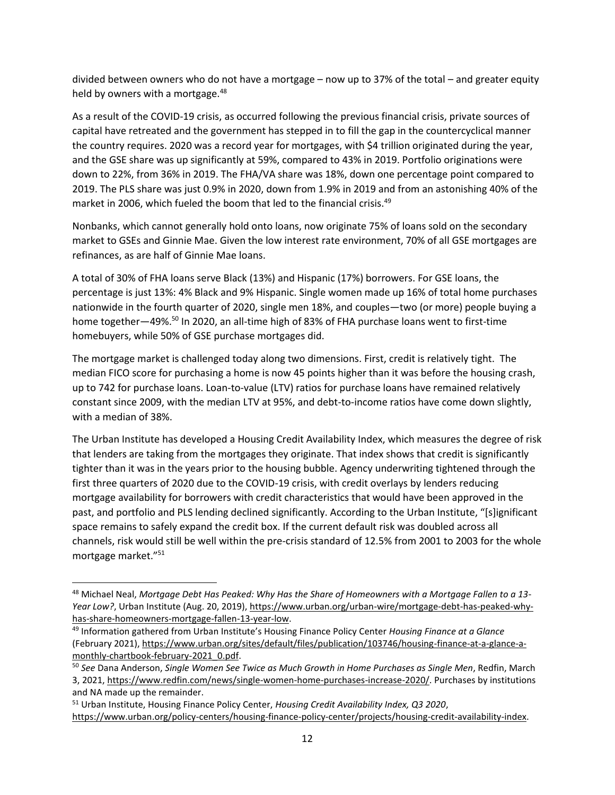divided between owners who do not have a mortgage – now up to 37% of the total – and greater equity held by owners with a mortgage.<sup>48</sup>

As a result of the COVID-19 crisis, as occurred following the previous financial crisis, private sources of capital have retreated and the government has stepped in to fill the gap in the countercyclical manner the country requires. 2020 was a record year for mortgages, with \$4 trillion originated during the year, and the GSE share was up significantly at 59%, compared to 43% in 2019. Portfolio originations were down to 22%, from 36% in 2019. The FHA/VA share was 18%, down one percentage point compared to 2019. The PLS share was just 0.9% in 2020, down from 1.9% in 2019 and from an astonishing 40% of the market in 2006, which fueled the boom that led to the financial crisis.<sup>49</sup>

Nonbanks, which cannot generally hold onto loans, now originate 75% of loans sold on the secondary market to GSEs and Ginnie Mae. Given the low interest rate environment, 70% of all GSE mortgages are refinances, as are half of Ginnie Mae loans.

A total of 30% of FHA loans serve Black (13%) and Hispanic (17%) borrowers. For GSE loans, the percentage is just 13%: 4% Black and 9% Hispanic. Single women made up 16% of total home purchases nationwide in the fourth quarter of 2020, single men 18%, and couples—two (or more) people buying a home together—49%.<sup>50</sup> In 2020, an all-time high of 83% of FHA purchase loans went to first-time homebuyers, while 50% of GSE purchase mortgages did.

The mortgage market is challenged today along two dimensions. First, credit is relatively tight. The median FICO score for purchasing a home is now 45 points higher than it was before the housing crash, up to 742 for purchase loans. Loan-to-value (LTV) ratios for purchase loans have remained relatively constant since 2009, with the median LTV at 95%, and debt-to-income ratios have come down slightly, with a median of 38%.

The Urban Institute has developed a Housing Credit Availability Index, which measures the degree of risk that lenders are taking from the mortgages they originate. That index shows that credit is significantly tighter than it was in the years prior to the housing bubble. Agency underwriting tightened through the first three quarters of 2020 due to the COVID-19 crisis, with credit overlays by lenders reducing mortgage availability for borrowers with credit characteristics that would have been approved in the past, and portfolio and PLS lending declined significantly. According to the Urban Institute, "[s]ignificant space remains to safely expand the credit box. If the current default risk was doubled across all channels, risk would still be well within the pre-crisis standard of 12.5% from 2001 to 2003 for the whole mortgage market."<sup>51</sup>

<sup>48</sup> Michael Neal, *Mortgage Debt Has Peaked: Why Has the Share of Homeowners with a Mortgage Fallen to a 13- Year Low?*, Urban Institute (Aug. 20, 2019), [https://www.urban.org/urban-wire/mortgage-debt-has-peaked-why](https://www.urban.org/urban-wire/mortgage-debt-has-peaked-why-has-share-homeowners-mortgage-fallen-13-year-low)[has-share-homeowners-mortgage-fallen-13-year-low.](https://www.urban.org/urban-wire/mortgage-debt-has-peaked-why-has-share-homeowners-mortgage-fallen-13-year-low)

<sup>49</sup> Information gathered from Urban Institute's Housing Finance Policy Center *Housing Finance at a Glance* (February 2021)[, https://www.urban.org/sites/default/files/publication/103746/housing-finance-at-a-glance-a](https://www.urban.org/sites/default/files/publication/103746/housing-finance-at-a-glance-a-monthly-chartbook-february-2021_0.pdf)[monthly-chartbook-february-2021\\_0.pdf.](https://www.urban.org/sites/default/files/publication/103746/housing-finance-at-a-glance-a-monthly-chartbook-february-2021_0.pdf)

<sup>50</sup> *See* Dana Anderson, *Single Women See Twice as Much Growth in Home Purchases as Single Men*, Redfin, March 3, 2021, [https://www.redfin.com/news/single-women-home-purchases-increase-2020/.](https://www.redfin.com/news/single-women-home-purchases-increase-2020/) Purchases by institutions and NA made up the remainder.

<sup>51</sup> Urban Institute, Housing Finance Policy Center, *Housing Credit Availability Index, Q3 2020*,

[https://www.urban.org/policy-centers/housing-finance-policy-center/projects/housing-credit-availability-index.](https://www.urban.org/policy-centers/housing-finance-policy-center/projects/housing-credit-availability-index)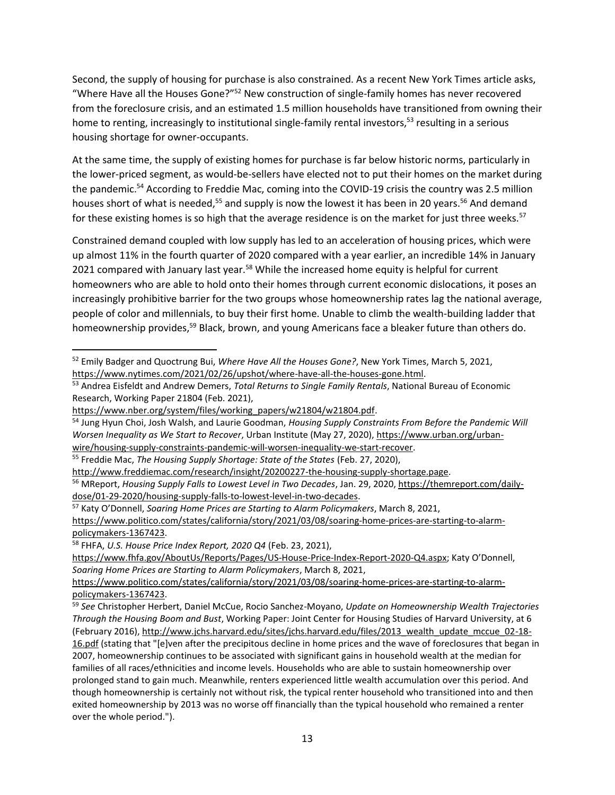Second, the supply of housing for purchase is also constrained. As a recent New York Times article asks, "Where Have all the Houses Gone?"<sup>52</sup> New construction of single-family homes has never recovered from the foreclosure crisis, and an estimated 1.5 million households have transitioned from owning their home to renting, increasingly to institutional single-family rental investors,<sup>53</sup> resulting in a serious housing shortage for owner-occupants.

At the same time, the supply of existing homes for purchase is far below historic norms, particularly in the lower-priced segment, as would-be-sellers have elected not to put their homes on the market during the pandemic.<sup>54</sup> According to Freddie Mac, coming into the COVID-19 crisis the country was 2.5 million houses short of what is needed,<sup>55</sup> and supply is now the lowest it has been in 20 years.<sup>56</sup> And demand for these existing homes is so high that the average residence is on the market for just three weeks.<sup>57</sup>

Constrained demand coupled with low supply has led to an acceleration of housing prices, which were up almost 11% in the fourth quarter of 2020 compared with a year earlier, an incredible 14% in January 2021 compared with January last year.<sup>58</sup> While the increased home equity is helpful for current homeowners who are able to hold onto their homes through current economic dislocations, it poses an increasingly prohibitive barrier for the two groups whose homeownership rates lag the national average, people of color and millennials, to buy their first home. Unable to climb the wealth-building ladder that homeownership provides,<sup>59</sup> Black, brown, and young Americans face a bleaker future than others do.

<sup>52</sup> Emily Badger and Quoctrung Bui, *Where Have All the Houses Gone?*, New York Times, March 5, 2021, [https://www.nytimes.com/2021/02/26/upshot/where-have-all-the-houses-gone.html.](https://www.nytimes.com/2021/02/26/upshot/where-have-all-the-houses-gone.html)

<sup>53</sup> Andrea Eisfeldt and Andrew Demers, *Total Returns to Single Family Rentals*, National Bureau of Economic Research, Working Paper 21804 (Feb. 2021),

[https://www.nber.org/system/files/working\\_papers/w21804/w21804.pdf.](https://www.nber.org/system/files/working_papers/w21804/w21804.pdf)

<sup>54</sup> Jung Hyun Choi, Josh Walsh, and Laurie Goodman, *Housing Supply Constraints From Before the Pandemic Will Worsen Inequality as We Start to Recover*, Urban Institute (May 27, 2020), [https://www.urban.org/urban](https://www.urban.org/urban-wire/housing-supply-constraints-pandemic-will-worsen-inequality-we-start-recover)[wire/housing-supply-constraints-pandemic-will-worsen-inequality-we-start-recover.](https://www.urban.org/urban-wire/housing-supply-constraints-pandemic-will-worsen-inequality-we-start-recover)

<sup>55</sup> Freddie Mac, *The Housing Supply Shortage: State of the States* (Feb. 27, 2020),

[http://www.freddiemac.com/research/insight/20200227-the-housing-supply-shortage.page.](http://www.freddiemac.com/research/insight/20200227-the-housing-supply-shortage.page) <sup>56</sup> MReport, *Housing Supply Falls to Lowest Level in Two Decades*, Jan. 29, 2020[, https://themreport.com/daily](https://themreport.com/daily-dose/01-29-2020/housing-supply-falls-to-lowest-level-in-two-decades)[dose/01-29-2020/housing-supply-falls-to-lowest-level-in-two-decades.](https://themreport.com/daily-dose/01-29-2020/housing-supply-falls-to-lowest-level-in-two-decades) 

<sup>57</sup> Katy O'Donnell, *Soaring Home Prices are Starting to Alarm Policymakers*, March 8, 2021, [https://www.politico.com/states/california/story/2021/03/08/soaring-home-prices-are-starting-to-alarm](https://www.politico.com/states/california/story/2021/03/08/soaring-home-prices-are-starting-to-alarm-policymakers-1367423)[policymakers-1367423.](https://www.politico.com/states/california/story/2021/03/08/soaring-home-prices-are-starting-to-alarm-policymakers-1367423)

<sup>58</sup> FHFA, *U.S. House Price Index Report, 2020 Q4* (Feb. 23, 2021),

<https://www.fhfa.gov/AboutUs/Reports/Pages/US-House-Price-Index-Report-2020-Q4.aspx>; Katy O'Donnell, *Soaring Home Prices are Starting to Alarm Policymakers*, March 8, 2021,

[https://www.politico.com/states/california/story/2021/03/08/soaring-home-prices-are-starting-to-alarm](https://www.politico.com/states/california/story/2021/03/08/soaring-home-prices-are-starting-to-alarm-policymakers-1367423)[policymakers-1367423.](https://www.politico.com/states/california/story/2021/03/08/soaring-home-prices-are-starting-to-alarm-policymakers-1367423)

<sup>59</sup> *See* Christopher Herbert, Daniel McCue, Rocio Sanchez-Moyano, *Update on Homeownership Wealth Trajectories Through the Housing Boom and Bust*, Working Paper: Joint Center for Housing Studies of Harvard University, at 6 (February 2016)[, http://www.jchs.harvard.edu/sites/jchs.harvard.edu/files/2013\\_wealth\\_update\\_mccue\\_02-18-](http://www.jchs.harvard.edu/sites/jchs.harvard.edu/files/2013_wealth_update_mccue_02-18-16.pdf) [16.pdf](http://www.jchs.harvard.edu/sites/jchs.harvard.edu/files/2013_wealth_update_mccue_02-18-16.pdf) (stating that "[e]ven after the precipitous decline in home prices and the wave of foreclosures that began in 2007, homeownership continues to be associated with significant gains in household wealth at the median for families of all races/ethnicities and income levels. Households who are able to sustain homeownership over prolonged stand to gain much. Meanwhile, renters experienced little wealth accumulation over this period. And though homeownership is certainly not without risk, the typical renter household who transitioned into and then exited homeownership by 2013 was no worse off financially than the typical household who remained a renter over the whole period.").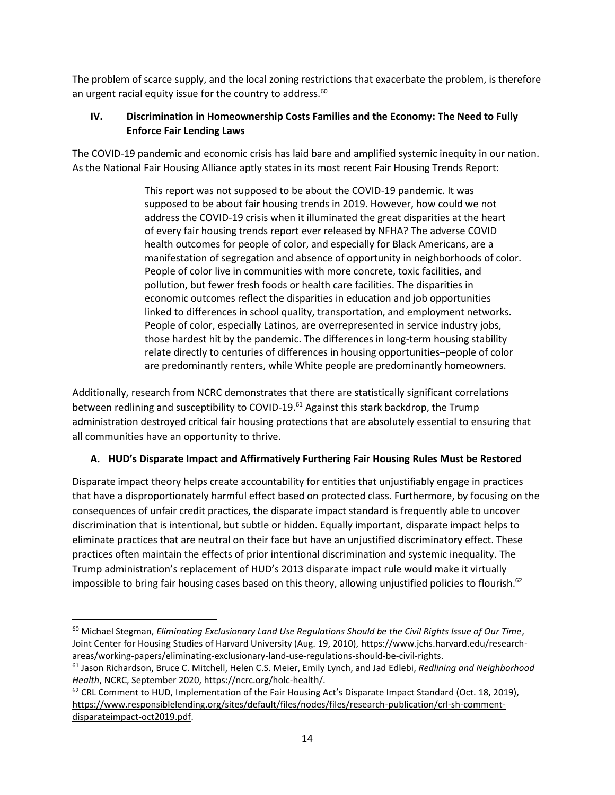The problem of scarce supply, and the local zoning restrictions that exacerbate the problem, is therefore an urgent racial equity issue for the country to address.<sup>60</sup>

# **IV. Discrimination in Homeownership Costs Families and the Economy: The Need to Fully Enforce Fair Lending Laws**

The COVID-19 pandemic and economic crisis has laid bare and amplified systemic inequity in our nation. As the National Fair Housing Alliance aptly states in its most recent Fair Housing Trends Report:

> This report was not supposed to be about the COVID-19 pandemic. It was supposed to be about fair housing trends in 2019. However, how could we not address the COVID-19 crisis when it illuminated the great disparities at the heart of every fair housing trends report ever released by NFHA? The adverse COVID health outcomes for people of color, and especially for Black Americans, are a manifestation of segregation and absence of opportunity in neighborhoods of color. People of color live in communities with more concrete, toxic facilities, and pollution, but fewer fresh foods or health care facilities. The disparities in economic outcomes reflect the disparities in education and job opportunities linked to differences in school quality, transportation, and employment networks. People of color, especially Latinos, are overrepresented in service industry jobs, those hardest hit by the pandemic. The differences in long-term housing stability relate directly to centuries of differences in housing opportunities–people of color are predominantly renters, while White people are predominantly homeowners.

Additionally, research from NCRC demonstrates that there are statistically significant correlations between redlining and susceptibility to COVID-19.<sup>61</sup> Against this stark backdrop, the Trump administration destroyed critical fair housing protections that are absolutely essential to ensuring that all communities have an opportunity to thrive.

# **A. HUD's Disparate Impact and Affirmatively Furthering Fair Housing Rules Must be Restored**

Disparate impact theory helps create accountability for entities that unjustifiably engage in practices that have a disproportionately harmful effect based on protected class. Furthermore, by focusing on the consequences of unfair credit practices, the disparate impact standard is frequently able to uncover discrimination that is intentional, but subtle or hidden. Equally important, disparate impact helps to eliminate practices that are neutral on their face but have an unjustified discriminatory effect. These practices often maintain the effects of prior intentional discrimination and systemic inequality. The Trump administration's replacement of HUD's 2013 disparate impact rule would make it virtually impossible to bring fair housing cases based on this theory, allowing unjustified policies to flourish.<sup>62</sup>

<sup>60</sup> Michael Stegman, *Eliminating Exclusionary Land Use Regulations Should be the Civil Rights Issue of Our Time*, Joint Center for Housing Studies of Harvard University (Aug. 19, 2010)[, https://www.jchs.harvard.edu/research](https://www.jchs.harvard.edu/research-areas/working-papers/eliminating-exclusionary-land-use-regulations-should-be-civil-rights)[areas/working-papers/eliminating-exclusionary-land-use-regulations-should-be-civil-rights.](https://www.jchs.harvard.edu/research-areas/working-papers/eliminating-exclusionary-land-use-regulations-should-be-civil-rights)

<sup>61</sup> Jason Richardson, Bruce C. Mitchell, Helen C.S. Meier, Emily Lynch, and Jad Edlebi, *Redlining and Neighborhood Health*, NCRC, September 2020, [https://ncrc.org/holc-health/.](https://ncrc.org/holc-health/)

 $62$  CRL Comment to HUD, Implementation of the Fair Housing Act's Disparate Impact Standard (Oct. 18, 2019), [https://www.responsiblelending.org/sites/default/files/nodes/files/research-publication/crl-sh-comment](https://www.responsiblelending.org/sites/default/files/nodes/files/research-publication/crl-sh-comment-disparateimpact-oct2019.pdf)[disparateimpact-oct2019.pdf.](https://www.responsiblelending.org/sites/default/files/nodes/files/research-publication/crl-sh-comment-disparateimpact-oct2019.pdf)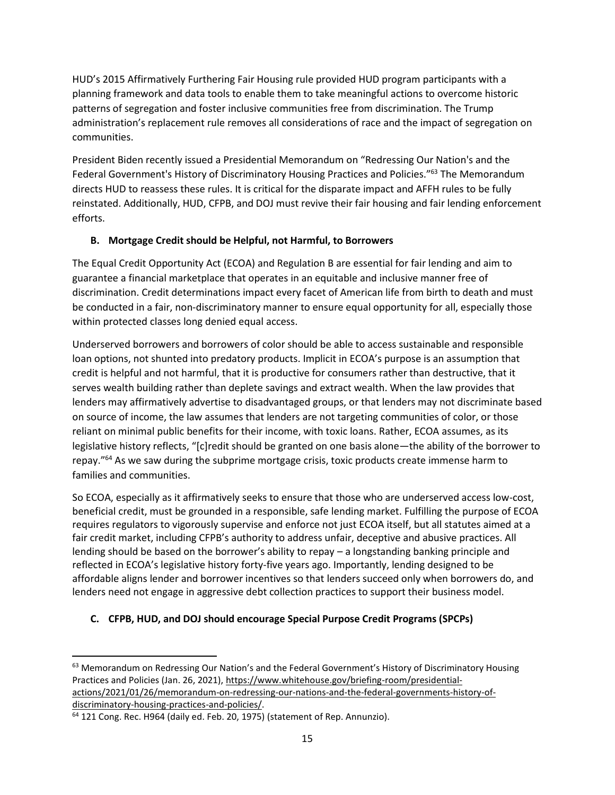HUD's 2015 Affirmatively Furthering Fair Housing rule provided HUD program participants with a planning framework and data tools to enable them to take meaningful actions to overcome historic patterns of segregation and foster inclusive communities free from discrimination. The Trump administration's replacement rule removes all considerations of race and the impact of segregation on communities.

President Biden recently issued a Presidential Memorandum on "Redressing Our Nation's and the Federal Government's History of Discriminatory Housing Practices and Policies."<sup>63</sup> The Memorandum directs HUD to reassess these rules. It is critical for the disparate impact and AFFH rules to be fully reinstated. Additionally, HUD, CFPB, and DOJ must revive their fair housing and fair lending enforcement efforts.

## **B. Mortgage Credit should be Helpful, not Harmful, to Borrowers**

The Equal Credit Opportunity Act (ECOA) and Regulation B are essential for fair lending and aim to guarantee a financial marketplace that operates in an equitable and inclusive manner free of discrimination. Credit determinations impact every facet of American life from birth to death and must be conducted in a fair, non-discriminatory manner to ensure equal opportunity for all, especially those within protected classes long denied equal access.

Underserved borrowers and borrowers of color should be able to access sustainable and responsible loan options, not shunted into predatory products. Implicit in ECOA's purpose is an assumption that credit is helpful and not harmful, that it is productive for consumers rather than destructive, that it serves wealth building rather than deplete savings and extract wealth. When the law provides that lenders may affirmatively advertise to disadvantaged groups, or that lenders may not discriminate based on source of income, the law assumes that lenders are not targeting communities of color, or those reliant on minimal public benefits for their income, with toxic loans. Rather, ECOA assumes, as its legislative history reflects, "[c]redit should be granted on one basis alone—the ability of the borrower to repay."<sup>64</sup> As we saw during the subprime mortgage crisis, toxic products create immense harm to families and communities.

So ECOA, especially as it affirmatively seeks to ensure that those who are underserved access low-cost, beneficial credit, must be grounded in a responsible, safe lending market. Fulfilling the purpose of ECOA requires regulators to vigorously supervise and enforce not just ECOA itself, but all statutes aimed at a fair credit market, including CFPB's authority to address unfair, deceptive and abusive practices. All lending should be based on the borrower's ability to repay – a longstanding banking principle and reflected in ECOA's legislative history forty-five years ago. Importantly, lending designed to be affordable aligns lender and borrower incentives so that lenders succeed only when borrowers do, and lenders need not engage in aggressive debt collection practices to support their business model.

# **C. CFPB, HUD, and DOJ should encourage Special Purpose Credit Programs (SPCPs)**

<sup>63</sup> Memorandum on Redressing Our Nation's and the Federal Government's History of Discriminatory Housing Practices and Policies (Jan. 26, 2021), [https://www.whitehouse.gov/briefing-room/presidential](https://www.whitehouse.gov/briefing-room/presidential-actions/2021/01/26/memorandum-on-redressing-our-nations-and-the-federal-governments-history-of-discriminatory-housing-practices-and-policies/)[actions/2021/01/26/memorandum-on-redressing-our-nations-and-the-federal-governments-history-of](https://www.whitehouse.gov/briefing-room/presidential-actions/2021/01/26/memorandum-on-redressing-our-nations-and-the-federal-governments-history-of-discriminatory-housing-practices-and-policies/)[discriminatory-housing-practices-and-policies/.](https://www.whitehouse.gov/briefing-room/presidential-actions/2021/01/26/memorandum-on-redressing-our-nations-and-the-federal-governments-history-of-discriminatory-housing-practices-and-policies/)

<sup>64</sup> 121 Cong. Rec. H964 (daily ed. Feb. 20, 1975) (statement of Rep. Annunzio).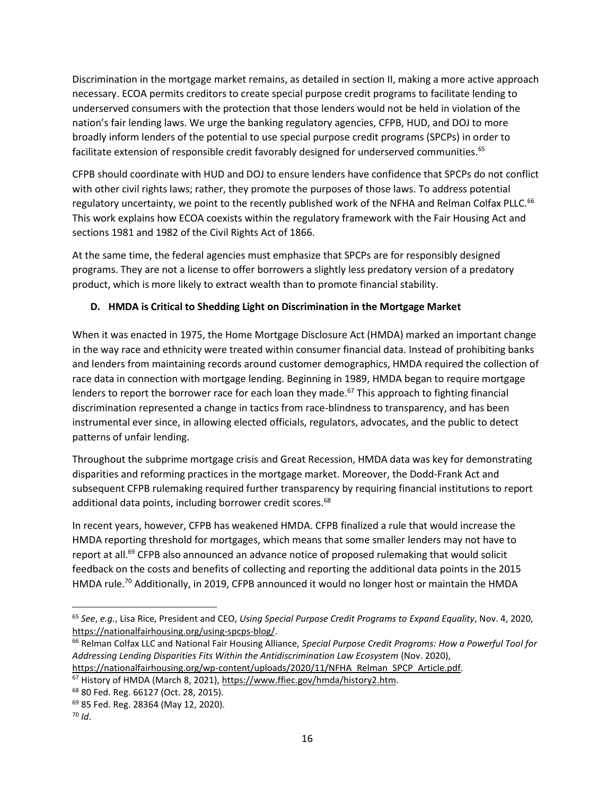Discrimination in the mortgage market remains, as detailed in section II, making a more active approach necessary. ECOA permits creditors to create special purpose credit programs to facilitate lending to underserved consumers with the protection that those lenders would not be held in violation of the nation's fair lending laws. We urge the banking regulatory agencies, CFPB, HUD, and DOJ to more broadly inform lenders of the potential to use special purpose credit programs (SPCPs) in order to facilitate extension of responsible credit favorably designed for underserved communities.<sup>65</sup>

CFPB should coordinate with HUD and DOJ to ensure lenders have confidence that SPCPs do not conflict with other civil rights laws; rather, they promote the purposes of those laws. To address potential regulatory uncertainty, we point to the recently published work of the NFHA and Relman Colfax PLLC.<sup>66</sup> This work explains how ECOA coexists within the regulatory framework with the Fair Housing Act and sections 1981 and 1982 of the Civil Rights Act of 1866.

At the same time, the federal agencies must emphasize that SPCPs are for responsibly designed programs. They are not a license to offer borrowers a slightly less predatory version of a predatory product, which is more likely to extract wealth than to promote financial stability.

# **D. HMDA is Critical to Shedding Light on Discrimination in the Mortgage Market**

When it was enacted in 1975, the Home Mortgage Disclosure Act (HMDA) marked an important change in the way race and ethnicity were treated within consumer financial data. Instead of prohibiting banks and lenders from maintaining records around customer demographics, HMDA required the collection of race data in connection with mortgage lending. Beginning in 1989, HMDA began to require mortgage lenders to report the borrower race for each loan they made.<sup>67</sup> This approach to fighting financial discrimination represented a change in tactics from race-blindness to transparency, and has been instrumental ever since, in allowing elected officials, regulators, advocates, and the public to detect patterns of unfair lending.

Throughout the subprime mortgage crisis and Great Recession, HMDA data was key for demonstrating disparities and reforming practices in the mortgage market. Moreover, the Dodd-Frank Act and subsequent CFPB rulemaking required further transparency by requiring financial institutions to report additional data points, including borrower credit scores.<sup>68</sup>

In recent years, however, CFPB has weakened HMDA. CFPB finalized a rule that would increase the HMDA reporting threshold for mortgages, which means that some smaller lenders may not have to report at all.<sup>69</sup> CFPB also announced an advance notice of proposed rulemaking that would solicit feedback on the costs and benefits of collecting and reporting the additional data points in the 2015 HMDA rule.<sup>70</sup> Additionally, in 2019, CFPB announced it would no longer host or maintain the HMDA

<sup>65</sup> *See*, *e.g.*, Lisa Rice, President and CEO, *Using Special Purpose Credit Programs to Expand Equality*, Nov. 4, 2020, [https://nationalfairhousing.org/using-spcps-blog/.](https://nationalfairhousing.org/using-spcps-blog/)

<sup>66</sup> Relman Colfax LLC and National Fair Housing Alliance, *Special Purpose Credit Programs: How a Powerful Tool for Addressing Lending Disparities Fits Within the Antidiscrimination Law Ecosystem* (Nov. 2020), [https://nationalfairhousing.org/wp-content/uploads/2020/11/NFHA\\_Relman\\_SPCP\\_Article.pdf.](https://nationalfairhousing.org/wp-content/uploads/2020/11/NFHA_Relman_SPCP_Article.pdf)

<sup>67</sup> History of HMDA (March 8, 2021), [https://www.ffiec.gov/hmda/history2.htm.](https://www.ffiec.gov/hmda/history2.htm)

<sup>68</sup> 80 Fed. Reg. 66127 (Oct. 28, 2015).

<sup>69</sup> 85 Fed. Reg. 28364 (May 12, 2020).

<sup>70</sup> *Id*.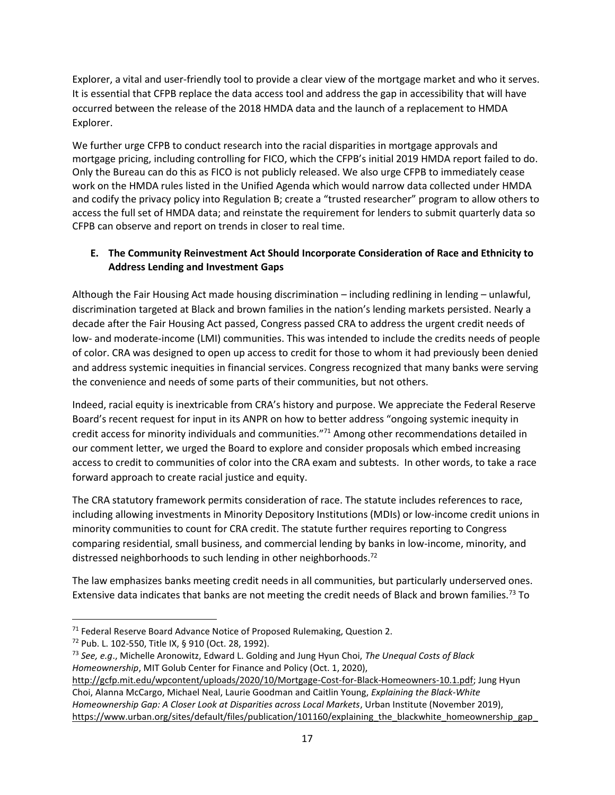Explorer, a vital and user-friendly tool to provide a clear view of the mortgage market and who it serves. It is essential that CFPB replace the data access tool and address the gap in accessibility that will have occurred between the release of the 2018 HMDA data and the launch of a replacement to HMDA Explorer.

We further urge CFPB to conduct research into the racial disparities in mortgage approvals and mortgage pricing, including controlling for FICO, which the CFPB's initial 2019 HMDA report failed to do. Only the Bureau can do this as FICO is not publicly released. We also urge CFPB to immediately cease work on the HMDA rules listed in the Unified Agenda which would narrow data collected under HMDA and codify the privacy policy into Regulation B; create a "trusted researcher" program to allow others to access the full set of HMDA data; and reinstate the requirement for lenders to submit quarterly data so CFPB can observe and report on trends in closer to real time.

## **E. The Community Reinvestment Act Should Incorporate Consideration of Race and Ethnicity to Address Lending and Investment Gaps**

Although the Fair Housing Act made housing discrimination – including redlining in lending – unlawful, discrimination targeted at Black and brown families in the nation's lending markets persisted. Nearly a decade after the Fair Housing Act passed, Congress passed CRA to address the urgent credit needs of low- and moderate-income (LMI) communities. This was intended to include the credits needs of people of color. CRA was designed to open up access to credit for those to whom it had previously been denied and address systemic inequities in financial services. Congress recognized that many banks were serving the convenience and needs of some parts of their communities, but not others.

Indeed, racial equity is inextricable from CRA's history and purpose. We appreciate the Federal Reserve Board's recent request for input in its ANPR on how to better address "ongoing systemic inequity in credit access for minority individuals and communities."<sup>71</sup> Among other recommendations detailed in our comment letter, we urged the Board to explore and consider proposals which embed increasing access to credit to communities of color into the CRA exam and subtests. In other words, to take a race forward approach to create racial justice and equity.

The CRA statutory framework permits consideration of race. The statute includes references to race, including allowing investments in Minority Depository Institutions (MDIs) or low-income credit unions in minority communities to count for CRA credit. The statute further requires reporting to Congress comparing residential, small business, and commercial lending by banks in low-income, minority, and distressed neighborhoods to such lending in other neighborhoods.<sup>72</sup>

The law emphasizes banks meeting credit needs in all communities, but particularly underserved ones. Extensive data indicates that banks are not meeting the credit needs of Black and brown families.<sup>73</sup> To

 $71$  Federal Reserve Board Advance Notice of Proposed Rulemaking, Question 2.

<sup>72</sup> Pub. L. 102-550, Title IX, § 910 (Oct. 28, 1992).

<sup>73</sup> *See, e.g*., Michelle Aronowitz, Edward L. Golding and Jung Hyun Choi, *The Unequal Costs of Black Homeownership*, MIT Golub Center for Finance and Policy (Oct. 1, 2020),

[http://gcfp.mit.edu/wpcontent/uploads/2020/10/Mortgage-Cost-for-Black-Homeowners-10.1.pdf;](http://gcfp.mit.edu/wpcontent/uploads/2020/10/Mortgage-Cost-for-Black-Homeowners-10.1.pdf) Jung Hyun Choi, Alanna McCargo, Michael Neal, Laurie Goodman and Caitlin Young, *Explaining the Black-White Homeownership Gap: A Closer Look at Disparities across Local Markets*, Urban Institute (November 2019), https://www.urban.org/sites/default/files/publication/101160/explaining\_the\_blackwhite\_homeownership\_gap\_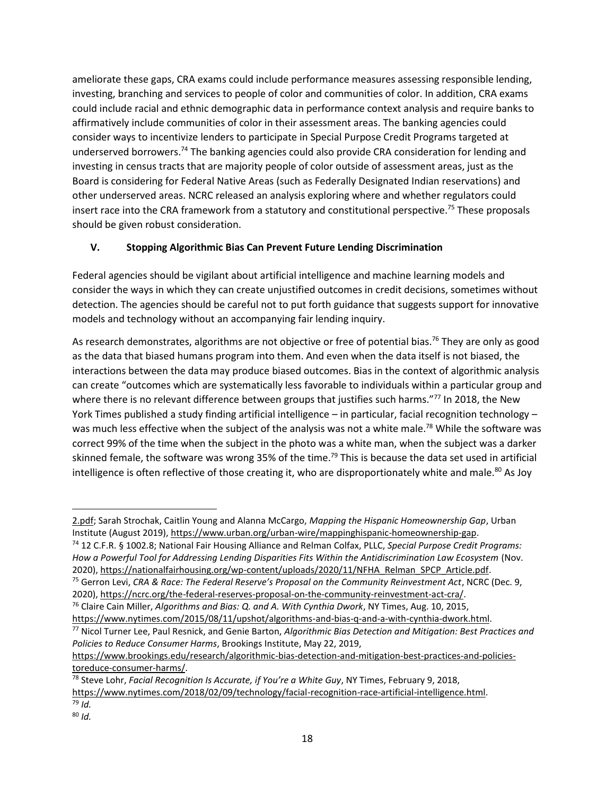ameliorate these gaps, CRA exams could include performance measures assessing responsible lending, investing, branching and services to people of color and communities of color. In addition, CRA exams could include racial and ethnic demographic data in performance context analysis and require banks to affirmatively include communities of color in their assessment areas. The banking agencies could consider ways to incentivize lenders to participate in Special Purpose Credit Programs targeted at underserved borrowers.<sup>74</sup> The banking agencies could also provide CRA consideration for lending and investing in census tracts that are majority people of color outside of assessment areas, just as the Board is considering for Federal Native Areas (such as Federally Designated Indian reservations) and other underserved areas. NCRC released an analysis exploring where and whether regulators could insert race into the CRA framework from a statutory and constitutional perspective.<sup>75</sup> These proposals should be given robust consideration.

## **V. Stopping Algorithmic Bias Can Prevent Future Lending Discrimination**

Federal agencies should be vigilant about artificial intelligence and machine learning models and consider the ways in which they can create unjustified outcomes in credit decisions, sometimes without detection. The agencies should be careful not to put forth guidance that suggests support for innovative models and technology without an accompanying fair lending inquiry.

As research demonstrates, algorithms are not objective or free of potential bias.<sup>76</sup> They are only as good as the data that biased humans program into them. And even when the data itself is not biased, the interactions between the data may produce biased outcomes. Bias in the context of algorithmic analysis can create "outcomes which are systematically less favorable to individuals within a particular group and where there is no relevant difference between groups that justifies such harms."<sup>77</sup> In 2018, the New York Times published a study finding artificial intelligence – in particular, facial recognition technology – was much less effective when the subject of the analysis was not a white male.<sup>78</sup> While the software was correct 99% of the time when the subject in the photo was a white man, when the subject was a darker skinned female, the software was wrong 35% of the time.<sup>79</sup> This is because the data set used in artificial intelligence is often reflective of those creating it, who are disproportionately white and male.<sup>80</sup> As Joy

<sup>74</sup> 12 C.F.R. § 1002.8; National Fair Housing Alliance and Relman Colfax, PLLC, *Special Purpose Credit Programs: How a Powerful Tool for Addressing Lending Disparities Fits Within the Antidiscrimination Law Ecosystem* (Nov. 2020), [https://nationalfairhousing.org/wp-content/uploads/2020/11/NFHA\\_Relman\\_SPCP\\_Article.pdf.](https://nationalfairhousing.org/wp-content/uploads/2020/11/NFHA_Relman_SPCP_Article.pdf)

[https://www.brookings.edu/research/algorithmic-bias-detection-and-mitigation-best-practices-and-policies](https://www.brookings.edu/research/algorithmic-bias-detection-and-mitigation-best-practices-and-policies-toreduce-consumer-harms/)[toreduce-consumer-harms/.](https://www.brookings.edu/research/algorithmic-bias-detection-and-mitigation-best-practices-and-policies-toreduce-consumer-harms/)

<sup>78</sup> Steve Lohr, *Facial Recognition Is Accurate, if You're a White Guy*, NY Times, February 9, 2018, [https://www.nytimes.com/2018/02/09/technology/facial-recognition-race-artificial-intelligence.html.](https://www.nytimes.com/2018/02/09/technology/facial-recognition-race-artificial-intelligence.html)

<sup>2.</sup>pdf; Sarah Strochak, Caitlin Young and Alanna McCargo, *Mapping the Hispanic Homeownership Gap*, Urban Institute (August 2019), https://www.urban.org/urban-wire/mappinghispanic-homeownership-gap.

<sup>75</sup> Gerron Levi, *CRA & Race: The Federal Reserve's Proposal on the Community Reinvestment Act*, NCRC (Dec. 9, 2020), [https://ncrc.org/the-federal-reserves-proposal-on-the-community-reinvestment-act-cra/.](https://ncrc.org/the-federal-reserves-proposal-on-the-community-reinvestment-act-cra/)

<sup>76</sup> Claire Cain Miller, *Algorithms and Bias: Q. and A. With Cynthia Dwork*, NY Times, Aug. 10, 2015,

[https://www.nytimes.com/2015/08/11/upshot/algorithms-and-bias-q-and-a-with-cynthia-dwork.html.](https://www.nytimes.com/2015/08/11/upshot/algorithms-and-bias-q-and-a-with-cynthia-dwork.html)

<sup>77</sup> Nicol Turner Lee, Paul Resnick, and Genie Barton, *Algorithmic Bias Detection and Mitigation: Best Practices and Policies to Reduce Consumer Harms*, Brookings Institute, May 22, 2019,

<sup>79</sup> *Id.*

<sup>80</sup> *Id.*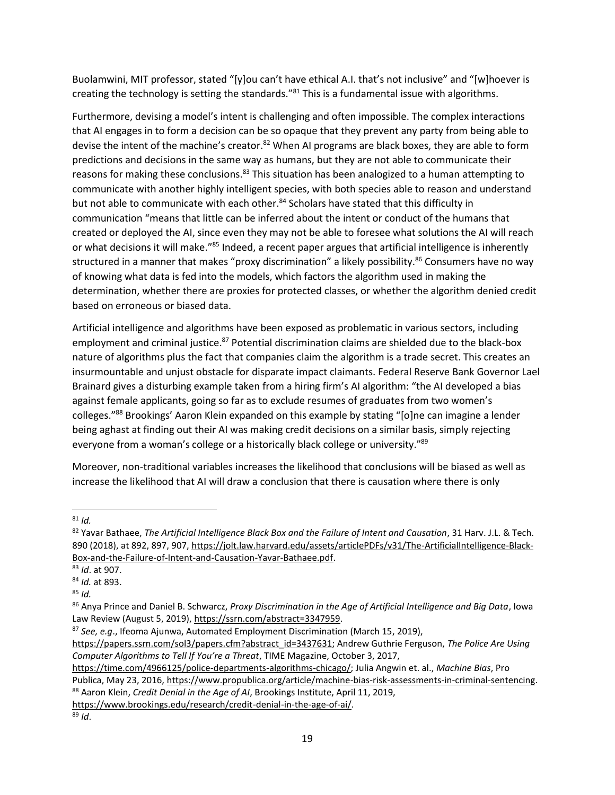Buolamwini, MIT professor, stated "[y]ou can't have ethical A.I. that's not inclusive" and "[w]hoever is creating the technology is setting the standards."<sup>81</sup> This is a fundamental issue with algorithms.

Furthermore, devising a model's intent is challenging and often impossible. The complex interactions that AI engages in to form a decision can be so opaque that they prevent any party from being able to devise the intent of the machine's creator.<sup>82</sup> When AI programs are black boxes, they are able to form predictions and decisions in the same way as humans, but they are not able to communicate their reasons for making these conclusions.<sup>83</sup> This situation has been analogized to a human attempting to communicate with another highly intelligent species, with both species able to reason and understand but not able to communicate with each other.<sup>84</sup> Scholars have stated that this difficulty in communication "means that little can be inferred about the intent or conduct of the humans that created or deployed the AI, since even they may not be able to foresee what solutions the AI will reach or what decisions it will make."<sup>85</sup> Indeed, a recent paper argues that artificial intelligence is inherently structured in a manner that makes "proxy discrimination" a likely possibility.<sup>86</sup> Consumers have no way of knowing what data is fed into the models, which factors the algorithm used in making the determination, whether there are proxies for protected classes, or whether the algorithm denied credit based on erroneous or biased data.

Artificial intelligence and algorithms have been exposed as problematic in various sectors, including employment and criminal justice.<sup>87</sup> Potential discrimination claims are shielded due to the black-box nature of algorithms plus the fact that companies claim the algorithm is a trade secret. This creates an insurmountable and unjust obstacle for disparate impact claimants. Federal Reserve Bank Governor Lael Brainard gives a disturbing example taken from a hiring firm's AI algorithm: "the AI developed a bias against female applicants, going so far as to exclude resumes of graduates from two women's colleges."<sup>88</sup> Brookings' Aaron Klein expanded on this example by stating "[o]ne can imagine a lender being aghast at finding out their AI was making credit decisions on a similar basis, simply rejecting everyone from a woman's college or a historically black college or university."<sup>89</sup>

Moreover, non-traditional variables increases the likelihood that conclusions will be biased as well as increase the likelihood that AI will draw a conclusion that there is causation where there is only

 $81$  *Id.* 

[https://www.brookings.edu/research/credit-denial-in-the-age-of-ai/.](https://www.brookings.edu/research/credit-denial-in-the-age-of-ai/)

<sup>82</sup> Yavar Bathaee, *The Artificial Intelligence Black Box and the Failure of Intent and Causation*, 31 Harv. J.L. & Tech. 890 (2018), at 892, 897, 907, [https://jolt.law.harvard.edu/assets/articlePDFs/v31/The-ArtificialIntelligence-Black-](https://jolt.law.harvard.edu/assets/articlePDFs/v31/The-ArtificialIntelligence-Black-Box-and-the-Failure-of-Intent-and-Causation-Yavar-Bathaee.pdf)[Box-and-the-Failure-of-Intent-and-Causation-Yavar-Bathaee.pdf.](https://jolt.law.harvard.edu/assets/articlePDFs/v31/The-ArtificialIntelligence-Black-Box-and-the-Failure-of-Intent-and-Causation-Yavar-Bathaee.pdf)

<sup>83</sup> *Id*. at 907.

<sup>84</sup> *Id.* at 893.

 $85$  *Id.* 

<sup>86</sup> Anya Prince and Daniel B. Schwarcz, *Proxy Discrimination in the Age of Artificial Intelligence and Big Data*, Iowa Law Review (August 5, 2019), [https://ssrn.com/abstract=3347959.](https://ssrn.com/abstract=3347959)

<sup>87</sup> *See, e.g*., Ifeoma Ajunwa, Automated Employment Discrimination (March 15, 2019),

[https://papers.ssrn.com/sol3/papers.cfm?abstract\\_id=3437631;](https://papers.ssrn.com/sol3/papers.cfm?abstract_id=3437631) Andrew Guthrie Ferguson, *The Police Are Using Computer Algorithms to Tell If You're a Threat*, TIME Magazine, October 3, 2017,

[https://time.com/4966125/police-departments-algorithms-chicago/;](https://time.com/4966125/police-departments-algorithms-chicago/) Julia Angwin et. al., *Machine Bias*, Pro

Publica, May 23, 2016, [https://www.propublica.org/article/machine-bias-risk-assessments-in-criminal-sentencing.](https://www.propublica.org/article/machine-bias-risk-assessments-in-criminal-sentencing) <sup>88</sup> Aaron Klein, *Credit Denial in the Age of AI*, Brookings Institute, April 11, 2019,

<sup>89</sup> *Id*.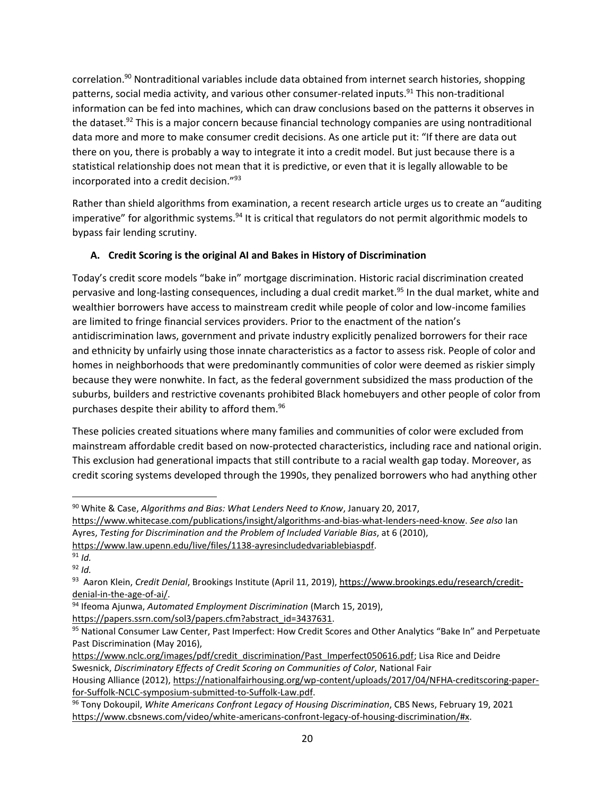correlation.<sup>90</sup> Nontraditional variables include data obtained from internet search histories, shopping patterns, social media activity, and various other consumer-related inputs.<sup>91</sup> This non-traditional information can be fed into machines, which can draw conclusions based on the patterns it observes in the dataset.<sup>92</sup> This is a major concern because financial technology companies are using nontraditional data more and more to make consumer credit decisions. As one article put it: "If there are data out there on you, there is probably a way to integrate it into a credit model. But just because there is a statistical relationship does not mean that it is predictive, or even that it is legally allowable to be incorporated into a credit decision."<sup>93</sup>

Rather than shield algorithms from examination, a recent research article urges us to create an "auditing imperative" for algorithmic systems.<sup>94</sup> It is critical that regulators do not permit algorithmic models to bypass fair lending scrutiny.

# **A. Credit Scoring is the original AI and Bakes in History of Discrimination**

Today's credit score models "bake in" mortgage discrimination. Historic racial discrimination created pervasive and long-lasting consequences, including a dual credit market.<sup>95</sup> In the dual market, white and wealthier borrowers have access to mainstream credit while people of color and low-income families are limited to fringe financial services providers. Prior to the enactment of the nation's antidiscrimination laws, government and private industry explicitly penalized borrowers for their race and ethnicity by unfairly using those innate characteristics as a factor to assess risk. People of color and homes in neighborhoods that were predominantly communities of color were deemed as riskier simply because they were nonwhite. In fact, as the federal government subsidized the mass production of the suburbs, builders and restrictive covenants prohibited Black homebuyers and other people of color from purchases despite their ability to afford them.<sup>96</sup>

These policies created situations where many families and communities of color were excluded from mainstream affordable credit based on now-protected characteristics, including race and national origin. This exclusion had generational impacts that still contribute to a racial wealth gap today. Moreover, as credit scoring systems developed through the 1990s, they penalized borrowers who had anything other

<sup>94</sup> Ifeoma Ajunwa, *Automated Employment Discrimination* (March 15, 2019),

[https://papers.ssrn.com/sol3/papers.cfm?abstract\\_id=3437631.](https://papers.ssrn.com/sol3/papers.cfm?abstract_id=3437631)

<sup>90</sup> White & Case, *Algorithms and Bias: What Lenders Need to Know*, January 20, 2017,

[https://www.whitecase.com/publications/insight/algorithms-and-bias-what-lenders-need-know.](https://www.whitecase.com/publications/insight/algorithms-and-bias-what-lenders-need-know) *See also* Ian Ayres, *Testing for Discrimination and the Problem of Included Variable Bias*, at 6 (2010),

[https://www.law.upenn.edu/live/files/1138-ayresincludedvariablebiaspdf.](https://www.law.upenn.edu/live/files/1138-ayresincludedvariablebiaspdf)

<sup>91</sup> *Id.* <sup>92</sup> *Id.*

<sup>&</sup>lt;sup>93</sup> Aaron Klein*, Credit Denial,* Brookings Institute (April 11, 2019), [https://www.brookings.edu/research/credit](https://www.brookings.edu/research/credit-denial-in-the-age-of-ai/)[denial-in-the-age-of-ai/.](https://www.brookings.edu/research/credit-denial-in-the-age-of-ai/)

<sup>95</sup> National Consumer Law Center, Past Imperfect: How Credit Scores and Other Analytics "Bake In" and Perpetuate Past Discrimination (May 2016),

[https://www.nclc.org/images/pdf/credit\\_discrimination/Past\\_Imperfect050616.pdf;](https://www.nclc.org/images/pdf/credit_discrimination/Past_Imperfect050616.pdf) Lisa Rice and Deidre Swesnick, *Discriminatory Effects of Credit Scoring on Communities of Color*, National Fair

Housing Alliance (2012)[, https://nationalfairhousing.org/wp-content/uploads/2017/04/NFHA-creditscoring-paper](https://nationalfairhousing.org/wp-content/uploads/2017/04/NFHA-creditscoring-paper-for-Suffolk-NCLC-symposium-submitted-to-Suffolk-Law.pdf)[for-Suffolk-NCLC-symposium-submitted-to-Suffolk-Law.pdf.](https://nationalfairhousing.org/wp-content/uploads/2017/04/NFHA-creditscoring-paper-for-Suffolk-NCLC-symposium-submitted-to-Suffolk-Law.pdf)

<sup>96</sup> Tony Dokoupil, *White Americans Confront Legacy of Housing Discrimination*, CBS News, February 19, 2021 [https://www.cbsnews.com/video/white-americans-confront-legacy-of-housing-discrimination/#x.](https://www.cbsnews.com/video/white-americans-confront-legacy-of-housing-discrimination/#x)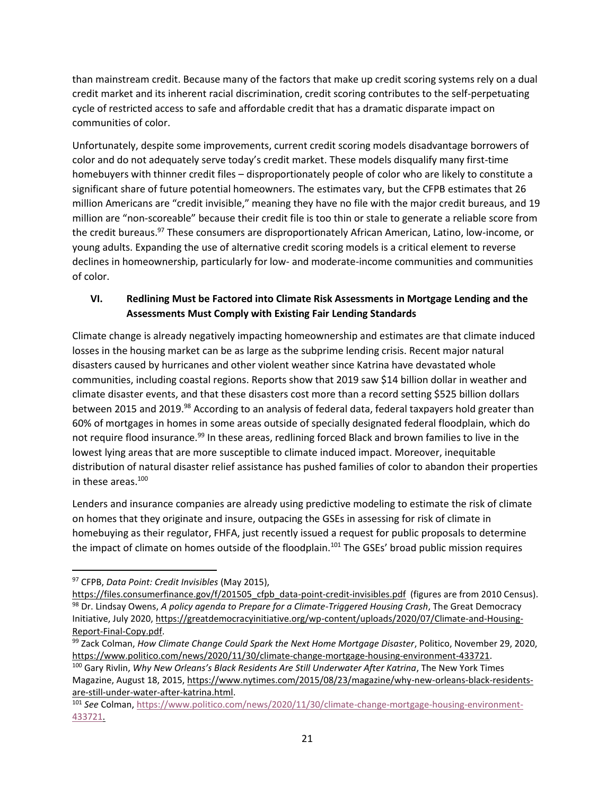than mainstream credit. Because many of the factors that make up credit scoring systems rely on a dual credit market and its inherent racial discrimination, credit scoring contributes to the self-perpetuating cycle of restricted access to safe and affordable credit that has a dramatic disparate impact on communities of color.

Unfortunately, despite some improvements, current credit scoring models disadvantage borrowers of color and do not adequately serve today's credit market. These models disqualify many first-time homebuyers with thinner credit files – disproportionately people of color who are likely to constitute a significant share of future potential homeowners. The estimates vary, but the CFPB estimates that 26 million Americans are "credit invisible," meaning they have no file with the major credit bureaus, and 19 million are "non-scoreable" because their credit file is too thin or stale to generate a reliable score from the credit bureaus.<sup>97</sup> These consumers are disproportionately African American, Latino, low-income, or young adults. Expanding the use of alternative credit scoring models is a critical element to reverse declines in homeownership, particularly for low- and moderate-income communities and communities of color.

## **VI. Redlining Must be Factored into Climate Risk Assessments in Mortgage Lending and the Assessments Must Comply with Existing Fair Lending Standards**

Climate change is already negatively impacting homeownership and estimates are that climate induced losses in the housing market can be as large as the subprime lending crisis. Recent major natural disasters caused by hurricanes and other violent weather since Katrina have devastated whole communities, including coastal regions. Reports show that 2019 saw \$14 billion dollar in weather and climate disaster events, and that these disasters cost more than a record setting \$525 billion dollars between 2015 and 2019.<sup>98</sup> According to an analysis of federal data, federal taxpayers hold greater than 60% of mortgages in homes in some areas outside of specially designated federal floodplain, which do not require flood insurance.<sup>99</sup> In these areas, redlining forced Black and brown families to live in the lowest lying areas that are more susceptible to climate induced impact. Moreover, inequitable distribution of natural disaster relief assistance has pushed families of color to abandon their properties in these areas.<sup>100</sup>

Lenders and insurance companies are already using predictive modeling to estimate the risk of climate on homes that they originate and insure, outpacing the GSEs in assessing for risk of climate in homebuying as their regulator, FHFA, just recently issued a request for public proposals to determine the impact of climate on homes outside of the floodplain.<sup>101</sup> The GSEs' broad public mission requires

Magazine, August 18, 2015[, https://www.nytimes.com/2015/08/23/magazine/why-new-orleans-black-residents](https://www.nytimes.com/2015/08/23/magazine/why-new-orleans-black-residents-are-still-under-water-after-katrina.html)[are-still-under-water-after-katrina.html.](https://www.nytimes.com/2015/08/23/magazine/why-new-orleans-black-residents-are-still-under-water-after-katrina.html)

<sup>97</sup> CFPB, *Data Point: Credit Invisibles* (May 2015),

https://files.consumerfinance.gov/f/201505 cfpb data-point-credit-invisibles.pdf (figures are from 2010 Census). <sup>98</sup> Dr. Lindsay Owens, *A policy agenda to Prepare for a Climate-Triggered Housing Crash*, The Great Democracy Initiative, July 2020, [https://greatdemocracyinitiative.org/wp-content/uploads/2020/07/Climate-and-Housing-](https://greatdemocracyinitiative.org/wp-content/uploads/2020/07/Climate-and-Housing-Report-Final-Copy.pdf)[Report-Final-Copy.pdf.](https://greatdemocracyinitiative.org/wp-content/uploads/2020/07/Climate-and-Housing-Report-Final-Copy.pdf)

<sup>99</sup> Zack Colman, *How Climate Change Could Spark the Next Home Mortgage Disaster*, Politico, November 29, 2020, [https://www.politico.com/news/2020/11/30/climate-change-mortgage-housing-environment-433721.](https://www.politico.com/news/2020/11/30/climate-change-mortgage-housing-environment-433721) <sup>100</sup> Gary Rivlin, *Why New Orleans's Black Residents Are Still Underwater After Katrina*, The New York Times

<sup>101</sup> *See* Colman, [https://www.politico.com/news/2020/11/30/climate-change-mortgage-housing-environment-](https://www.politico.com/news/2020/11/30/climate-change-mortgage-housing-environment-433721)[433721.](https://www.politico.com/news/2020/11/30/climate-change-mortgage-housing-environment-433721)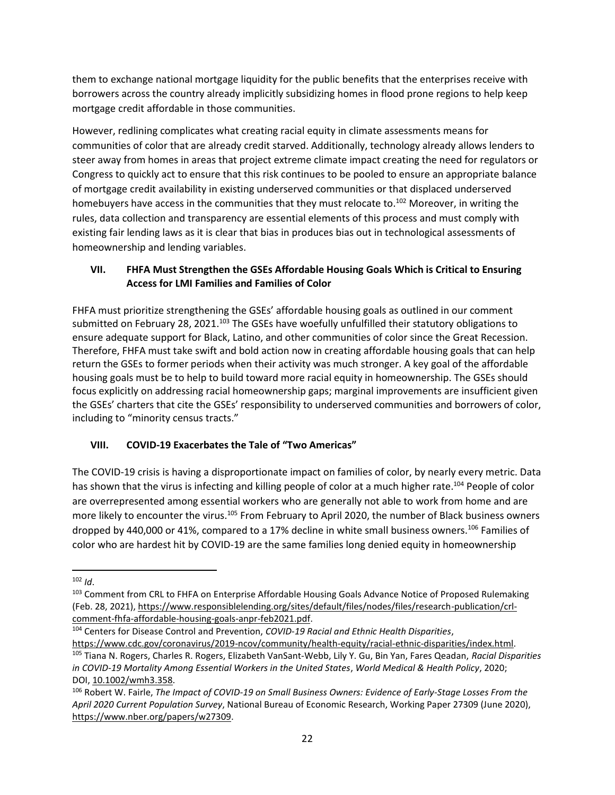them to exchange national mortgage liquidity for the public benefits that the enterprises receive with borrowers across the country already implicitly subsidizing homes in flood prone regions to help keep mortgage credit affordable in those communities.

However, redlining complicates what creating racial equity in climate assessments means for communities of color that are already credit starved. Additionally, technology already allows lenders to steer away from homes in areas that project extreme climate impact creating the need for regulators or Congress to quickly act to ensure that this risk continues to be pooled to ensure an appropriate balance of mortgage credit availability in existing underserved communities or that displaced underserved homebuyers have access in the communities that they must relocate to.<sup>102</sup> Moreover, in writing the rules, data collection and transparency are essential elements of this process and must comply with existing fair lending laws as it is clear that bias in produces bias out in technological assessments of homeownership and lending variables.

## **VII. FHFA Must Strengthen the GSEs Affordable Housing Goals Which is Critical to Ensuring Access for LMI Families and Families of Color**

FHFA must prioritize strengthening the GSEs' affordable housing goals as outlined in our comment submitted on February 28, 2021.<sup>103</sup> The GSEs have woefully unfulfilled their statutory obligations to ensure adequate support for Black, Latino, and other communities of color since the Great Recession. Therefore, FHFA must take swift and bold action now in creating affordable housing goals that can help return the GSEs to former periods when their activity was much stronger. A key goal of the affordable housing goals must be to help to build toward more racial equity in homeownership. The GSEs should focus explicitly on addressing racial homeownership gaps; marginal improvements are insufficient given the GSEs' charters that cite the GSEs' responsibility to underserved communities and borrowers of color, including to "minority census tracts."

# **VIII. COVID-19 Exacerbates the Tale of "Two Americas"**

The COVID-19 crisis is having a disproportionate impact on families of color, by nearly every metric. Data has shown that the virus is infecting and killing people of color at a much higher rate.<sup>104</sup> People of color are overrepresented among essential workers who are generally not able to work from home and are more likely to encounter the virus.<sup>105</sup> From February to April 2020, the number of Black business owners dropped by 440,000 or 41%, compared to a 17% decline in white small business owners.<sup>106</sup> Families of color who are hardest hit by COVID-19 are the same families long denied equity in homeownership

<sup>102</sup> *Id*.

<sup>103</sup> Comment from CRL to FHFA on Enterprise Affordable Housing Goals Advance Notice of Proposed Rulemaking (Feb. 28, 2021)[, https://www.responsiblelending.org/sites/default/files/nodes/files/research-publication/crl](https://www.responsiblelending.org/sites/default/files/nodes/files/research-publication/crl-comment-fhfa-affordable-housing-goals-anpr-feb2021.pdf)[comment-fhfa-affordable-housing-goals-anpr-feb2021.pdf.](https://www.responsiblelending.org/sites/default/files/nodes/files/research-publication/crl-comment-fhfa-affordable-housing-goals-anpr-feb2021.pdf)

<sup>104</sup> Centers for Disease Control and Prevention, *COVID-19 Racial and Ethnic Health Disparities*,

[https://www.cdc.gov/coronavirus/2019-ncov/community/health-equity/racial-ethnic-disparities/index.html.](https://www.cdc.gov/coronavirus/2019-ncov/community/health-equity/racial-ethnic-disparities/index.html)  <sup>105</sup> Tiana N. Rogers, Charles R. Rogers, Elizabeth VanSant‐Webb, Lily Y. Gu, Bin Yan, Fares Qeadan, *Racial Disparities in COVID‐19 Mortality Among Essential Workers in the United States*, *World Medical & Health Policy*, 2020; DOI, [10.1002/wmh3.358.](http://dx.doi.org/10.1002/wmh3.358)

<sup>106</sup> Robert W. Fairle, *The Impact of COVID-19 on Small Business Owners: Evidence of Early-Stage Losses From the April 2020 Current Population Survey*, National Bureau of Economic Research, Working Paper 27309 (June 2020), [https://www.nber.org/papers/w27309.](https://www.nber.org/papers/w27309)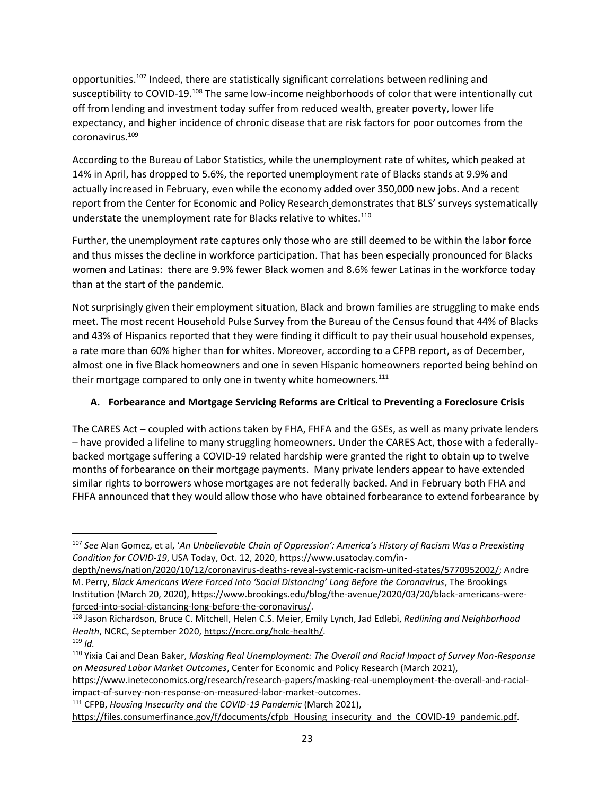opportunities.<sup>107</sup> Indeed, there are statistically significant correlations between redlining and susceptibility to COVID-19.<sup>108</sup> The same low-income neighborhoods of color that were intentionally cut off from lending and investment today suffer from reduced wealth, greater poverty, lower life expectancy, and higher incidence of chronic disease that are risk factors for poor outcomes from the coronavirus.<sup>109</sup>

According to the Bureau of Labor Statistics, while the unemployment rate of whites, which peaked at 14% in April, has dropped to 5.6%, the reported unemployment rate of Blacks stands at 9.9% and actually increased in February, even while the economy added over 350,000 new jobs. And a recent report from the Center for Economic and Policy Research demonstrates that BLS' surveys systematically understate the unemployment rate for Blacks relative to whites.<sup>110</sup>

Further, the unemployment rate captures only those who are still deemed to be within the labor force and thus misses the decline in workforce participation. That has been especially pronounced for Blacks women and Latinas: there are 9.9% fewer Black women and 8.6% fewer Latinas in the workforce today than at the start of the pandemic.

Not surprisingly given their employment situation, Black and brown families are struggling to make ends meet. The most recent Household Pulse Survey from the Bureau of the Census found that 44% of Blacks and 43% of Hispanics reported that they were finding it difficult to pay their usual household expenses, a rate more than 60% higher than for whites. Moreover, according to a CFPB report, as of December, almost one in five Black homeowners and one in seven Hispanic homeowners reported being behind on their mortgage compared to only one in twenty white homeowners.<sup>111</sup>

## **A. Forbearance and Mortgage Servicing Reforms are Critical to Preventing a Foreclosure Crisis**

The CARES Act – coupled with actions taken by FHA, FHFA and the GSEs, as well as many private lenders – have provided a lifeline to many struggling homeowners. Under the CARES Act, those with a federallybacked mortgage suffering a COVID-19 related hardship were granted the right to obtain up to twelve months of forbearance on their mortgage payments. Many private lenders appear to have extended similar rights to borrowers whose mortgages are not federally backed. And in February both FHA and FHFA announced that they would allow those who have obtained forbearance to extend forbearance by

<sup>107</sup> *See* Alan Gomez, et al, '*An Unbelievable Chain of Oppression': America's History of Racism Was a Preexisting Condition for COVID-19*, USA Today, Oct. 12, 2020[, https://www.usatoday.com/in-](https://www.usatoday.com/in-depth/news/nation/2020/10/12/coronavirus-deaths-reveal-systemic-racism-united-states/5770952002/)

[depth/news/nation/2020/10/12/coronavirus-deaths-reveal-systemic-racism-united-states/5770952002/;](https://www.usatoday.com/in-depth/news/nation/2020/10/12/coronavirus-deaths-reveal-systemic-racism-united-states/5770952002/) Andre M. Perry, *Black Americans Were Forced Into 'Social Distancing' Long Before the Coronavirus*, The Brookings Institution (March 20, 2020), [https://www.brookings.edu/blog/the-avenue/2020/03/20/black-americans-were](https://www.brookings.edu/blog/the-avenue/2020/03/20/black-americans-were-forced-into-social-distancing-long-before-the-coronavirus/)[forced-into-social-distancing-long-before-the-coronavirus/.](https://www.brookings.edu/blog/the-avenue/2020/03/20/black-americans-were-forced-into-social-distancing-long-before-the-coronavirus/)

<sup>108</sup> Jason Richardson, Bruce C. Mitchell, Helen C.S. Meier, Emily Lynch, Jad Edlebi, *Redlining and Neighborhood Health*, NCRC, September 2020, [https://ncrc.org/holc-health/.](https://ncrc.org/holc-health/)

<sup>109</sup> *Id.*

<sup>110</sup> Yixia Cai and Dean Baker, *Masking Real Unemployment: The Overall and Racial Impact of Survey Non-Response on Measured Labor Market Outcomes*, Center for Economic and Policy Research (March 2021),

[https://www.ineteconomics.org/research/research-papers/masking-real-unemployment-the-overall-and-racial](https://www.ineteconomics.org/research/research-papers/masking-real-unemployment-the-overall-and-racial-impact-of-survey-non-response-on-measured-labor-market-outcomes)[impact-of-survey-non-response-on-measured-labor-market-outcomes.](https://www.ineteconomics.org/research/research-papers/masking-real-unemployment-the-overall-and-racial-impact-of-survey-non-response-on-measured-labor-market-outcomes)

<sup>111</sup> CFPB, *Housing Insecurity and the COVID-19 Pandemic* (March 2021),

[https://files.consumerfinance.gov/f/documents/cfpb\\_Housing\\_insecurity\\_and\\_the\\_COVID-19\\_pandemic.pdf.](https://files.consumerfinance.gov/f/documents/cfpb_Housing_insecurity_and_the_COVID-19_pandemic.pdf)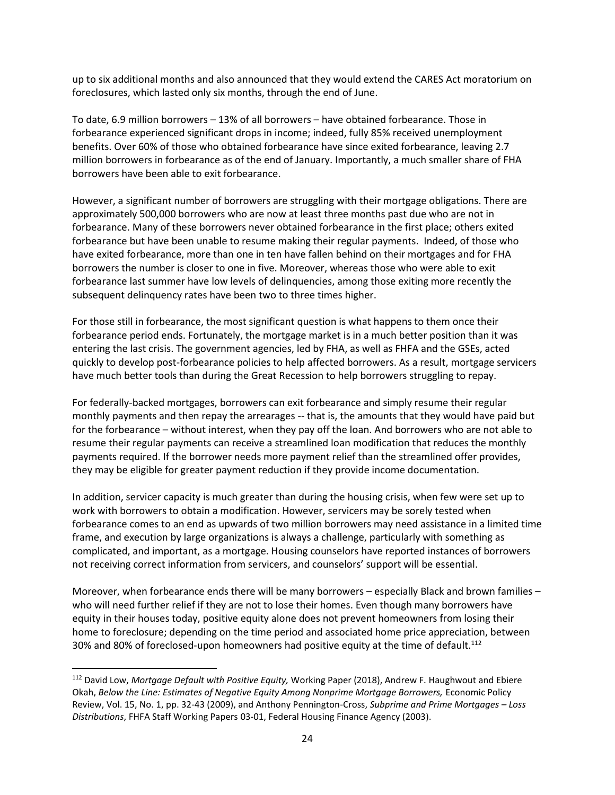up to six additional months and also announced that they would extend the CARES Act moratorium on foreclosures, which lasted only six months, through the end of June.

To date, 6.9 million borrowers – 13% of all borrowers – have obtained forbearance. Those in forbearance experienced significant drops in income; indeed, fully 85% received unemployment benefits. Over 60% of those who obtained forbearance have since exited forbearance, leaving 2.7 million borrowers in forbearance as of the end of January. Importantly, a much smaller share of FHA borrowers have been able to exit forbearance.

However, a significant number of borrowers are struggling with their mortgage obligations. There are approximately 500,000 borrowers who are now at least three months past due who are not in forbearance. Many of these borrowers never obtained forbearance in the first place; others exited forbearance but have been unable to resume making their regular payments. Indeed, of those who have exited forbearance, more than one in ten have fallen behind on their mortgages and for FHA borrowers the number is closer to one in five. Moreover, whereas those who were able to exit forbearance last summer have low levels of delinquencies, among those exiting more recently the subsequent delinquency rates have been two to three times higher.

For those still in forbearance, the most significant question is what happens to them once their forbearance period ends. Fortunately, the mortgage market is in a much better position than it was entering the last crisis. The government agencies, led by FHA, as well as FHFA and the GSEs, acted quickly to develop post-forbearance policies to help affected borrowers. As a result, mortgage servicers have much better tools than during the Great Recession to help borrowers struggling to repay.

For federally-backed mortgages, borrowers can exit forbearance and simply resume their regular monthly payments and then repay the arrearages -- that is, the amounts that they would have paid but for the forbearance – without interest, when they pay off the loan. And borrowers who are not able to resume their regular payments can receive a streamlined loan modification that reduces the monthly payments required. If the borrower needs more payment relief than the streamlined offer provides, they may be eligible for greater payment reduction if they provide income documentation.

In addition, servicer capacity is much greater than during the housing crisis, when few were set up to work with borrowers to obtain a modification. However, servicers may be sorely tested when forbearance comes to an end as upwards of two million borrowers may need assistance in a limited time frame, and execution by large organizations is always a challenge, particularly with something as complicated, and important, as a mortgage. Housing counselors have reported instances of borrowers not receiving correct information from servicers, and counselors' support will be essential.

Moreover, when forbearance ends there will be many borrowers – especially Black and brown families – who will need further relief if they are not to lose their homes. Even though many borrowers have equity in their houses today, positive equity alone does not prevent homeowners from losing their home to foreclosure; depending on the time period and associated home price appreciation, between 30% and 80% of foreclosed-upon homeowners had positive equity at the time of default.<sup>112</sup>

<sup>112</sup> David Low, *Mortgage Default with Positive Equity,* Working Paper (2018), Andrew F. Haughwout and Ebiere Okah, *Below the Line: Estimates of Negative Equity Among Nonprime Mortgage Borrowers,* Economic Policy Review, Vol. 15, No. 1, pp. 32-43 (2009), and Anthony Pennington-Cross, *Subprime and Prime Mortgages – Loss Distributions*, [FHFA Staff Working Papers](https://ideas.repec.org/s/hfa/wpaper.html) 03-01, Federal Housing Finance Agency (2003).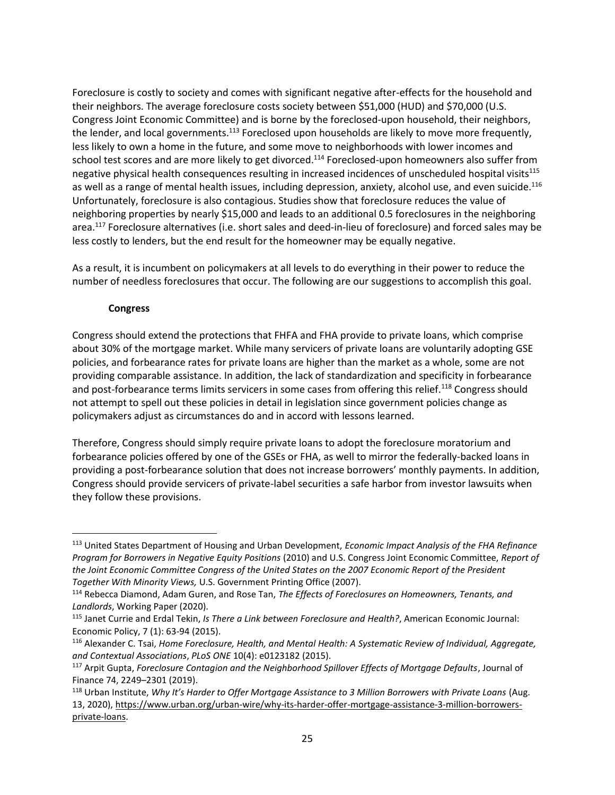Foreclosure is costly to society and comes with significant negative after-effects for the household and their neighbors. The average foreclosure costs society between \$51,000 (HUD) and \$70,000 (U.S. Congress Joint Economic Committee) and is borne by the foreclosed-upon household, their neighbors, the lender, and local governments.<sup>113</sup> Foreclosed upon households are likely to move more frequently, less likely to own a home in the future, and some move to neighborhoods with lower incomes and school test scores and are more likely to get divorced.<sup>114</sup> Foreclosed-upon homeowners also suffer from negative physical health consequences resulting in increased incidences of unscheduled hospital visits<sup>115</sup> as well as a range of mental health issues, including depression, anxiety, alcohol use, and even suicide.<sup>116</sup> Unfortunately, foreclosure is also contagious. Studies show that foreclosure reduces the value of neighboring properties by nearly \$15,000 and leads to an additional 0.5 foreclosures in the neighboring area.<sup>117</sup> Foreclosure alternatives (i.e. short sales and deed-in-lieu of foreclosure) and forced sales may be less costly to lenders, but the end result for the homeowner may be equally negative.

As a result, it is incumbent on policymakers at all levels to do everything in their power to reduce the number of needless foreclosures that occur. The following are our suggestions to accomplish this goal.

#### **Congress**

Congress should extend the protections that FHFA and FHA provide to private loans, which comprise about 30% of the mortgage market. While many servicers of private loans are voluntarily adopting GSE policies, and forbearance rates for private loans are higher than the market as a whole, some are not providing comparable assistance. In addition, the lack of standardization and specificity in forbearance and post-forbearance terms limits servicers in some cases from offering this relief.<sup>118</sup> Congress should not attempt to spell out these policies in detail in legislation since government policies change as policymakers adjust as circumstances do and in accord with lessons learned.

Therefore, Congress should simply require private loans to adopt the foreclosure moratorium and forbearance policies offered by one of the GSEs or FHA, as well to mirror the federally-backed loans in providing a post-forbearance solution that does not increase borrowers' monthly payments. In addition, Congress should provide servicers of private-label securities a safe harbor from investor lawsuits when they follow these provisions.

<sup>113</sup> United States Department of Housing and Urban Development, *Economic Impact Analysis of the FHA Refinance Program for Borrowers in Negative Equity Positions* (2010) and U.S. Congress Joint Economic Committee, *Report of the Joint Economic Committee Congress of the United States on the 2007 Economic Report of the President Together With Minority Views,* U.S. Government Printing Office (2007).

<sup>114</sup> Rebecca Diamond, Adam Guren, and Rose Tan, *The Effects of Foreclosures on Homeowners, Tenants, and Landlords*, Working Paper (2020).

<sup>115</sup> Janet Currie and Erdal Tekin, *Is There a Link between Foreclosure and Health?*, American Economic Journal: Economic Policy, 7 (1): 63-94 (2015).

<sup>116</sup> Alexander C. Tsai, *Home Foreclosure, Health, and Mental Health: A Systematic Review of Individual, Aggregate, and Contextual Associations*, *PLoS ONE* 10(4): e0123182 (2015).

<sup>117</sup> Arpit Gupta, *Foreclosure Contagion and the Neighborhood Spillover Effects of Mortgage Defaults*, Journal of Finance 74, 2249–2301 (2019).

<sup>118</sup> Urban Institute, *Why It's Harder to Offer Mortgage Assistance to 3 Million Borrowers with Private Loans* (Aug. 13, 2020), [https://www.urban.org/urban-wire/why-its-harder-offer-mortgage-assistance-3-million-borrowers](https://www.urban.org/urban-wire/why-its-harder-offer-mortgage-assistance-3-million-borrowers-private-loans)[private-loans.](https://www.urban.org/urban-wire/why-its-harder-offer-mortgage-assistance-3-million-borrowers-private-loans)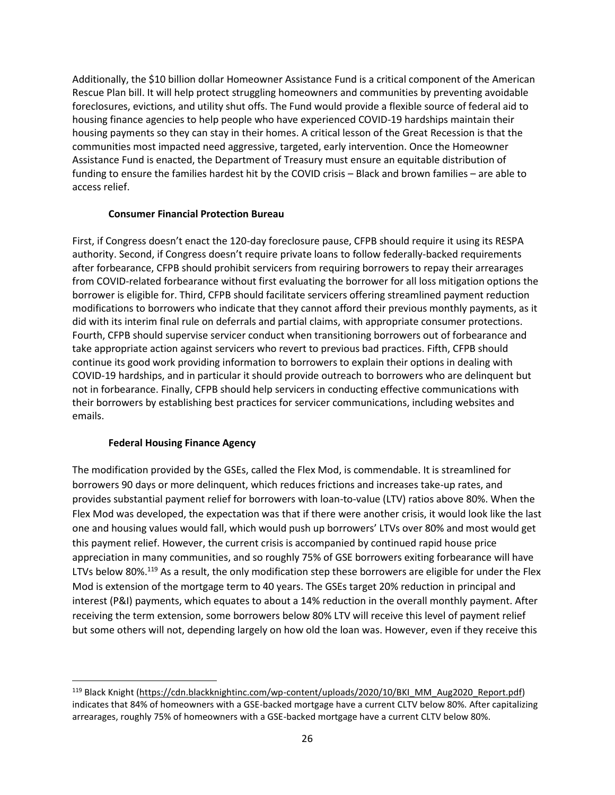Additionally, the \$10 billion dollar Homeowner Assistance Fund is a critical component of the American Rescue Plan bill. It will help protect struggling homeowners and communities by preventing avoidable foreclosures, evictions, and utility shut offs. The Fund would provide a flexible source of federal aid to housing finance agencies to help people who have experienced COVID-19 hardships maintain their housing payments so they can stay in their homes. A critical lesson of the Great Recession is that the communities most impacted need aggressive, targeted, early intervention. Once the Homeowner Assistance Fund is enacted, the Department of Treasury must ensure an equitable distribution of funding to ensure the families hardest hit by the COVID crisis – Black and brown families – are able to access relief.

#### **Consumer Financial Protection Bureau**

First, if Congress doesn't enact the 120-day foreclosure pause, CFPB should require it using its RESPA authority. Second, if Congress doesn't require private loans to follow federally-backed requirements after forbearance, CFPB should prohibit servicers from requiring borrowers to repay their arrearages from COVID-related forbearance without first evaluating the borrower for all loss mitigation options the borrower is eligible for. Third, CFPB should facilitate servicers offering streamlined payment reduction modifications to borrowers who indicate that they cannot afford their previous monthly payments, as it did with its interim final rule on deferrals and partial claims, with appropriate consumer protections. Fourth, CFPB should supervise servicer conduct when transitioning borrowers out of forbearance and take appropriate action against servicers who revert to previous bad practices. Fifth, CFPB should continue its good work providing information to borrowers to explain their options in dealing with COVID-19 hardships, and in particular it should provide outreach to borrowers who are delinquent but not in forbearance. Finally, CFPB should help servicers in conducting effective communications with their borrowers by establishing best practices for servicer communications, including websites and emails.

#### **Federal Housing Finance Agency**

The modification provided by the GSEs, called the Flex Mod, is commendable. It is streamlined for borrowers 90 days or more delinquent, which reduces frictions and increases take-up rates, and provides substantial payment relief for borrowers with loan-to-value (LTV) ratios above 80%. When the Flex Mod was developed, the expectation was that if there were another crisis, it would look like the last one and housing values would fall, which would push up borrowers' LTVs over 80% and most would get this payment relief. However, the current crisis is accompanied by continued rapid house price appreciation in many communities, and so roughly 75% of GSE borrowers exiting forbearance will have LTVs below 80%.<sup>119</sup> As a result, the only modification step these borrowers are eligible for under the Flex Mod is extension of the mortgage term to 40 years. The GSEs target 20% reduction in principal and interest (P&I) payments, which equates to about a 14% reduction in the overall monthly payment. After receiving the term extension, some borrowers below 80% LTV will receive this level of payment relief but some others will not, depending largely on how old the loan was. However, even if they receive this

<sup>&</sup>lt;sup>119</sup> Black Knight [\(https://cdn.blackknightinc.com/wp-content/uploads/2020/10/BKI\\_MM\\_Aug2020\\_Report.pdf\)](https://cdn.blackknightinc.com/wp-content/uploads/2020/10/BKI_MM_Aug2020_Report.pdf) indicates that 84% of homeowners with a GSE-backed mortgage have a current CLTV below 80%. After capitalizing arrearages, roughly 75% of homeowners with a GSE-backed mortgage have a current CLTV below 80%.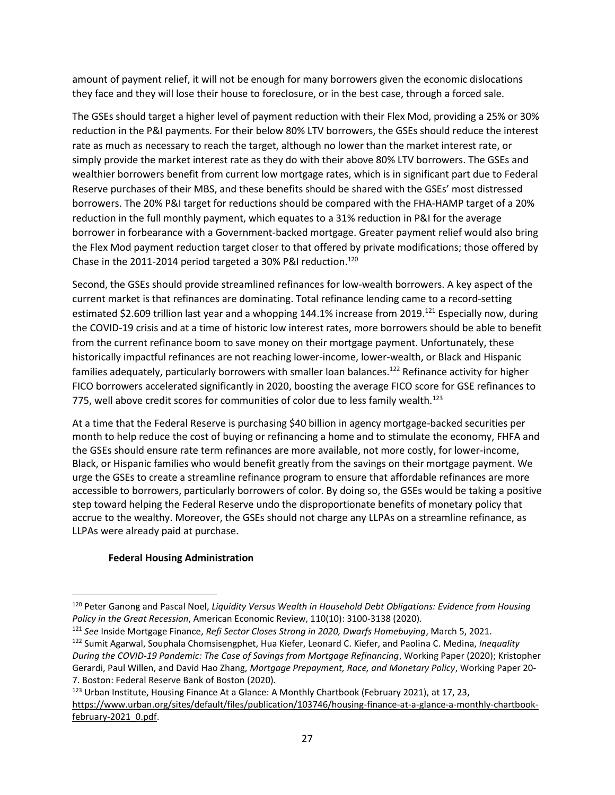amount of payment relief, it will not be enough for many borrowers given the economic dislocations they face and they will lose their house to foreclosure, or in the best case, through a forced sale.

The GSEs should target a higher level of payment reduction with their Flex Mod, providing a 25% or 30% reduction in the P&I payments. For their below 80% LTV borrowers, the GSEs should reduce the interest rate as much as necessary to reach the target, although no lower than the market interest rate, or simply provide the market interest rate as they do with their above 80% LTV borrowers. The GSEs and wealthier borrowers benefit from current low mortgage rates, which is in significant part due to Federal Reserve purchases of their MBS, and these benefits should be shared with the GSEs' most distressed borrowers. The 20% P&I target for reductions should be compared with the FHA-HAMP target of a 20% reduction in the full monthly payment, which equates to a 31% reduction in P&I for the average borrower in forbearance with a Government-backed mortgage. Greater payment relief would also bring the Flex Mod payment reduction target closer to that offered by private modifications; those offered by Chase in the 2011-2014 period targeted a 30% P&I reduction.<sup>120</sup>

Second, the GSEs should provide streamlined refinances for low-wealth borrowers. A key aspect of the current market is that refinances are dominating. Total refinance lending came to a record-setting estimated \$2.609 trillion last year and a whopping 144.1% increase from 2019.<sup>121</sup> Especially now, during the COVID-19 crisis and at a time of historic low interest rates, more borrowers should be able to benefit from the current refinance boom to save money on their mortgage payment. Unfortunately, these historically impactful refinances are not reaching lower-income, lower-wealth, or Black and Hispanic families adequately, particularly borrowers with smaller loan balances.<sup>122</sup> Refinance activity for higher FICO borrowers accelerated significantly in 2020, boosting the average FICO score for GSE refinances to 775, well above credit scores for communities of color due to less family wealth.<sup>123</sup>

At a time that the Federal Reserve is purchasing \$40 billion in agency mortgage-backed securities per month to help reduce the cost of buying or refinancing a home and to stimulate the economy, FHFA and the GSEs should ensure rate term refinances are more available, not more costly, for lower-income, Black, or Hispanic families who would benefit greatly from the savings on their mortgage payment. We urge the GSEs to create a streamline refinance program to ensure that affordable refinances are more accessible to borrowers, particularly borrowers of color. By doing so, the GSEs would be taking a positive step toward helping the Federal Reserve undo the disproportionate benefits of monetary policy that accrue to the wealthy. Moreover, the GSEs should not charge any LLPAs on a streamline refinance, as LLPAs were already paid at purchase.

### **Federal Housing Administration**

<sup>120</sup> Peter Ganong and Pascal Noel, *Liquidity Versus Wealth in Household Debt Obligations: Evidence from Housing Policy in the Great Recession*, American Economic Review, 110(10): 3100-3138 (2020).

<sup>121</sup> *See* Inside Mortgage Finance, *Refi Sector Closes Strong in 2020, Dwarfs Homebuying*, March 5, 2021.

<sup>122</sup> Sumit Agarwal, Souphala Chomsisengphet, Hua Kiefer, Leonard C. Kiefer, and Paolina C. Medina, *Inequality During the COVID-19 Pandemic: The Case of Savings from Mortgage Refinancing*, Working Paper (2020); Kristopher Gerardi, Paul Willen, and David Hao Zhang, *Mortgage Prepayment, Race, and Monetary Policy*, Working Paper 20- 7. Boston: Federal Reserve Bank of Boston (2020).

<sup>&</sup>lt;sup>123</sup> Urb[a](https://www.urban.org/sites/default/files/publication/103746/housing-finance-at-a-glance-a-monthly-chartbook-february-2021_0.pdf)n Institute, Housing Finance At a Glance: A Monthly Chartbook (February 2021), at 17, 23, [https://www.urban.org/sites/default/files/publication/103746/housing-finance-at-a-glance-a-monthly-chartbook](https://www.urban.org/sites/default/files/publication/103746/housing-finance-at-a-glance-a-monthly-chartbook-february-2021_0.pdf)february-2021\_0.pdf.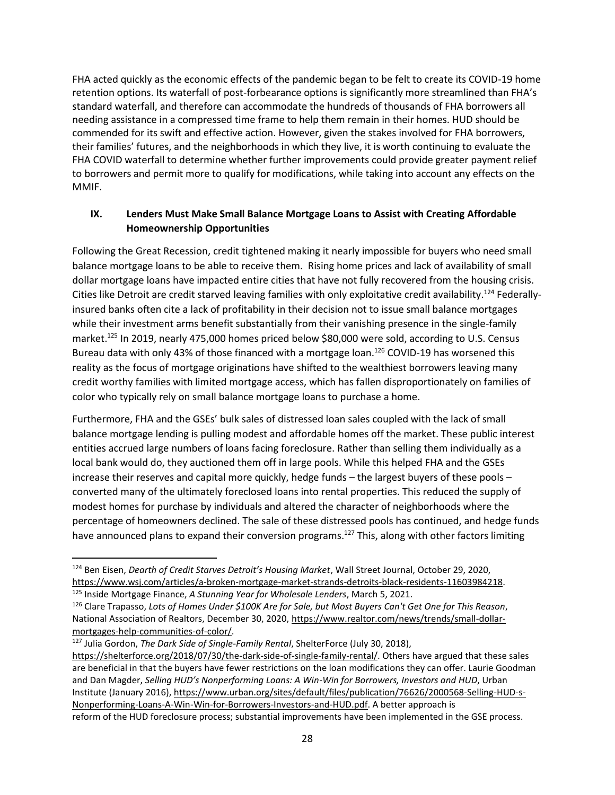FHA acted quickly as the economic effects of the pandemic began to be felt to create its COVID-19 home retention options. Its waterfall of post-forbearance options is significantly more streamlined than FHA's standard waterfall, and therefore can accommodate the hundreds of thousands of FHA borrowers all needing assistance in a compressed time frame to help them remain in their homes. HUD should be commended for its swift and effective action. However, given the stakes involved for FHA borrowers, their families' futures, and the neighborhoods in which they live, it is worth continuing to evaluate the FHA COVID waterfall to determine whether further improvements could provide greater payment relief to borrowers and permit more to qualify for modifications, while taking into account any effects on the MMIF.

## **IX. Lenders Must Make Small Balance Mortgage Loans to Assist with Creating Affordable Homeownership Opportunities**

Following the Great Recession, credit tightened making it nearly impossible for buyers who need small balance mortgage loans to be able to receive them. Rising home prices and lack of availability of small dollar mortgage loans have impacted entire cities that have not fully recovered from the housing crisis. Cities like Detroit are credit starved leaving families with only exploitative credit availability.<sup>124</sup> Federallyinsured banks often cite a lack of profitability in their decision not to issue small balance mortgages while their investment arms benefit substantially from their vanishing presence in the single-family market.<sup>125</sup> In 2019, nearly 475,000 homes priced below \$80,000 were sold, according to U.S. Census Bureau data with only 43% of those financed with a mortgage loan.<sup>126</sup> COVID-19 has worsened this reality as the focus of mortgage originations have shifted to the wealthiest borrowers leaving many credit worthy families with limited mortgage access, which has fallen disproportionately on families of color who typically rely on small balance mortgage loans to purchase a home.

Furthermore, FHA and the GSEs' bulk sales of distressed loan sales coupled with the lack of small balance mortgage lending is pulling modest and affordable homes off the market. These public interest entities accrued large numbers of loans facing foreclosure. Rather than selling them individually as a local bank would do, they auctioned them off in large pools. While this helped FHA and the GSEs increase their reserves and capital more quickly, hedge funds – the largest buyers of these pools – converted many of the ultimately foreclosed loans into rental properties. This reduced the supply of modest homes for purchase by individuals and altered the character of neighborhoods where the percentage of homeowners declined. The sale of these distressed pools has continued, and hedge funds have announced plans to expand their conversion programs.<sup>127</sup> This, along with other factors limiting

<sup>127</sup> Julia Gordon, *The Dark Side of Single-Family Rental*, ShelterForce (July 30, 2018), [https://shelterforce.org/2018/07/30/the-dark-side-of-single-family-rental/.](https://shelterforce.org/2018/07/30/the-dark-side-of-single-family-rental/) Others have argued that these sales are beneficial in that the buyers have fewer restrictions on the loan modifications they can offer. Laurie Goodman and Dan Magder, *Selling HUD's Nonperforming Loans: A Win-Win for Borrowers, Investors and HUD*, Urban Institute (January 2016), [https://www.urban.org/sites/default/files/publication/76626/2000568-Selling-HUD-s-](https://www.urban.org/sites/default/files/publication/76626/2000568-Selling-HUD-s-Nonperforming-Loans-A-Win-Win-for-Borrowers-Investors-and-HUD.pdf)[Nonperforming-Loans-A-Win-Win-for-Borrowers-Investors-and-HUD.pdf.](https://www.urban.org/sites/default/files/publication/76626/2000568-Selling-HUD-s-Nonperforming-Loans-A-Win-Win-for-Borrowers-Investors-and-HUD.pdf) A better approach is reform of the HUD foreclosure process; substantial improvements have been implemented in the GSE process.

<sup>124</sup> Ben Eisen, *Dearth of Credit Starves Detroit's Housing Market*, Wall Street Journal, October 29, 2020, [https://www.wsj.com/articles/a-broken-mortgage-market-strands-detroits-black-residents-11603984218.](https://www.wsj.com/articles/a-broken-mortgage-market-strands-detroits-black-residents-11603984218) <sup>125</sup> Inside Mortgage Finance, *A Stunning Year for Wholesale Lenders*, March 5, 2021.

<sup>126</sup> Clare Trapasso, *Lots of Homes Under \$100K Are for Sale, but Most Buyers Can't Get One for This Reason*, National Association of Realtors, December 30, 2020, [https://www.realtor.com/news/trends/small-dollar](https://www.realtor.com/news/trends/small-dollar-mortgages-help-communities-of-color/)[mortgages-help-communities-of-color/.](https://www.realtor.com/news/trends/small-dollar-mortgages-help-communities-of-color/)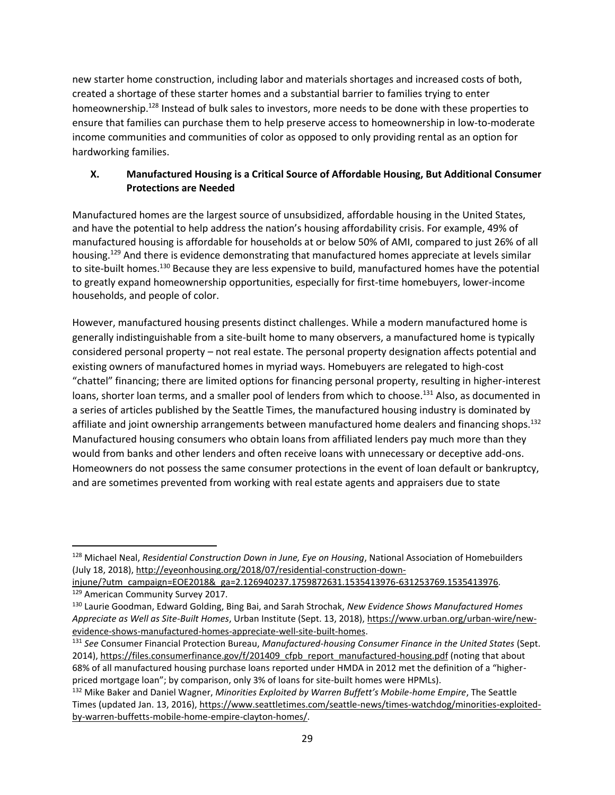new starter home construction, including labor and materials shortages and increased costs of both, created a shortage of these starter homes and a substantial barrier to families trying to enter homeownership.<sup>128</sup> Instead of bulk sales to investors, more needs to be done with these properties to ensure that families can purchase them to help preserve access to homeownership in low-to-moderate income communities and communities of color as opposed to only providing rental as an option for hardworking families.

## **X. Manufactured Housing is a Critical Source of Affordable Housing, But Additional Consumer Protections are Needed**

Manufactured homes are the largest source of unsubsidized, affordable housing in the United States, and have the potential to help address the nation's housing affordability crisis. For example, 49% of manufactured housing is affordable for households at or below 50% of AMI, compared to just 26% of all housing.<sup>129</sup> And there is evidence demonstrating that manufactured homes appreciate at levels similar to site-built homes.<sup>130</sup> Because they are less expensive to build, manufactured homes have the potential to greatly expand homeownership opportunities, especially for first-time homebuyers, lower-income households, and people of color.

However, manufactured housing presents distinct challenges. While a modern manufactured home is generally indistinguishable from a site-built home to many observers, a manufactured home is typically considered personal property – not real estate. The personal property designation affects potential and existing owners of manufactured homes in myriad ways. Homebuyers are relegated to high-cost "chattel" financing; there are limited options for financing personal property, resulting in higher-interest loans, shorter loan terms, and a smaller pool of lenders from which to choose.<sup>131</sup> Also, as documented in a series of articles published by the Seattle Times, the manufactured housing industry is dominated by affiliate and joint ownership arrangements between manufactured home dealers and financing shops.<sup>132</sup> Manufactured housing consumers who obtain loans from affiliated lenders pay much more than they would from banks and other lenders and often receive loans with unnecessary or deceptive add-ons. Homeowners do not possess the same consumer protections in the event of loan default or bankruptcy, and are sometimes prevented from working with real estate agents and appraisers due to state

<sup>128</sup> Michael Neal, *Residential Construction Down in June, Eye on Housing*, National Association of Homebuilders (July 18, 2018)[, http://eyeonhousing.org/2018/07/residential-construction-down-](http://eyeonhousing.org/2018/07/residential-construction-down-injune/?utm_campaign=EOE2018&_ga=2.126940237.1759872631.1535413976-631253769.1535413976)

[injune/?utm\\_campaign=EOE2018&\\_ga=2.126940237.1759872631.1535413976-631253769.1535413976.](http://eyeonhousing.org/2018/07/residential-construction-down-injune/?utm_campaign=EOE2018&_ga=2.126940237.1759872631.1535413976-631253769.1535413976) <sup>129</sup> American Community Survey 2017.

<sup>130</sup> Laurie Goodman, Edward Golding, Bing Bai, and Sarah Strochak, *New Evidence Shows Manufactured Homes Appreciate as Well as Site-Built Homes*, Urban Institute (Sept. 13, 2018), [https://www.urban.org/urban-wire/new](https://www.urban.org/urban-wire/new-evidence-shows-manufactured-homes-appreciate-well-site-built-homes)[evidence-shows-manufactured-homes-appreciate-well-site-built-homes.](https://www.urban.org/urban-wire/new-evidence-shows-manufactured-homes-appreciate-well-site-built-homes)

<sup>131</sup> *See* Consumer Financial Protection Bureau, *Manufactured-housing Consumer Finance in the United States* (Sept. 2014), [https://files.consumerfinance.gov/f/201409\\_cfpb\\_report\\_manufactured-housing.pdf](https://files.consumerfinance.gov/f/201409_cfpb_report_manufactured-housing.pdf) (noting that about 68% of all manufactured housing purchase loans reported under HMDA in 2012 met the definition of a "higherpriced mortgage loan"; by comparison, only 3% of loans for site-built homes were HPMLs).

<sup>132</sup> Mike Baker and Daniel Wagner, *Minorities Exploited by Warren Buffett's Mobile-home Empire*, The Seattle Times (updated Jan. 13, 2016)[, https://www.seattletimes.com/seattle-news/times-watchdog/minorities-exploited](https://www.seattletimes.com/seattle-news/times-watchdog/minorities-exploited-by-warren-buffetts-mobile-home-empire-clayton-homes/)[by-warren-buffetts-mobile-home-empire-clayton-homes/.](https://www.seattletimes.com/seattle-news/times-watchdog/minorities-exploited-by-warren-buffetts-mobile-home-empire-clayton-homes/)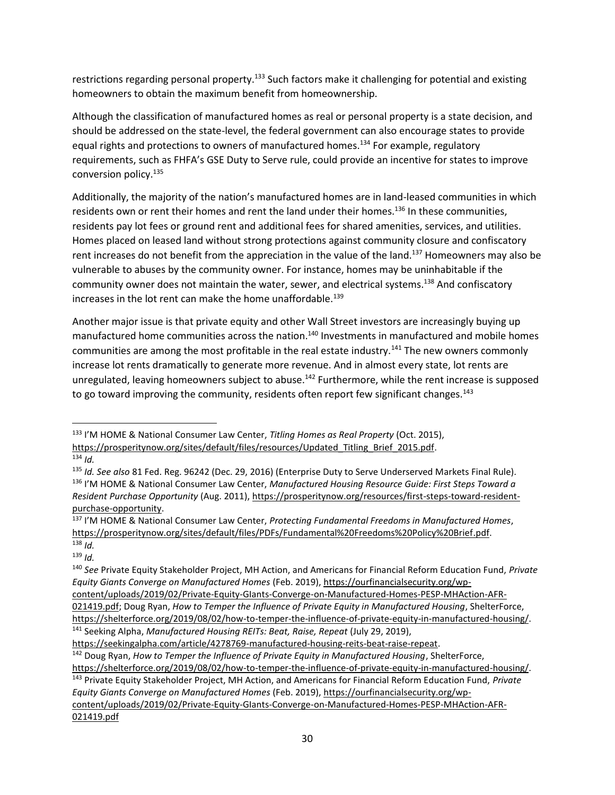restrictions regarding personal property.<sup>133</sup> Such factors make it challenging for potential and existing homeowners to obtain the maximum benefit from homeownership.

Although the classification of manufactured homes as real or personal property is a state decision, and should be addressed on the state-level, the federal government can also encourage states to provide equal rights and protections to owners of manufactured homes.<sup>134</sup> For example, regulatory requirements, such as FHFA's GSE Duty to Serve rule, could provide an incentive for states to improve conversion policy.<sup>135</sup>

Additionally, the majority of the nation's manufactured homes are in land-leased communities in which residents own or rent their homes and rent the land under their homes.<sup>136</sup> In these communities, residents pay lot fees or ground rent and additional fees for shared amenities, services, and utilities. Homes placed on leased land without strong protections against community closure and confiscatory rent increases do not benefit from the appreciation in the value of the land.<sup>137</sup> Homeowners may also be vulnerable to abuses by the community owner. For instance, homes may be uninhabitable if the community owner does not maintain the water, sewer, and electrical systems.<sup>138</sup> And confiscatory increases in the lot rent can make the home unaffordable.<sup>139</sup>

Another major issue is that private equity and other Wall Street investors are increasingly buying up manufactured home communities across the nation.<sup>140</sup> Investments in manufactured and mobile homes communities are among the most profitable in the real estate industry.<sup>141</sup> The new owners commonly increase lot rents dramatically to generate more revenue. And in almost every state, lot rents are unregulated, leaving homeowners subject to abuse.<sup>142</sup> Furthermore, while the rent increase is supposed to go toward improving the community, residents often report few significant changes.<sup>143</sup>

<sup>137</sup> I'M HOME & National Consumer Law Center, *Protecting Fundamental Freedoms in Manufactured Homes*, [https://prosperitynow.org/sites/default/files/PDFs/Fundamental%20Freedoms%20Policy%20Brief.pdf.](https://prosperitynow.org/sites/default/files/PDFs/Fundamental%20Freedoms%20Policy%20Brief.pdf) <sup>138</sup> *Id.*

<sup>133</sup> I'M HOME & National Consumer Law Center, *Titling Homes as Real Property* (Oct. 2015), https://prosperitynow.org/sites/default/files/resources/Updated Titling Brief 2015.pdf.

 $134$  *Id.* 

<sup>135</sup> *Id. See also* 81 Fed. Reg. 96242 (Dec. 29, 2016) (Enterprise Duty to Serve Underserved Markets Final Rule). <sup>136</sup> I'M HOME & National Consumer Law Center, *Manufactured Housing Resource Guide: First Steps Toward a Resident Purchase Opportunity* (Aug. 2011), [https://prosperitynow.org/resources/first-steps-toward-resident](https://prosperitynow.org/resources/first-steps-toward-resident-purchase-opportunity)[purchase-opportunity.](https://prosperitynow.org/resources/first-steps-toward-resident-purchase-opportunity)

 $139$  *Id.* 

<sup>140</sup> *See* Private Equity Stakeholder Project, MH Action, and Americans for Financial Reform Education Fund, *Private Equity Giants Converge on Manufactured Homes* (Feb. 2019), [https://ourfinancialsecurity.org/wp-](https://ourfinancialsecurity.org/wp-content/uploads/2019/02/Private-Equity-GIants-Converge-on-Manufactured-Homes-PESP-MHAction-AFR-021419.pdf)

[content/uploads/2019/02/Private-Equity-GIants-Converge-on-Manufactured-Homes-PESP-MHAction-AFR-](https://ourfinancialsecurity.org/wp-content/uploads/2019/02/Private-Equity-GIants-Converge-on-Manufactured-Homes-PESP-MHAction-AFR-021419.pdf)

[<sup>021419.</sup>pdf;](https://ourfinancialsecurity.org/wp-content/uploads/2019/02/Private-Equity-GIants-Converge-on-Manufactured-Homes-PESP-MHAction-AFR-021419.pdf) Doug Ryan, *How to Temper the Influence of Private Equity in Manufactured Housing*, ShelterForce, [https://shelterforce.org/2019/08/02/how-to-temper-the-influence-of-private-equity-in-manufactured-housing/.](https://shelterforce.org/2019/08/02/how-to-temper-the-influence-of-private-equity-in-manufactured-housing/) <sup>141</sup> Seeking Alpha, *Manufactured Housing REITs: Beat, Raise, Repeat* (July 29, 2019),

[https://seekingalpha.com/article/4278769-manufactured-housing-reits-beat-raise-repeat.](https://seekingalpha.com/article/4278769-manufactured-housing-reits-beat-raise-repeat)

<sup>142</sup> Doug Ryan, *How to Temper the Influence of Private Equity in Manufactured Housing*, ShelterForce,

[https://shelterforce.org/2019/08/02/how-to-temper-the-influence-of-private-equity-in-manufactured-housing/.](https://shelterforce.org/2019/08/02/how-to-temper-the-influence-of-private-equity-in-manufactured-housing/)

<sup>143</sup> Private Equity Stakeholder Project, MH Action, and Americans for Financial Reform Education Fund, *Private Equity Giants Converge on Manufactured Homes* (Feb. 2019), [https://ourfinancialsecurity.org/wp](https://ourfinancialsecurity.org/wp-content/uploads/2019/02/Private-Equity-GIants-Converge-on-Manufactured-Homes-PESP-MHAction-AFR-021419.pdf)[content/uploads/2019/02/Private-Equity-GIants-Converge-on-Manufactured-Homes-PESP-MHAction-AFR-](https://ourfinancialsecurity.org/wp-content/uploads/2019/02/Private-Equity-GIants-Converge-on-Manufactured-Homes-PESP-MHAction-AFR-021419.pdf)[021419.pdf](https://ourfinancialsecurity.org/wp-content/uploads/2019/02/Private-Equity-GIants-Converge-on-Manufactured-Homes-PESP-MHAction-AFR-021419.pdf)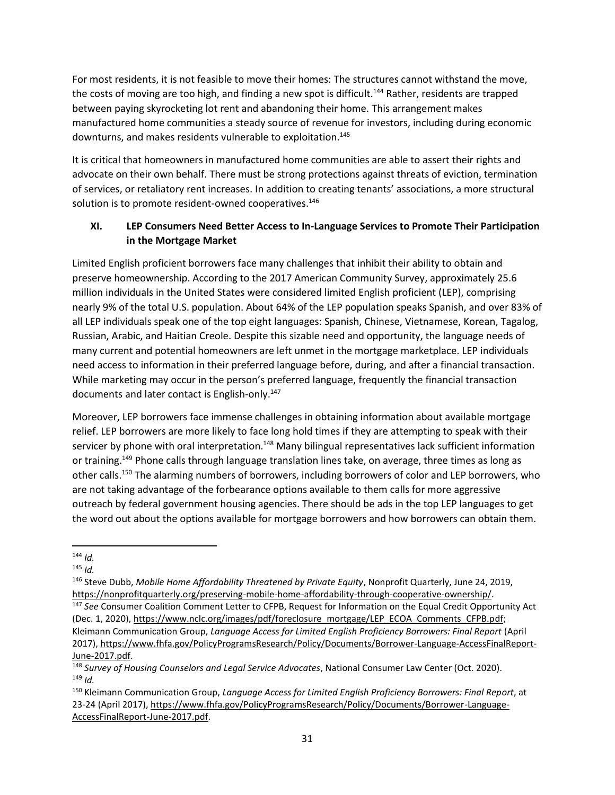For most residents, it is not feasible to move their homes: The structures cannot withstand the move, the costs of moving are too high, and finding a new spot is difficult.<sup>144</sup> Rather, residents are trapped between paying skyrocketing lot rent and abandoning their home. This arrangement makes manufactured home communities a steady source of revenue for investors, including during economic downturns, and makes residents vulnerable to exploitation.<sup>145</sup>

It is critical that homeowners in manufactured home communities are able to assert their rights and advocate on their own behalf. There must be strong protections against threats of eviction, termination of services, or retaliatory rent increases. In addition to creating tenants' associations, a more structural solution is to promote resident-owned cooperatives.<sup>146</sup>

# **XI. LEP Consumers Need Better Access to In-Language Services to Promote Their Participation in the Mortgage Market**

Limited English proficient borrowers face many challenges that inhibit their ability to obtain and preserve homeownership. According to the 2017 American Community Survey, approximately 25.6 million individuals in the United States were considered limited English proficient (LEP), comprising nearly 9% of the total U.S. population. About 64% of the LEP population speaks Spanish, and over 83% of all LEP individuals speak one of the top eight languages: Spanish, Chinese, Vietnamese, Korean, Tagalog, Russian, Arabic, and Haitian Creole. Despite this sizable need and opportunity, the language needs of many current and potential homeowners are left unmet in the mortgage marketplace. LEP individuals need access to information in their preferred language before, during, and after a financial transaction. While marketing may occur in the person's preferred language, frequently the financial transaction documents and later contact is English-only.<sup>147</sup>

Moreover, LEP borrowers face immense challenges in obtaining information about available mortgage relief. LEP borrowers are more likely to face long hold times if they are attempting to speak with their servicer by phone with oral interpretation.<sup>148</sup> Many bilingual representatives lack sufficient information or training.<sup>149</sup> Phone calls through language translation lines take, on average, three times as long as other calls.<sup>150</sup> The alarming numbers of borrowers, including borrowers of color and LEP borrowers, who are not taking advantage of the forbearance options available to them calls for more aggressive outreach by federal government housing agencies. There should be ads in the top LEP languages to get the word out about the options available for mortgage borrowers and how borrowers can obtain them.

 $144$  *Id.* 

<sup>145</sup> *Id.* 

<sup>146</sup> Steve Dubb, *Mobile Home Affordability Threatened by Private Equity*, Nonprofit Quarterly, June 24, 2019, [https://nonprofitquarterly.org/preserving-mobile-home-affordability-through-cooperative-ownership/.](https://nonprofitquarterly.org/preserving-mobile-home-affordability-through-cooperative-ownership/) 

<sup>147</sup> *See* Consumer Coalition Comment Letter to CFPB, Request for Information on the Equal Credit Opportunity Act (Dec. 1, 2020), [https://www.nclc.org/images/pdf/foreclosure\\_mortgage/LEP\\_ECOA\\_Comments\\_CFPB.pdf;](https://www.nclc.org/images/pdf/foreclosure_mortgage/LEP_ECOA_Comments_CFPB.pdf) Kleimann Communication Group, *Language Access for Limited English Proficiency Borrowers: Final Report* (April

<sup>2017),</sup> [https://www.fhfa.gov/PolicyProgramsResearch/Policy/Documents/Borrower-Language-AccessFinalReport-](https://www.fhfa.gov/PolicyProgramsResearch/Policy/Documents/Borrower-Language-AccessFinalReport-June-2017.pdf)[June-2017.pdf.](https://www.fhfa.gov/PolicyProgramsResearch/Policy/Documents/Borrower-Language-AccessFinalReport-June-2017.pdf)

<sup>148</sup> *Survey of Housing Counselors and Legal Service Advocates*, National Consumer Law Center (Oct. 2020).  $149$  *Id.* 

<sup>150</sup> Kleimann Communication Group, *Language Access for Limited English Proficiency Borrowers: Final Report*, at 23-24 (April 2017), [https://www.fhfa.gov/PolicyProgramsResearch/Policy/Documents/Borrower-Language-](https://www.fhfa.gov/PolicyProgramsResearch/Policy/Documents/Borrower-Language-AccessFinalReport-June-2017.pdf)[AccessFinalReport-June-2017.pdf.](https://www.fhfa.gov/PolicyProgramsResearch/Policy/Documents/Borrower-Language-AccessFinalReport-June-2017.pdf)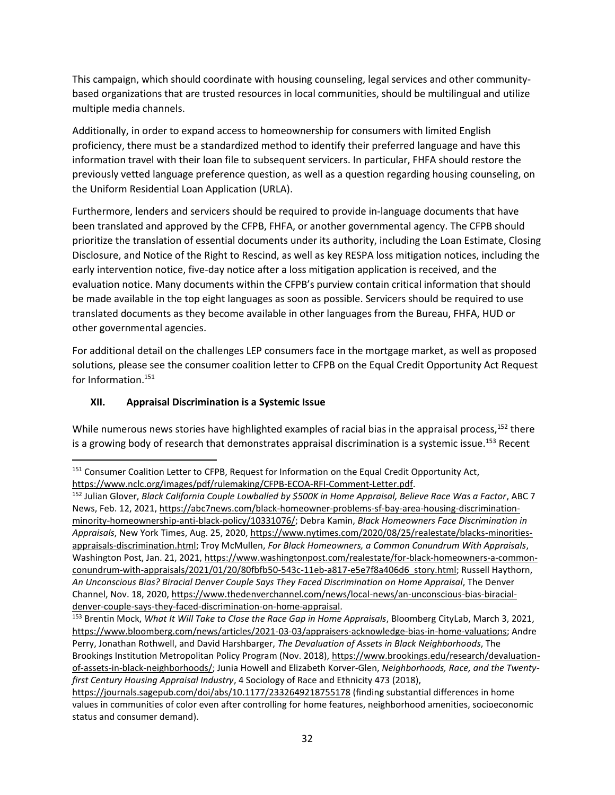This campaign, which should coordinate with housing counseling, legal services and other communitybased organizations that are trusted resources in local communities, should be multilingual and utilize multiple media channels.

Additionally, in order to expand access to homeownership for consumers with limited English proficiency, there must be a standardized method to identify their preferred language and have this information travel with their loan file to subsequent servicers. In particular, FHFA should restore the previously vetted language preference question, as well as a question regarding housing counseling, on the Uniform Residential Loan Application (URLA).

Furthermore, lenders and servicers should be required to provide in-language documents that have been translated and approved by the CFPB, FHFA, or another governmental agency. The CFPB should prioritize the translation of essential documents under its authority, including the Loan Estimate, Closing Disclosure, and Notice of the Right to Rescind, as well as key RESPA loss mitigation notices, including the early intervention notice, five-day notice after a loss mitigation application is received, and the evaluation notice. Many documents within the CFPB's purview contain critical information that should be made available in the top eight languages as soon as possible. Servicers should be required to use translated documents as they become available in other languages from the Bureau, FHFA, HUD or other governmental agencies.

For additional detail on the challenges LEP consumers face in the mortgage market, as well as proposed solutions, please see the consumer coalition letter to CFPB on the Equal Credit Opportunity Act Request for Information.<sup>151</sup>

## **XII. Appraisal Discrimination is a Systemic Issue**

While numerous news stories have highlighted examples of racial bias in the appraisal process,<sup>152</sup> there is a growing body of research that demonstrates appraisal discrimination is a systemic issue.<sup>153</sup> Recent

<sup>&</sup>lt;sup>151</sup> Consumer Coalition Letter to CFPB, Request for Information on the Equal Credit Opportunity Act, [https://www.nclc.org/images/pdf/rulemaking/CFPB-ECOA-RFI-Comment-Letter.pdf.](https://www.nclc.org/images/pdf/rulemaking/CFPB-ECOA-RFI-Comment-Letter.pdf) 

<sup>152</sup> Julian Glover, *Black California Couple Lowballed by \$500K in Home Appraisal, Believe Race Was a Factor*, ABC 7 News, Feb. 12, 2021, [https://abc7news.com/black-homeowner-problems-sf-bay-area-housing-discrimination](https://abc7news.com/black-homeowner-problems-sf-bay-area-housing-discrimination-minority-homeownership-anti-black-policy/10331076/)[minority-homeownership-anti-black-policy/10331076/;](https://abc7news.com/black-homeowner-problems-sf-bay-area-housing-discrimination-minority-homeownership-anti-black-policy/10331076/) Debra Kamin, *Black Homeowners Face Discrimination in Appraisals*, New York Times, Aug. 25, 2020[, https://www.nytimes.com/2020/08/25/realestate/blacks-minorities](https://www.nytimes.com/2020/08/25/realestate/blacks-minorities-appraisals-discrimination.html)[appraisals-discrimination.html;](https://www.nytimes.com/2020/08/25/realestate/blacks-minorities-appraisals-discrimination.html) Troy McMullen, *For Black Homeowners, a Common Conundrum With Appraisals*, Washington Post, Jan. 21, 2021[, https://www.washingtonpost.com/realestate/for-black-homeowners-a-common](https://www.washingtonpost.com/realestate/for-black-homeowners-a-common-conundrum-with-appraisals/2021/01/20/80fbfb50-543c-11eb-a817-e5e7f8a406d6_story.html)[conundrum-with-appraisals/2021/01/20/80fbfb50-543c-11eb-a817-e5e7f8a406d6\\_story.html;](https://www.washingtonpost.com/realestate/for-black-homeowners-a-common-conundrum-with-appraisals/2021/01/20/80fbfb50-543c-11eb-a817-e5e7f8a406d6_story.html) Russell Haythorn, *An Unconscious Bias? Biracial Denver Couple Says They Faced Discrimination on Home Appraisal*, The Denver Channel, Nov. 18, 2020, [https://www.thedenverchannel.com/news/local-news/an-unconscious-bias-biracial](https://www.thedenverchannel.com/news/local-news/an-unconscious-bias-biracial-denver-couple-says-they-faced-discrimination-on-home-appraisal)[denver-couple-says-they-faced-discrimination-on-home-appraisal.](https://www.thedenverchannel.com/news/local-news/an-unconscious-bias-biracial-denver-couple-says-they-faced-discrimination-on-home-appraisal)

<sup>&</sup>lt;sup>153</sup> Brentin Mock, What It Will Take to Close the Race Gap in Home Appraisals, Bloomberg CityLab, March 3, 2021, [https://www.bloomberg.com/news/articles/2021-03-03/appraisers-acknowledge-bias-in-home-valuations;](https://www.bloomberg.com/news/articles/2021-03-03/appraisers-acknowledge-bias-in-home-valuations) Andre Perry, Jonathan Rothwell, and David Harshbarger, *The Devaluation of Assets in Black Neighborhoods*, The Brookings Institution Metropolitan Policy Program (Nov. 2018)[, https://www.brookings.edu/research/devaluation](https://www.brookings.edu/research/devaluation-of-assets-in-black-neighborhoods/)[of-assets-in-black-neighborhoods/;](https://www.brookings.edu/research/devaluation-of-assets-in-black-neighborhoods/) Junia Howell and Elizabeth Korver-Glen, *Neighborhoods, Race, and the Twentyfirst Century Housing Appraisal Industry*, 4 Sociology of Race and Ethnicity 473 (2018),

<https://journals.sagepub.com/doi/abs/10.1177/2332649218755178> (finding substantial differences in home values in communities of color even after controlling for home features, neighborhood amenities, socioeconomic status and consumer demand).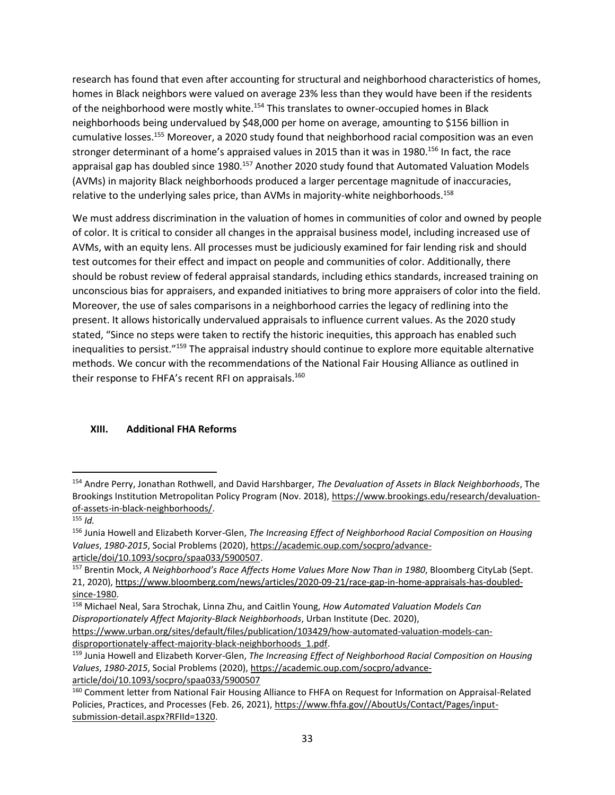research has found that even after accounting for structural and neighborhood characteristics of homes, homes in Black neighbors were valued on average 23% less than they would have been if the residents of the neighborhood were mostly white.<sup>154</sup> This translates to owner-occupied homes in Black neighborhoods being undervalued by \$48,000 per home on average, amounting to \$156 billion in cumulative losses.<sup>155</sup> Moreover, a 2020 study found that neighborhood racial composition was an even stronger determinant of a home's appraised values in 2015 than it was in 1980.<sup>156</sup> In fact, the race appraisal gap has doubled since 1980.<sup>157</sup> Another 2020 study found that Automated Valuation Models (AVMs) in majority Black neighborhoods produced a larger percentage magnitude of inaccuracies, relative to the underlying sales price, than AVMs in majority-white neighborhoods.<sup>158</sup>

We must address discrimination in the valuation of homes in communities of color and owned by people of color. It is critical to consider all changes in the appraisal business model, including increased use of AVMs, with an equity lens. All processes must be judiciously examined for fair lending risk and should test outcomes for their effect and impact on people and communities of color. Additionally, there should be robust review of federal appraisal standards, including ethics standards, increased training on unconscious bias for appraisers, and expanded initiatives to bring more appraisers of color into the field. Moreover, the use of sales comparisons in a neighborhood carries the legacy of redlining into the present. It allows historically undervalued appraisals to influence current values. As the 2020 study stated, "Since no steps were taken to rectify the historic inequities, this approach has enabled such inequalities to persist."<sup>159</sup> The appraisal industry should continue to explore more equitable alternative methods. We concur with the recommendations of the National Fair Housing Alliance as outlined in their response to FHFA's recent RFI on appraisals.<sup>160</sup>

### **XIII. Additional FHA Reforms**

<sup>154</sup> Andre Perry, Jonathan Rothwell, and David Harshbarger, *The Devaluation of Assets in Black Neighborhoods*, The Brookings Institution Metropolitan Policy Program (Nov. 2018), [https://www.brookings.edu/research/devaluation](https://www.brookings.edu/research/devaluation-of-assets-in-black-neighborhoods/)[of-assets-in-black-neighborhoods/.](https://www.brookings.edu/research/devaluation-of-assets-in-black-neighborhoods/)

 $155$  *Id.* 

<sup>156</sup> Junia Howell and Elizabeth Korver-Glen, *The Increasing Effect of Neighborhood Racial Composition on Housing Values*, *1980-2015*, Social Problems (2020)[, https://academic.oup.com/socpro/advance](https://academic.oup.com/socpro/advance-article/doi/10.1093/socpro/spaa033/5900507)[article/doi/10.1093/socpro/spaa033/5900507.](https://academic.oup.com/socpro/advance-article/doi/10.1093/socpro/spaa033/5900507) 

<sup>157</sup> Brentin Mock, *A Neighborhood's Race Affects Home Values More Now Than in 1980*, Bloomberg CityLab (Sept. 21, 2020), [https://www.bloomberg.com/news/articles/2020-09-21/race-gap-in-home-appraisals-has-doubled](https://www.bloomberg.com/news/articles/2020-09-21/race-gap-in-home-appraisals-has-doubled-since-1980)[since-1980.](https://www.bloomberg.com/news/articles/2020-09-21/race-gap-in-home-appraisals-has-doubled-since-1980)

<sup>158</sup> Michael Neal, Sara Strochak, Linna Zhu, and Caitlin Young, *How Automated Valuation Models Can Disproportionately Affect Majority-Black Neighborhoods*, Urban Institute (Dec. 2020),

[https://www.urban.org/sites/default/files/publication/103429/how-automated-valuation-models-can](https://www.urban.org/sites/default/files/publication/103429/how-automated-valuation-models-can-disproportionately-affect-majority-black-neighborhoods_1.pdf)[disproportionately-affect-majority-black-neighborhoods\\_1.pdf.](https://www.urban.org/sites/default/files/publication/103429/how-automated-valuation-models-can-disproportionately-affect-majority-black-neighborhoods_1.pdf)

<sup>159</sup> Junia Howell and Elizabeth Korver-Glen, *The Increasing Effect of Neighborhood Racial Composition on Housing Values*, *1980-2015*, Social Problems (2020)[, https://academic.oup.com/socpro/advance](https://academic.oup.com/socpro/advance-article/doi/10.1093/socpro/spaa033/5900507)[article/doi/10.1093/socpro/spaa033/5900507](https://academic.oup.com/socpro/advance-article/doi/10.1093/socpro/spaa033/5900507)

<sup>160</sup> Comment letter from National Fair Housing Alliance to FHFA on Request for Information on Appraisal-Related Policies, Practices, and Processes (Feb. 26, 2021)[, https://www.fhfa.gov//AboutUs/Contact/Pages/input](https://www.fhfa.gov/AboutUs/Contact/Pages/input-submission-detail.aspx?RFIId=1320)[submission-detail.aspx?RFIId=1320.](https://www.fhfa.gov/AboutUs/Contact/Pages/input-submission-detail.aspx?RFIId=1320)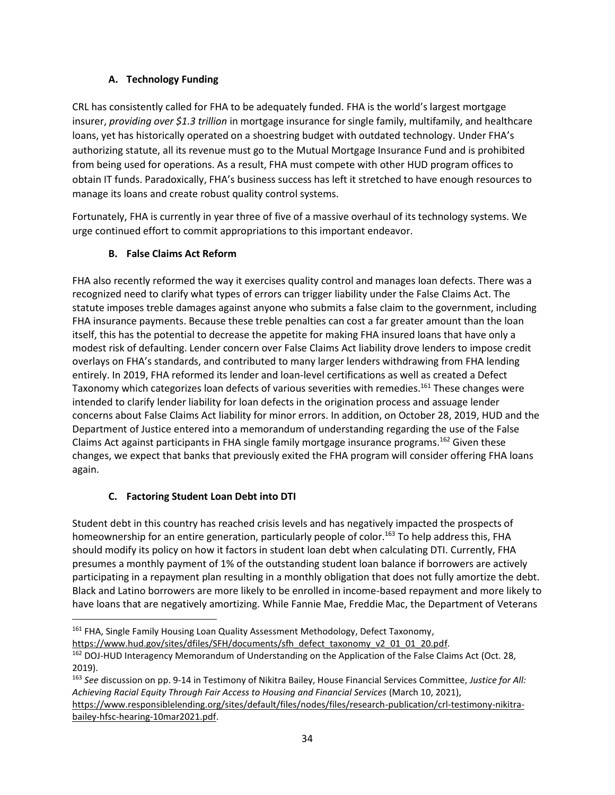## **A. Technology Funding**

CRL has consistently called for FHA to be adequately funded. FHA is the world's largest mortgage insurer, *providing over \$1.3 trillion* in mortgage insurance for single family, multifamily, and healthcare loans, yet has historically operated on a shoestring budget with outdated technology. Under FHA's authorizing statute, all its revenue must go to the Mutual Mortgage Insurance Fund and is prohibited from being used for operations. As a result, FHA must compete with other HUD program offices to obtain IT funds. Paradoxically, FHA's business success has left it stretched to have enough resources to manage its loans and create robust quality control systems.

Fortunately, FHA is currently in year three of five of a massive overhaul of its technology systems. We urge continued effort to commit appropriations to this important endeavor.

# **B. False Claims Act Reform**

FHA also recently reformed the way it exercises quality control and manages loan defects. There was a recognized need to clarify what types of errors can trigger liability under the False Claims Act. The statute imposes treble damages against anyone who submits a false claim to the government, including FHA insurance payments. Because these treble penalties can cost a far greater amount than the loan itself, this has the potential to decrease the appetite for making FHA insured loans that have only a modest risk of defaulting. Lender concern over False Claims Act liability drove lenders to impose credit overlays on FHA's standards, and contributed to many larger lenders withdrawing from FHA lending entirely. In 2019, FHA reformed its lender and loan-level certifications as well as created a Defect Taxonomy which categorizes loan defects of various severities with remedies.<sup>161</sup> These changes were intended to clarify lender liability for loan defects in the origination process and assuage lender concerns about False Claims Act liability for minor errors. In addition, on October 28, 2019, HUD and the Department of Justice entered into a memorandum of understanding regarding the use of the False Claims Act against participants in FHA single family mortgage insurance programs.<sup>162</sup> Given these changes, we expect that banks that previously exited the FHA program will consider offering FHA loans again.

# **C. Factoring Student Loan Debt into DTI**

Student debt in this country has reached crisis levels and has negatively impacted the prospects of homeownership for an entire generation, particularly people of color.<sup>163</sup> To help address this, FHA should modify its policy on how it factors in student loan debt when calculating DTI. Currently, FHA presumes a monthly payment of 1% of the outstanding student loan balance if borrowers are actively participating in a repayment plan resulting in a monthly obligation that does not fully amortize the debt. Black and Latino borrowers are more likely to be enrolled in income-based repayment and more likely to have loans that are negatively amortizing. While Fannie Mae, Freddie Mac, the Department of Veterans

<sup>&</sup>lt;sup>161</sup> FHA, Single Family Housing Loan Quality Assessment Methodology, Defect Taxonomy,

[https://www.hud.gov/sites/dfiles/SFH/documents/sfh\\_defect\\_taxonomy\\_v2\\_01\\_01\\_20.pdf.](https://www.hud.gov/sites/dfiles/SFH/documents/sfh_defect_taxonomy_v2_01_01_20.pdf)

<sup>162</sup> DOJ-HUD Interagency Memorandum of Understanding on the Application of the False Claims Act (Oct. 28, 2019).

<sup>163</sup> *See* discussion on pp. 9-14 in Testimony of Nikitra Bailey, House Financial Services Committee, *Justice for All: Achieving Racial Equity Through Fair Access to Housing and Financial Services* (March 10, 2021), [https://www.responsiblelending.org/sites/default/files/nodes/files/research-publication/crl-testimony-nikitra](https://www.responsiblelending.org/sites/default/files/nodes/files/research-publication/crl-testimony-nikitra-bailey-hfsc-hearing-10mar2021.pdf)[bailey-hfsc-hearing-10mar2021.pdf.](https://www.responsiblelending.org/sites/default/files/nodes/files/research-publication/crl-testimony-nikitra-bailey-hfsc-hearing-10mar2021.pdf)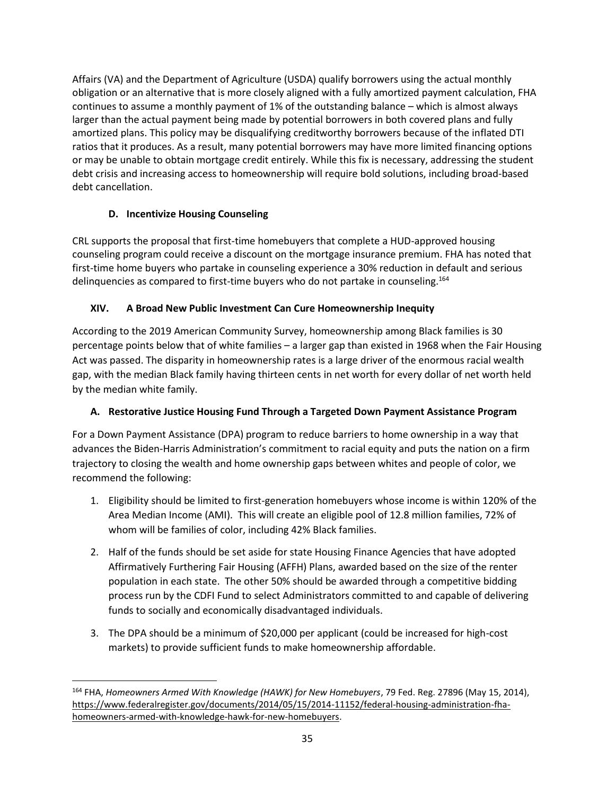Affairs (VA) and the Department of Agriculture (USDA) qualify borrowers using the actual monthly obligation or an alternative that is more closely aligned with a fully amortized payment calculation, FHA continues to assume a monthly payment of 1% of the outstanding balance – which is almost always larger than the actual payment being made by potential borrowers in both covered plans and fully amortized plans. This policy may be disqualifying creditworthy borrowers because of the inflated DTI ratios that it produces. As a result, many potential borrowers may have more limited financing options or may be unable to obtain mortgage credit entirely. While this fix is necessary, addressing the student debt crisis and increasing access to homeownership will require bold solutions, including broad-based debt cancellation.

# **D. Incentivize Housing Counseling**

CRL supports the proposal that first-time homebuyers that complete a HUD-approved housing counseling program could receive a discount on the mortgage insurance premium. FHA has noted that first-time home buyers who partake in counseling experience a 30% reduction in default and serious delinquencies as compared to first-time buyers who do not partake in counseling.<sup>164</sup>

# **XIV. A Broad New Public Investment Can Cure Homeownership Inequity**

According to the 2019 American Community Survey, homeownership among Black families is 30 percentage points below that of white families – a larger gap than existed in 1968 when the Fair Housing Act was passed. The disparity in homeownership rates is a large driver of the enormous racial wealth gap, with the median Black family having thirteen cents in net worth for every dollar of net worth held by the median white family.

# **A. Restorative Justice Housing Fund Through a Targeted Down Payment Assistance Program**

For a Down Payment Assistance (DPA) program to reduce barriers to home ownership in a way that advances the Biden-Harris Administration's commitment to racial equity and puts the nation on a firm trajectory to closing the wealth and home ownership gaps between whites and people of color, we recommend the following:

- 1. Eligibility should be limited to first-generation homebuyers whose income is within 120% of the Area Median Income (AMI). This will create an eligible pool of 12.8 million families, 72% of whom will be families of color, including 42% Black families.
- 2. Half of the funds should be set aside for state Housing Finance Agencies that have adopted Affirmatively Furthering Fair Housing (AFFH) Plans, awarded based on the size of the renter population in each state. The other 50% should be awarded through a competitive bidding process run by the CDFI Fund to select Administrators committed to and capable of delivering funds to socially and economically disadvantaged individuals.
- 3. The DPA should be a minimum of \$20,000 per applicant (could be increased for high-cost markets) to provide sufficient funds to make homeownership affordable.

<sup>164</sup> FHA, *Homeowners Armed With Knowledge (HAWK) for New Homebuyers*, 79 Fed. Reg. 27896 (May 15, 2014), [https://www.federalregister.gov/documents/2014/05/15/2014-11152/federal-housing-administration-fha](https://www.federalregister.gov/documents/2014/05/15/2014-11152/federal-housing-administration-fha-homeowners-armed-with-knowledge-hawk-for-new-homebuyers)[homeowners-armed-with-knowledge-hawk-for-new-homebuyers.](https://www.federalregister.gov/documents/2014/05/15/2014-11152/federal-housing-administration-fha-homeowners-armed-with-knowledge-hawk-for-new-homebuyers)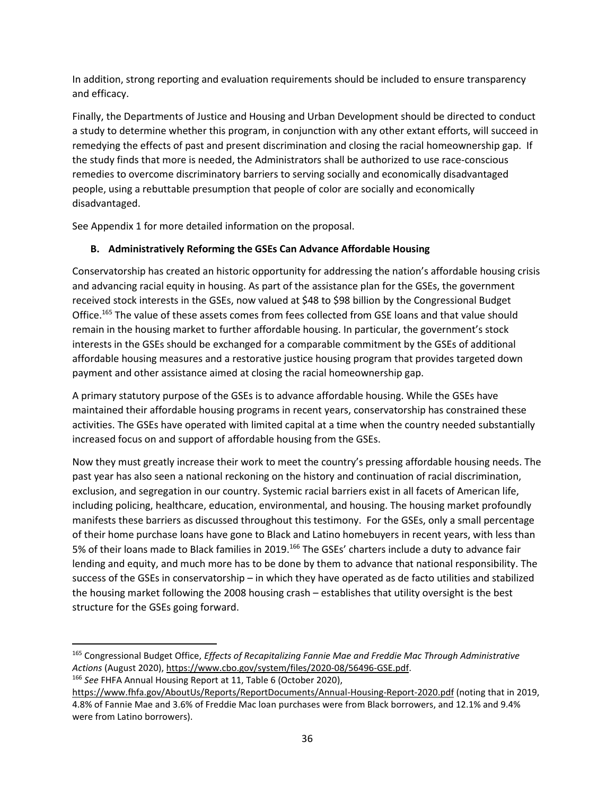In addition, strong reporting and evaluation requirements should be included to ensure transparency and efficacy.

Finally, the Departments of Justice and Housing and Urban Development should be directed to conduct a study to determine whether this program, in conjunction with any other extant efforts, will succeed in remedying the effects of past and present discrimination and closing the racial homeownership gap. If the study finds that more is needed, the Administrators shall be authorized to use race-conscious remedies to overcome discriminatory barriers to serving socially and economically disadvantaged people, using a rebuttable presumption that people of color are socially and economically disadvantaged.

See Appendix 1 for more detailed information on the proposal.

# **B. Administratively Reforming the GSEs Can Advance Affordable Housing**

Conservatorship has created an historic opportunity for addressing the nation's affordable housing crisis and advancing racial equity in housing. As part of the assistance plan for the GSEs, the government received stock interests in the GSEs, now valued at \$48 to \$98 billion by the Congressional Budget Office.<sup>165</sup> The value of these assets comes from fees collected from GSE loans and that value should remain in the housing market to further affordable housing. In particular, the government's stock interests in the GSEs should be exchanged for a comparable commitment by the GSEs of additional affordable housing measures and a restorative justice housing program that provides targeted down payment and other assistance aimed at closing the racial homeownership gap.

A primary statutory purpose of the GSEs is to advance affordable housing. While the GSEs have maintained their affordable housing programs in recent years, conservatorship has constrained these activities. The GSEs have operated with limited capital at a time when the country needed substantially increased focus on and support of affordable housing from the GSEs.

Now they must greatly increase their work to meet the country's pressing affordable housing needs. The past year has also seen a national reckoning on the history and continuation of racial discrimination, exclusion, and segregation in our country. Systemic racial barriers exist in all facets of American life, including policing, healthcare, education, environmental, and housing. The housing market profoundly manifests these barriers as discussed throughout this testimony. For the GSEs, only a small percentage of their home purchase loans have gone to Black and Latino homebuyers in recent years, with less than 5% of their loans made to Black families in 2019.<sup>166</sup> The GSEs' charters include a duty to advance fair lending and equity, and much more has to be done by them to advance that national responsibility. The success of the GSEs in conservatorship – in which they have operated as de facto utilities and stabilized the housing market following the 2008 housing crash – establishes that utility oversight is the best structure for the GSEs going forward.

<sup>166</sup> *See* FHFA Annual Housing Report at 11, Table 6 (October 2020),

<sup>165</sup> Congressional Budget Office, *Effects of Recapitalizing Fannie Mae and Freddie Mac Through Administrative Actions* (August 2020)[, https://www.cbo.gov/system/files/2020-08/56496-GSE.pdf.](https://www.cbo.gov/system/files/2020-08/56496-GSE.pdf)

<https://www.fhfa.gov/AboutUs/Reports/ReportDocuments/Annual-Housing-Report-2020.pdf> (noting that in 2019, 4.8% of Fannie Mae and 3.6% of Freddie Mac loan purchases were from Black borrowers, and 12.1% and 9.4% were from Latino borrowers).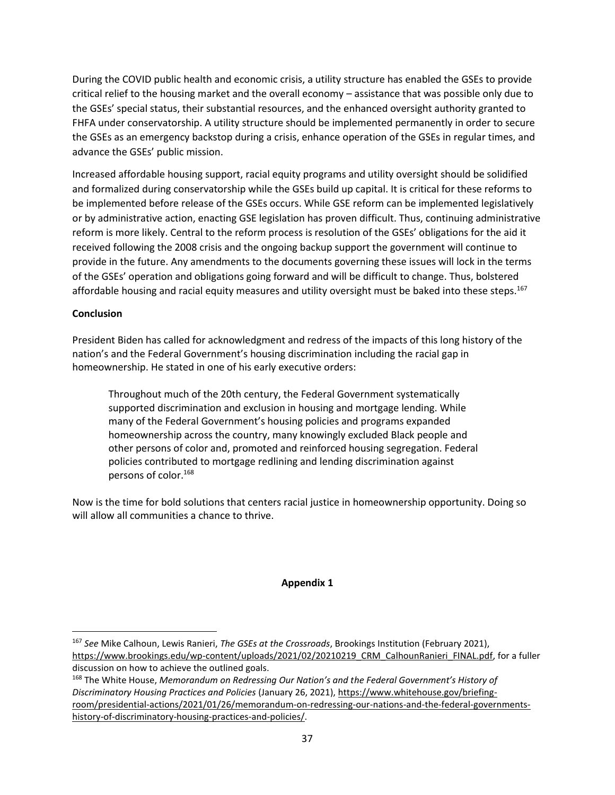During the COVID public health and economic crisis, a utility structure has enabled the GSEs to provide critical relief to the housing market and the overall economy – assistance that was possible only due to the GSEs' special status, their substantial resources, and the enhanced oversight authority granted to FHFA under conservatorship. A utility structure should be implemented permanently in order to secure the GSEs as an emergency backstop during a crisis, enhance operation of the GSEs in regular times, and advance the GSEs' public mission.

Increased affordable housing support, racial equity programs and utility oversight should be solidified and formalized during conservatorship while the GSEs build up capital. It is critical for these reforms to be implemented before release of the GSEs occurs. While GSE reform can be implemented legislatively or by administrative action, enacting GSE legislation has proven difficult. Thus, continuing administrative reform is more likely. Central to the reform process is resolution of the GSEs' obligations for the aid it received following the 2008 crisis and the ongoing backup support the government will continue to provide in the future. Any amendments to the documents governing these issues will lock in the terms of the GSEs' operation and obligations going forward and will be difficult to change. Thus, bolstered affordable housing and racial equity measures and utility oversight must be baked into these steps.<sup>167</sup>

### **Conclusion**

President Biden has called for acknowledgment and redress of the impacts of this long history of the nation's and the Federal Government's housing discrimination including the racial gap in homeownership. He stated in one of his early executive orders:

Throughout much of the 20th century, the Federal Government systematically supported discrimination and exclusion in housing and mortgage lending. While many of the Federal Government's housing policies and programs expanded homeownership across the country, many knowingly excluded Black people and other persons of color and, promoted and reinforced housing segregation. Federal policies contributed to mortgage redlining and lending discrimination against persons of color.<sup>168</sup>

Now is the time for bold solutions that centers racial justice in homeownership opportunity. Doing so will allow all communities a chance to thrive.

#### **Appendix 1**

<sup>167</sup> *See* Mike Calhoun, Lewis Ranieri, *The GSEs at the Crossroads*, Brookings Institution (February 2021), [https://www.brookings.edu/wp-content/uploads/2021/02/20210219\\_CRM\\_CalhounRanieri\\_FINAL.pdf,](https://www.brookings.edu/wp-content/uploads/2021/02/20210219_CRM_CalhounRanieri_FINAL.pdf) for a fuller discussion on how to achieve the outlined goals.

<sup>168</sup> The White House, *Memorandum on Redressing Our Nation's and the Federal Government's History of Discriminatory Housing Practices and Policies* (January 26, 2021)[, https://www.whitehouse.gov/briefing](https://www.whitehouse.gov/briefing-room/presidential-actions/2021/01/26/memorandum-on-redressing-our-nations-and-the-federal-governments-history-of-discriminatory-housing-practices-and-policies/)[room/presidential-actions/2021/01/26/memorandum-on-redressing-our-nations-and-the-federal-governments](https://www.whitehouse.gov/briefing-room/presidential-actions/2021/01/26/memorandum-on-redressing-our-nations-and-the-federal-governments-history-of-discriminatory-housing-practices-and-policies/)[history-of-discriminatory-housing-practices-and-policies/.](https://www.whitehouse.gov/briefing-room/presidential-actions/2021/01/26/memorandum-on-redressing-our-nations-and-the-federal-governments-history-of-discriminatory-housing-practices-and-policies/)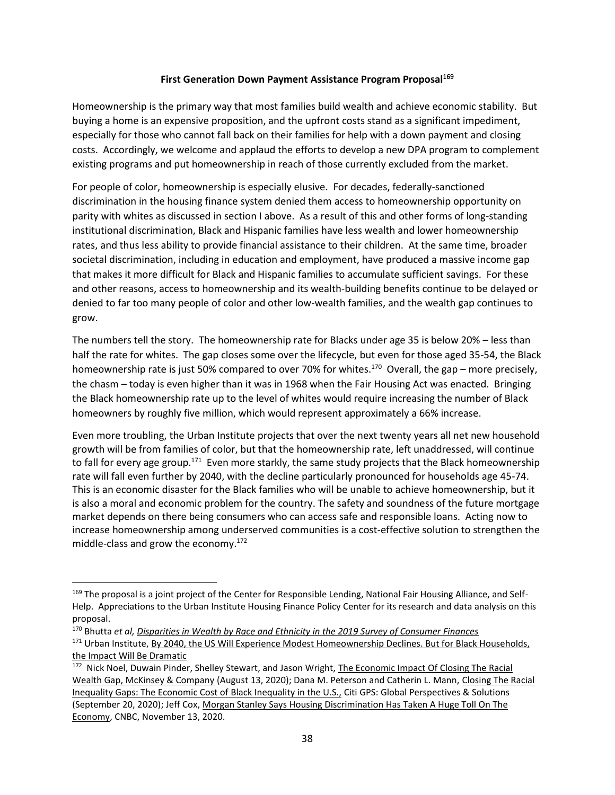#### **First Generation Down Payment Assistance Program Proposal**<sup>169</sup>

Homeownership is the primary way that most families build wealth and achieve economic stability. But buying a home is an expensive proposition, and the upfront costs stand as a significant impediment, especially for those who cannot fall back on their families for help with a down payment and closing costs. Accordingly, we welcome and applaud the efforts to develop a new DPA program to complement existing programs and put homeownership in reach of those currently excluded from the market.

For people of color, homeownership is especially elusive. For decades, federally-sanctioned discrimination in the housing finance system denied them access to homeownership opportunity on parity with whites as discussed in section I above. As a result of this and other forms of long-standing institutional discrimination, Black and Hispanic families have less wealth and lower homeownership rates, and thus less ability to provide financial assistance to their children. At the same time, broader societal discrimination, including in education and employment, have produced a massive income gap that makes it more difficult for Black and Hispanic families to accumulate sufficient savings. For these and other reasons, access to homeownership and its wealth-building benefits continue to be delayed or denied to far too many people of color and other low-wealth families, and the wealth gap continues to grow.

The numbers tell the story. The homeownership rate for Blacks under age 35 is below 20% – less than half the rate for whites. The gap closes some over the lifecycle, but even for those aged 35-54, the Black homeownership rate is just 50% compared to over 70% for whites.<sup>170</sup> Overall, the gap – more precisely, the chasm – today is even higher than it was in 1968 when the Fair Housing Act was enacted. Bringing the Black homeownership rate up to the level of whites would require increasing the number of Black homeowners by roughly five million, which would represent approximately a 66% increase.

Even more troubling, the Urban Institute projects that over the next twenty years all net new household growth will be from families of color, but that the homeownership rate, left unaddressed, will continue to fall for every age group.<sup>171</sup> Even more starkly, the same study projects that the Black homeownership rate will fall even further by 2040, with the decline particularly pronounced for households age 45-74. This is an economic disaster for the Black families who will be unable to achieve homeownership, but it is also a moral and economic problem for the country. The safety and soundness of the future mortgage market depends on there being consumers who can access safe and responsible loans. Acting now to increase homeownership among underserved communities is a cost-effective solution to strengthen the middle-class and grow the economy. $172$ 

<sup>169</sup> The proposal is a joint project of the Center for Responsible Lending, National Fair Housing Alliance, and Self-Help. Appreciations to the Urban Institute Housing Finance Policy Center for its research and data analysis on this proposal.

<sup>170</sup> Bhutta *et al[, Disparities in Wealth by Race and Ethnicity in the 2019 Survey of Consumer Finances](https://www.federalreserve.gov/econres/notes/feds-notes/disparities-in-wealth-by-race-and-ethnicity-in-the-2019-survey-of-consumer-finances-20200928.htm)*

<sup>&</sup>lt;sup>171</sup> Urban Institute, By 2040, the US Will Experience Modest Homeownership Declines. But for Black Households, [the Impact Will Be Dramatic](https://www.urban.org/urban-wire/2040-us-will-experience-modest-homeownership-declines-black-households-impact-will-be-dramatic)

<sup>&</sup>lt;sup>172</sup> Nick Noel, Duwain Pinder, Shelley Stewart, and Jason Wright, The Economic Impact Of Closing The Racial [Wealth Gap, McKinsey & Company](https://www.mckinsey.com/industries/public-and-social-sector/our-insights/the-economic-impact-of-closing-the-racial-wealth-gap) (August 13, 2020); Dana M. Peterson and Catherin L. Mann, [Closing The Racial](https://www.citivelocity.com/citigps/closing-the-racial-inequality-gaps/)  [Inequality Gaps: The Economic Cost of Black Inequality in the U.S.,](https://www.citivelocity.com/citigps/closing-the-racial-inequality-gaps/) Citi GPS: Global Perspectives & Solutions (September 20, 2020); Jeff Cox, Morgan Stanley Says [Housing Discrimination Has Taken A Huge Toll On The](https://www.cnbc.com/2020/11/13/morgan-stanley-says-housing-discrimination-has-taken-a-huge-toll-on-the-economy.html)  [Economy,](https://www.cnbc.com/2020/11/13/morgan-stanley-says-housing-discrimination-has-taken-a-huge-toll-on-the-economy.html) CNBC, November 13, 2020.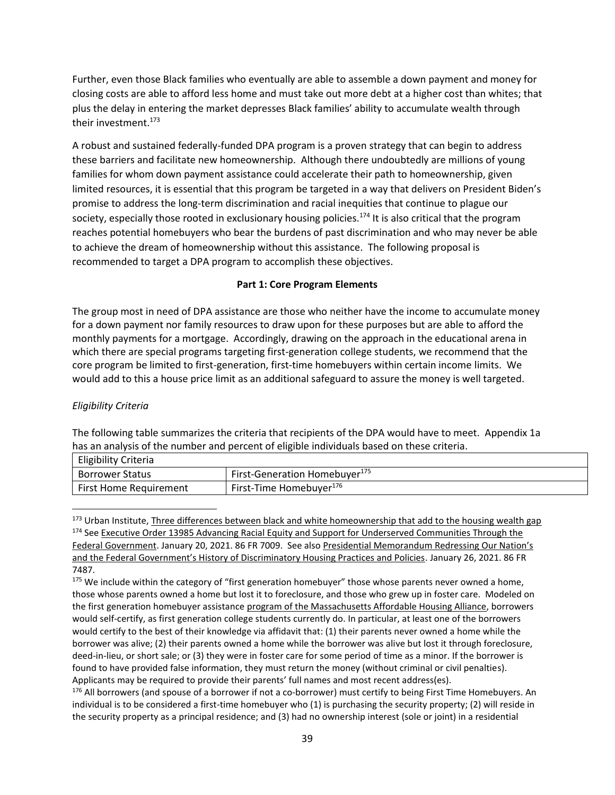Further, even those Black families who eventually are able to assemble a down payment and money for closing costs are able to afford less home and must take out more debt at a higher cost than whites; that plus the delay in entering the market depresses Black families' ability to accumulate wealth through their investment.<sup>173</sup>

A robust and sustained federally-funded DPA program is a proven strategy that can begin to address these barriers and facilitate new homeownership. Although there undoubtedly are millions of young families for whom down payment assistance could accelerate their path to homeownership, given limited resources, it is essential that this program be targeted in a way that delivers on President Biden's promise to address the long-term discrimination and racial inequities that continue to plague our society, especially those rooted in exclusionary housing policies.<sup>174</sup> It is also critical that the program reaches potential homebuyers who bear the burdens of past discrimination and who may never be able to achieve the dream of homeownership without this assistance. The following proposal is recommended to target a DPA program to accomplish these objectives.

### **Part 1: Core Program Elements**

The group most in need of DPA assistance are those who neither have the income to accumulate money for a down payment nor family resources to draw upon for these purposes but are able to afford the monthly payments for a mortgage. Accordingly, drawing on the approach in the educational arena in which there are special programs targeting first-generation college students, we recommend that the core program be limited to first-generation, first-time homebuyers within certain income limits. We would add to this a house price limit as an additional safeguard to assure the money is well targeted.

### *Eligibility Criteria*

The following table summarizes the criteria that recipients of the DPA would have to meet. Appendix 1a has an analysis of the number and percent of eligible individuals based on these criteria.  $E = \frac{1}{2}$ 

| Eligibility Criteria          |                                           |
|-------------------------------|-------------------------------------------|
| <b>Borrower Status</b>        | First-Generation Homebuyer <sup>175</sup> |
| <b>First Home Requirement</b> | First-Time Homebuver <sup>1/6</sup>       |

<sup>173</sup> Urban Institute[, Three differences between black and white homeownership that add to the housing wealth gap](https://www.urban.org/urban-wire/three-differences-between-black-and-white-homeownership-add-housing-wealth-gap) <sup>174</sup> See Executive Order 13985 Advancing Racial Equity and Support for Underserved Communities Through the [Federal Government.](https://www.federalregister.gov/documents/2021/01/25/2021-01753/advancing-racial-equity-and-support-for-underserved-communities-through-the-federal-government) January 20, 2021. 86 FR 7009. See als[o Presidential Memorandum Redressi](https://www.federalregister.gov/documents/2021/01/29/2021-02074/redressing-our-nations-and-the-federal-governments-history-of-discriminatory-housing-practices-and)ng Our Nation's [and the Federal Government's History of Discriminatory Housing Practices and Policies](https://www.federalregister.gov/documents/2021/01/29/2021-02074/redressing-our-nations-and-the-federal-governments-history-of-discriminatory-housing-practices-and). January 26, 2021. 86 FR 7487.

<sup>176</sup> All borrowers (and spouse of a borrower if not a co-borrower) must certify to being First Time Homebuyers. An individual is to be considered a first-time homebuyer who (1) is purchasing the security property; (2) will reside in the security property as a principal residence; and (3) had no ownership interest (sole or joint) in a residential

<sup>&</sup>lt;sup>175</sup> We include within the category of "first generation homebuyer" those whose parents never owned a home, those whose parents owned a home but lost it to foreclosure, and those who grew up in foster care. Modeled on the first generation homebuyer assistanc[e program](https://mahahome.org/Enabling-First-Generation-Homeownership-Massachusetts#:~:text=%20Enabling%20First%20Generation%20Homeownership%20in%20Massachusetts%20,for%20Homeownership%20Policies.%20Down-payment%20assistance%20should...%20More) of the Massachusetts Affordable Housing Alliance, borrowers would self-certify, as first generation college students currently do. In particular, at least one of the borrowers would certify to the best of their knowledge via affidavit that: (1) their parents never owned a home while the borrower was alive; (2) their parents owned a home while the borrower was alive but lost it through foreclosure, deed-in-lieu, or short sale; or (3) they were in foster care for some period of time as a minor. If the borrower is found to have provided false information, they must return the money (without criminal or civil penalties). Applicants may be required to provide their parents' full names and most recent address(es).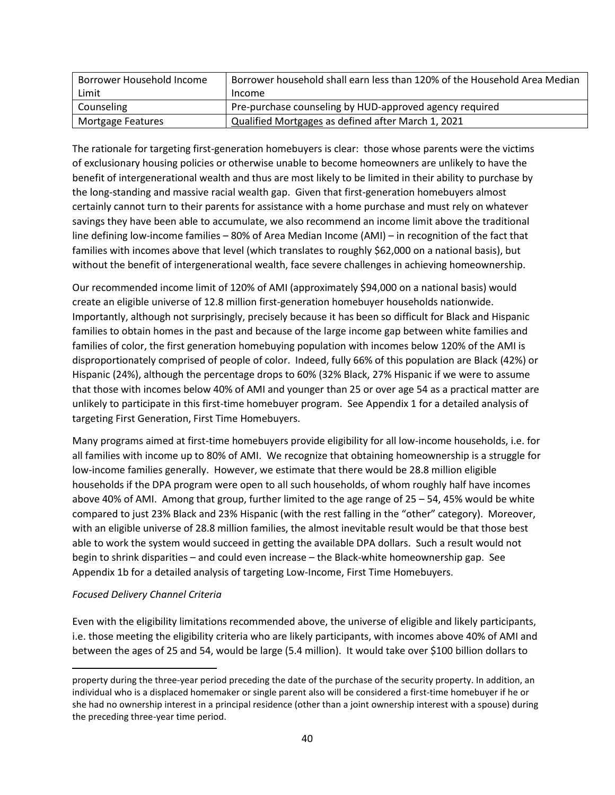| Borrower Household Income | Borrower household shall earn less than 120% of the Household Area Median |
|---------------------------|---------------------------------------------------------------------------|
| Limit                     | Income                                                                    |
| Counseling                | Pre-purchase counseling by HUD-approved agency required                   |
| Mortgage Features         | Qualified Mortgages as defined after March 1, 2021                        |

The rationale for targeting first-generation homebuyers is clear: those whose parents were the victims of exclusionary housing policies or otherwise unable to become homeowners are unlikely to have the benefit of intergenerational wealth and thus are most likely to be limited in their ability to purchase by the long-standing and massive racial wealth gap. Given that first-generation homebuyers almost certainly cannot turn to their parents for assistance with a home purchase and must rely on whatever savings they have been able to accumulate, we also recommend an income limit above the traditional line defining low-income families – 80% of Area Median Income (AMI) – in recognition of the fact that families with incomes above that level (which translates to roughly \$62,000 on a national basis), but without the benefit of intergenerational wealth, face severe challenges in achieving homeownership.

Our recommended income limit of 120% of AMI (approximately \$94,000 on a national basis) would create an eligible universe of 12.8 million first-generation homebuyer households nationwide. Importantly, although not surprisingly, precisely because it has been so difficult for Black and Hispanic families to obtain homes in the past and because of the large income gap between white families and families of color, the first generation homebuying population with incomes below 120% of the AMI is disproportionately comprised of people of color. Indeed, fully 66% of this population are Black (42%) or Hispanic (24%), although the percentage drops to 60% (32% Black, 27% Hispanic if we were to assume that those with incomes below 40% of AMI and younger than 25 or over age 54 as a practical matter are unlikely to participate in this first-time homebuyer program. See Appendix 1 for a detailed analysis of targeting First Generation, First Time Homebuyers.

Many programs aimed at first-time homebuyers provide eligibility for all low-income households, i.e. for all families with income up to 80% of AMI. We recognize that obtaining homeownership is a struggle for low-income families generally. However, we estimate that there would be 28.8 million eligible households if the DPA program were open to all such households, of whom roughly half have incomes above 40% of AMI. Among that group, further limited to the age range of 25 – 54, 45% would be white compared to just 23% Black and 23% Hispanic (with the rest falling in the "other" category). Moreover, with an eligible universe of 28.8 million families, the almost inevitable result would be that those best able to work the system would succeed in getting the available DPA dollars. Such a result would not begin to shrink disparities – and could even increase – the Black-white homeownership gap. See Appendix 1b for a detailed analysis of targeting Low-Income, First Time Homebuyers.

#### *Focused Delivery Channel Criteria*

Even with the eligibility limitations recommended above, the universe of eligible and likely participants, i.e. those meeting the eligibility criteria who are likely participants, with incomes above 40% of AMI and between the ages of 25 and 54, would be large (5.4 million). It would take over \$100 billion dollars to

property during the three-year period preceding the date of the purchase of the security property. In addition, an individual who is a displaced homemaker or single parent also will be considered a first-time homebuyer if he or she had no ownership interest in a principal residence (other than a joint ownership interest with a spouse) during the preceding three-year time period.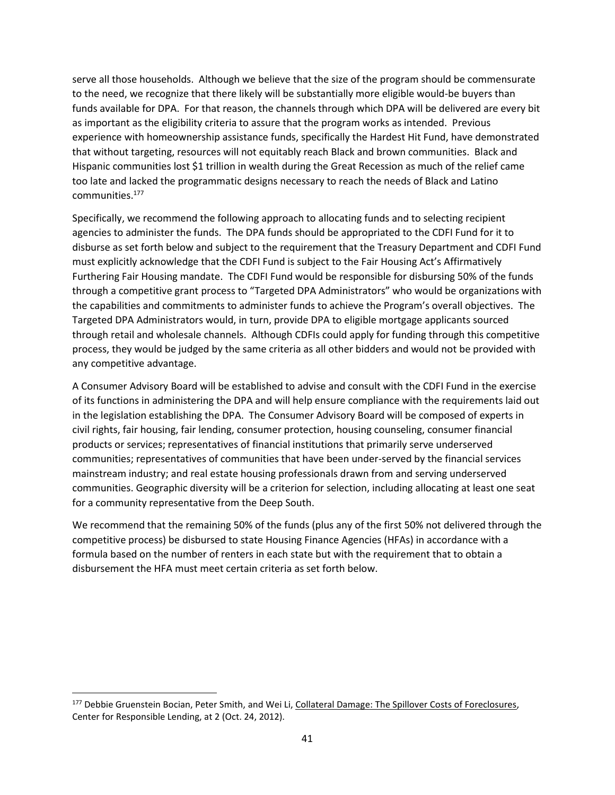serve all those households. Although we believe that the size of the program should be commensurate to the need, we recognize that there likely will be substantially more eligible would-be buyers than funds available for DPA. For that reason, the channels through which DPA will be delivered are every bit as important as the eligibility criteria to assure that the program works as intended. Previous experience with homeownership assistance funds, specifically the Hardest Hit Fund, have demonstrated that without targeting, resources will not equitably reach Black and brown communities. Black and Hispanic communities lost \$1 trillion in wealth during the Great Recession as much of the relief came too late and lacked the programmatic designs necessary to reach the needs of Black and Latino communities.<sup>177</sup>

Specifically, we recommend the following approach to allocating funds and to selecting recipient agencies to administer the funds. The DPA funds should be appropriated to the CDFI Fund for it to disburse as set forth below and subject to the requirement that the Treasury Department and CDFI Fund must explicitly acknowledge that the CDFI Fund is subject to the Fair Housing Act's Affirmatively Furthering Fair Housing mandate. The CDFI Fund would be responsible for disbursing 50% of the funds through a competitive grant process to "Targeted DPA Administrators" who would be organizations with the capabilities and commitments to administer funds to achieve the Program's overall objectives. The Targeted DPA Administrators would, in turn, provide DPA to eligible mortgage applicants sourced through retail and wholesale channels. Although CDFIs could apply for funding through this competitive process, they would be judged by the same criteria as all other bidders and would not be provided with any competitive advantage.

A Consumer Advisory Board will be established to advise and consult with the CDFI Fund in the exercise of its functions in administering the DPA and will help ensure compliance with the requirements laid out in the legislation establishing the DPA. The Consumer Advisory Board will be composed of experts in civil rights, fair housing, fair lending, consumer protection, housing counseling, consumer financial products or services; representatives of financial institutions that primarily serve underserved communities; representatives of communities that have been under-served by the financial services mainstream industry; and real estate housing professionals drawn from and serving underserved communities. Geographic diversity will be a criterion for selection, including allocating at least one seat for a community representative from the Deep South.

We recommend that the remaining 50% of the funds (plus any of the first 50% not delivered through the competitive process) be disbursed to state Housing Finance Agencies (HFAs) in accordance with a formula based on the number of renters in each state but with the requirement that to obtain a disbursement the HFA must meet certain criteria as set forth below.

<sup>&</sup>lt;sup>177</sup> Debbie Gruenstein Bocian, Peter Smith, and Wei Li, [Collateral Damage: The Spillover Costs of Foreclosures,](https://www.responsiblelending.org/mortgage-lending/research-analysis/collateral-damage.pdf) Center for Responsible Lending, at 2 (Oct. 24, 2012).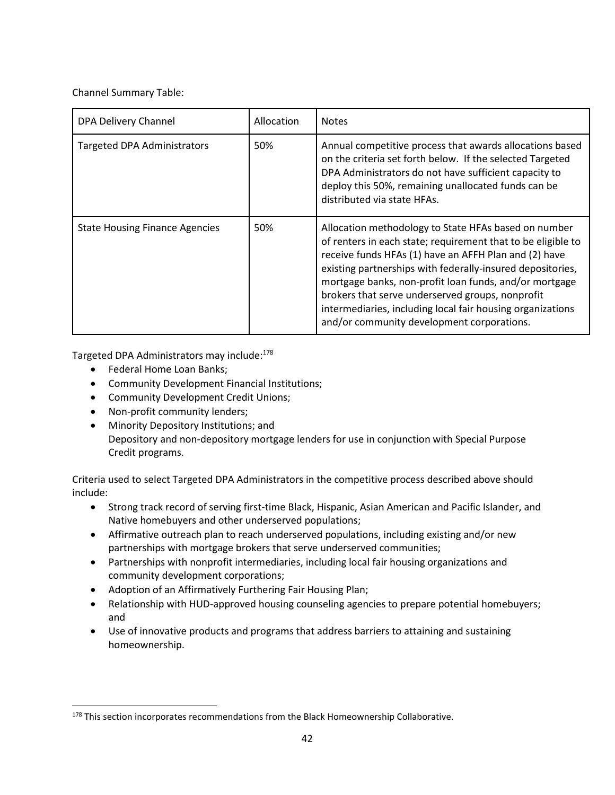Channel Summary Table:

| DPA Delivery Channel                  | Allocation | <b>Notes</b>                                                                                                                                                                                                                                                                                                                                                                                                                                                          |
|---------------------------------------|------------|-----------------------------------------------------------------------------------------------------------------------------------------------------------------------------------------------------------------------------------------------------------------------------------------------------------------------------------------------------------------------------------------------------------------------------------------------------------------------|
| <b>Targeted DPA Administrators</b>    | 50%        | Annual competitive process that awards allocations based<br>on the criteria set forth below. If the selected Targeted<br>DPA Administrators do not have sufficient capacity to<br>deploy this 50%, remaining unallocated funds can be<br>distributed via state HFAs.                                                                                                                                                                                                  |
| <b>State Housing Finance Agencies</b> | 50%        | Allocation methodology to State HFAs based on number<br>of renters in each state; requirement that to be eligible to<br>receive funds HFAs (1) have an AFFH Plan and (2) have<br>existing partnerships with federally-insured depositories,<br>mortgage banks, non-profit loan funds, and/or mortgage<br>brokers that serve underserved groups, nonprofit<br>intermediaries, including local fair housing organizations<br>and/or community development corporations. |

Targeted DPA Administrators may include:<sup>178</sup>

- Federal Home Loan Banks;
- Community Development Financial Institutions;
- Community Development Credit Unions;
- Non-profit community lenders;
- Minority Depository Institutions; and Depository and non-depository mortgage lenders for use in conjunction with Special Purpose Credit programs.

Criteria used to select Targeted DPA Administrators in the competitive process described above should include:

- Strong track record of serving first-time Black, Hispanic, Asian American and Pacific Islander, and Native homebuyers and other underserved populations;
- Affirmative outreach plan to reach underserved populations, including existing and/or new partnerships with mortgage brokers that serve underserved communities;
- Partnerships with nonprofit intermediaries, including local fair housing organizations and community development corporations;
- Adoption of an Affirmatively Furthering Fair Housing Plan;
- Relationship with HUD-approved housing counseling agencies to prepare potential homebuyers; and
- Use of innovative products and programs that address barriers to attaining and sustaining homeownership.

<sup>178</sup> This section incorporates recommendations from the Black Homeownership Collaborative.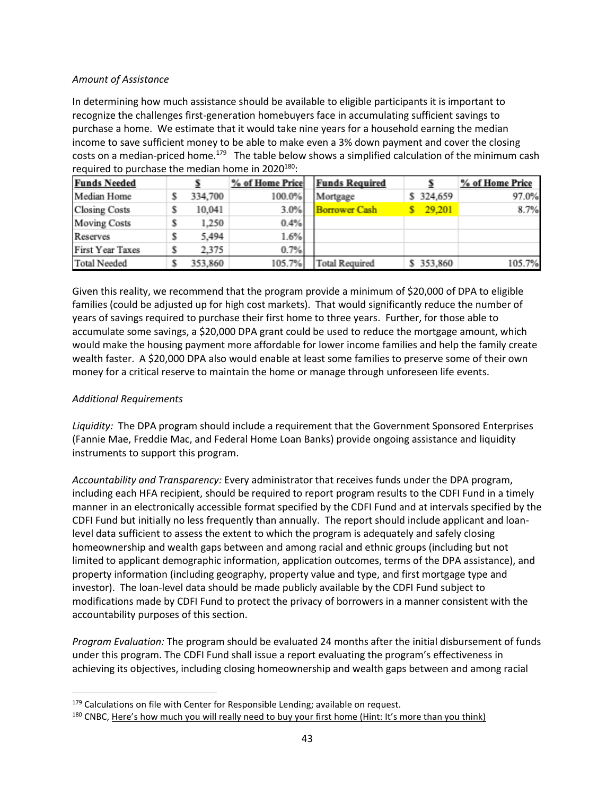### *Amount of Assistance*

In determining how much assistance should be available to eligible participants it is important to recognize the challenges first-generation homebuyers face in accumulating sufficient savings to purchase a home. We estimate that it would take nine years for a household earning the median income to save sufficient money to be able to make even a 3% down payment and cover the closing costs on a median-priced home.<sup>179</sup> The table below shows a simplified calculation of the minimum cash required to purchase the median home in  $2020^{180}$ :

| <b>Funds Needed</b>     |   |         | % of Home Price | <b>Funds Required</b> |           | % of Home Price |
|-------------------------|---|---------|-----------------|-----------------------|-----------|-----------------|
| Median Home             | S | 334,700 | 100.0%          | Mortgage              | \$324,659 | 97.0%           |
| <b>Closing Costs</b>    | s | 10.041  | 3.0%            | <b>Borrower Cash</b>  | 29,201    | 8.7%            |
| <b>Moving Costs</b>     | s | 1,250   | 0.4%            |                       |           |                 |
| Reserves                | s | 5.494   | 1.6%            |                       |           |                 |
| <b>First Year Taxes</b> |   | 2.375   | 0.7%            |                       |           |                 |
| <b>Total Needed</b>     |   | 353,860 | 105.7%          | <b>Total Required</b> | \$353,860 | 105.7%          |

Given this reality, we recommend that the program provide a minimum of \$20,000 of DPA to eligible families (could be adjusted up for high cost markets). That would significantly reduce the number of years of savings required to purchase their first home to three years. Further, for those able to accumulate some savings, a \$20,000 DPA grant could be used to reduce the mortgage amount, which would make the housing payment more affordable for lower income families and help the family create wealth faster. A \$20,000 DPA also would enable at least some families to preserve some of their own money for a critical reserve to maintain the home or manage through unforeseen life events.

### *Additional Requirements*

*Liquidity:* The DPA program should include a requirement that the Government Sponsored Enterprises (Fannie Mae, Freddie Mac, and Federal Home Loan Banks) provide ongoing assistance and liquidity instruments to support this program.

*Accountability and Transparency:* Every administrator that receives funds under the DPA program, including each HFA recipient, should be required to report program results to the CDFI Fund in a timely manner in an electronically accessible format specified by the CDFI Fund and at intervals specified by the CDFI Fund but initially no less frequently than annually. The report should include applicant and loanlevel data sufficient to assess the extent to which the program is adequately and safely closing homeownership and wealth gaps between and among racial and ethnic groups (including but not limited to applicant demographic information, application outcomes, terms of the DPA assistance), and property information (including geography, property value and type, and first mortgage type and investor). The loan-level data should be made publicly available by the CDFI Fund subject to modifications made by CDFI Fund to protect the privacy of borrowers in a manner consistent with the accountability purposes of this section.

*Program Evaluation:* The program should be evaluated 24 months after the initial disbursement of funds under this program. The CDFI Fund shall issue a report evaluating the program's effectiveness in achieving its objectives, including closing homeownership and wealth gaps between and among racial

 $179$  Calculations on file with Center for Responsible Lending; available on request.

<sup>&</sup>lt;sup>180</sup> CNBC, [Here's how much you will really need to buy your first home \(Hint: It's more than you think\)](https://www.cnbc.com/2020/06/22/heres-how-much-money-youll-really-need-to-buy-your-first-home.html)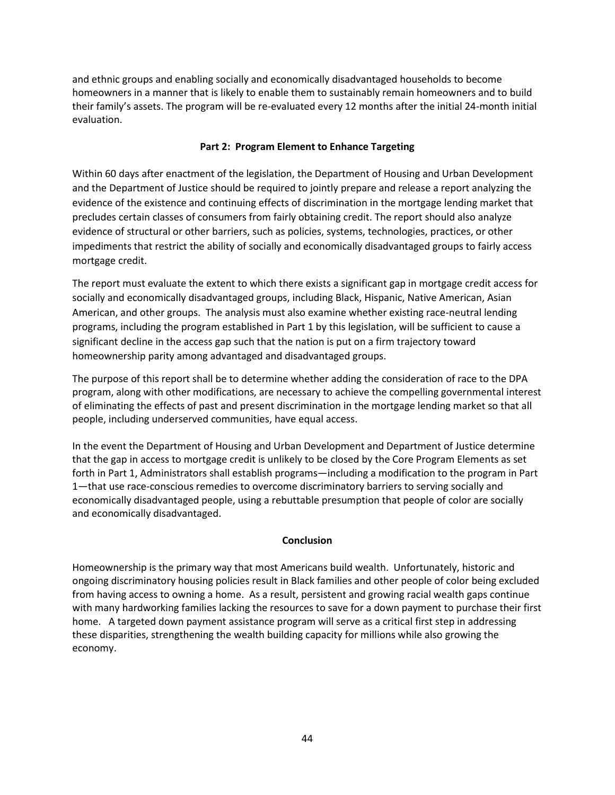and ethnic groups and enabling socially and economically disadvantaged households to become homeowners in a manner that is likely to enable them to sustainably remain homeowners and to build their family's assets. The program will be re-evaluated every 12 months after the initial 24-month initial evaluation.

### **Part 2: Program Element to Enhance Targeting**

Within 60 days after enactment of the legislation, the Department of Housing and Urban Development and the Department of Justice should be required to jointly prepare and release a report analyzing the evidence of the existence and continuing effects of discrimination in the mortgage lending market that precludes certain classes of consumers from fairly obtaining credit. The report should also analyze evidence of structural or other barriers, such as policies, systems, technologies, practices, or other impediments that restrict the ability of socially and economically disadvantaged groups to fairly access mortgage credit.

The report must evaluate the extent to which there exists a significant gap in mortgage credit access for socially and economically disadvantaged groups, including Black, Hispanic, Native American, Asian American, and other groups. The analysis must also examine whether existing race-neutral lending programs, including the program established in Part 1 by this legislation, will be sufficient to cause a significant decline in the access gap such that the nation is put on a firm trajectory toward homeownership parity among advantaged and disadvantaged groups.

The purpose of this report shall be to determine whether adding the consideration of race to the DPA program, along with other modifications, are necessary to achieve the compelling governmental interest of eliminating the effects of past and present discrimination in the mortgage lending market so that all people, including underserved communities, have equal access.

In the event the Department of Housing and Urban Development and Department of Justice determine that the gap in access to mortgage credit is unlikely to be closed by the Core Program Elements as set forth in Part 1, Administrators shall establish programs—including a modification to the program in Part 1—that use race-conscious remedies to overcome discriminatory barriers to serving socially and economically disadvantaged people, using a rebuttable presumption that people of color are socially and economically disadvantaged.

#### **Conclusion**

Homeownership is the primary way that most Americans build wealth. Unfortunately, historic and ongoing discriminatory housing policies result in Black families and other people of color being excluded from having access to owning a home. As a result, persistent and growing racial wealth gaps continue with many hardworking families lacking the resources to save for a down payment to purchase their first home. A targeted down payment assistance program will serve as a critical first step in addressing these disparities, strengthening the wealth building capacity for millions while also growing the economy.